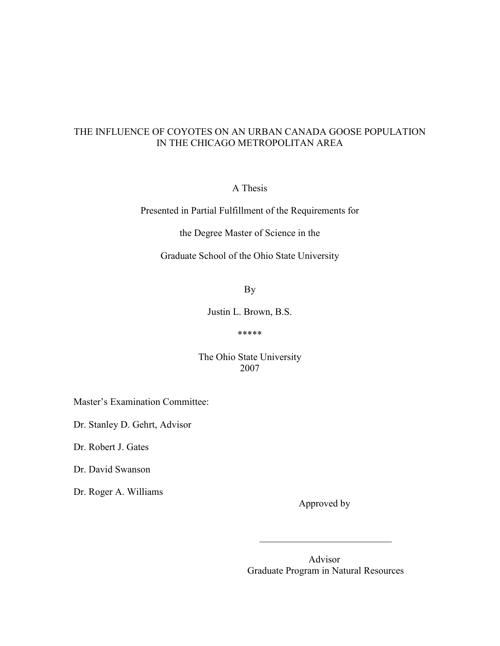# THE INFLUENCE OF COYOTES ON AN URBAN CANADA GOOSE POPULATION IN THE CHICAGO METROPOLITAN AREA

A Thesis

Presented in Partial Fulfillment of the Requirements for

the Degree Master of Science in the

Graduate School of the Ohio State University

By

Justin L. Brown, B.S.

#### \*\*\*\*\*

## The Ohio State University 2007

 $\mathcal{L}_\text{max}$  , and the contract of the contract of the contract of the contract of the contract of the contract of the contract of the contract of the contract of the contract of the contract of the contract of the contr

Master's Examination Committee:

Dr. Stanley D. Gehrt, Advisor

Dr. Robert J. Gates

Dr. David Swanson

Dr. Roger A. Williams

Approved by

 Advisor Graduate Program in Natural Resources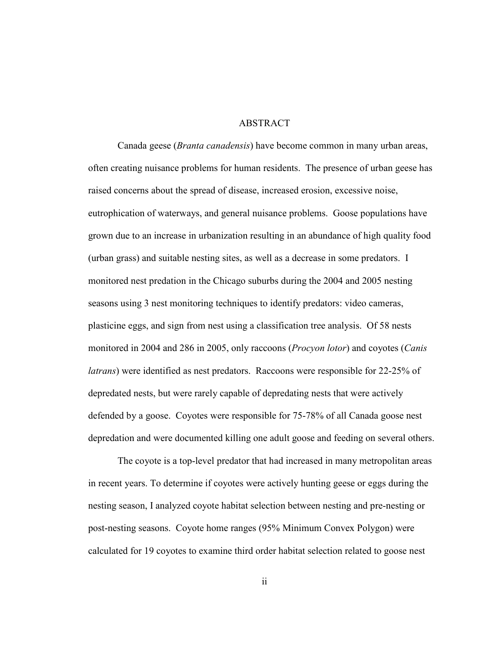### ABSTRACT

 Canada geese (Branta canadensis) have become common in many urban areas, often creating nuisance problems for human residents. The presence of urban geese has raised concerns about the spread of disease, increased erosion, excessive noise, eutrophication of waterways, and general nuisance problems. Goose populations have grown due to an increase in urbanization resulting in an abundance of high quality food (urban grass) and suitable nesting sites, as well as a decrease in some predators. I monitored nest predation in the Chicago suburbs during the 2004 and 2005 nesting seasons using 3 nest monitoring techniques to identify predators: video cameras, plasticine eggs, and sign from nest using a classification tree analysis. Of 58 nests monitored in 2004 and 286 in 2005, only raccoons (*Procyon lotor*) and coyotes (*Canis* latrans) were identified as nest predators. Raccoons were responsible for 22-25% of depredated nests, but were rarely capable of depredating nests that were actively defended by a goose. Coyotes were responsible for 75-78% of all Canada goose nest depredation and were documented killing one adult goose and feeding on several others.

 The coyote is a top-level predator that had increased in many metropolitan areas in recent years. To determine if coyotes were actively hunting geese or eggs during the nesting season, I analyzed coyote habitat selection between nesting and pre-nesting or post-nesting seasons. Coyote home ranges (95% Minimum Convex Polygon) were calculated for 19 coyotes to examine third order habitat selection related to goose nest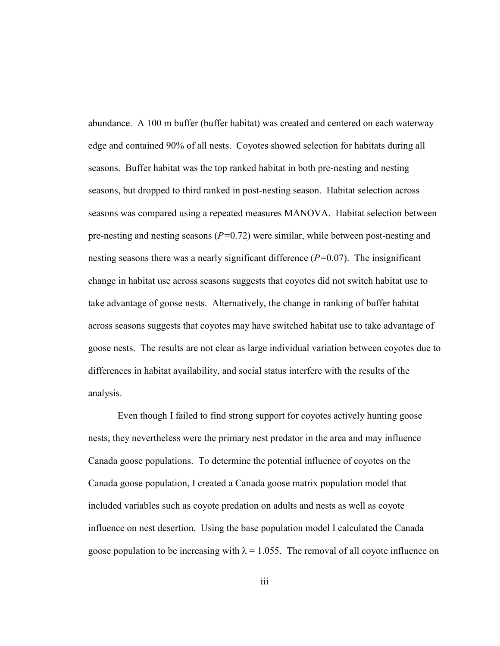abundance. A 100 m buffer (buffer habitat) was created and centered on each waterway edge and contained 90% of all nests. Coyotes showed selection for habitats during all seasons. Buffer habitat was the top ranked habitat in both pre-nesting and nesting seasons, but dropped to third ranked in post-nesting season. Habitat selection across seasons was compared using a repeated measures MANOVA. Habitat selection between pre-nesting and nesting seasons  $(P=0.72)$  were similar, while between post-nesting and nesting seasons there was a nearly significant difference  $(P=0.07)$ . The insignificant change in habitat use across seasons suggests that coyotes did not switch habitat use to take advantage of goose nests. Alternatively, the change in ranking of buffer habitat across seasons suggests that coyotes may have switched habitat use to take advantage of goose nests. The results are not clear as large individual variation between coyotes due to differences in habitat availability, and social status interfere with the results of the analysis.

 Even though I failed to find strong support for coyotes actively hunting goose nests, they nevertheless were the primary nest predator in the area and may influence Canada goose populations. To determine the potential influence of coyotes on the Canada goose population, I created a Canada goose matrix population model that included variables such as coyote predation on adults and nests as well as coyote influence on nest desertion. Using the base population model I calculated the Canada goose population to be increasing with  $\lambda = 1.055$ . The removal of all coyote influence on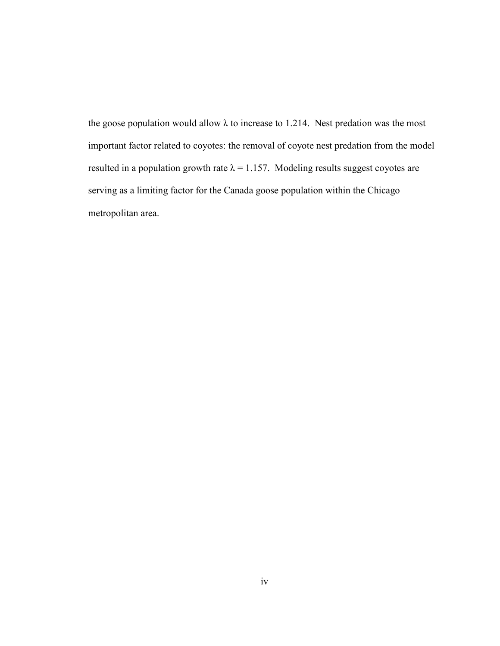the goose population would allow  $\lambda$  to increase to 1.214. Nest predation was the most important factor related to coyotes: the removal of coyote nest predation from the model resulted in a population growth rate  $\lambda = 1.157$ . Modeling results suggest coyotes are serving as a limiting factor for the Canada goose population within the Chicago metropolitan area.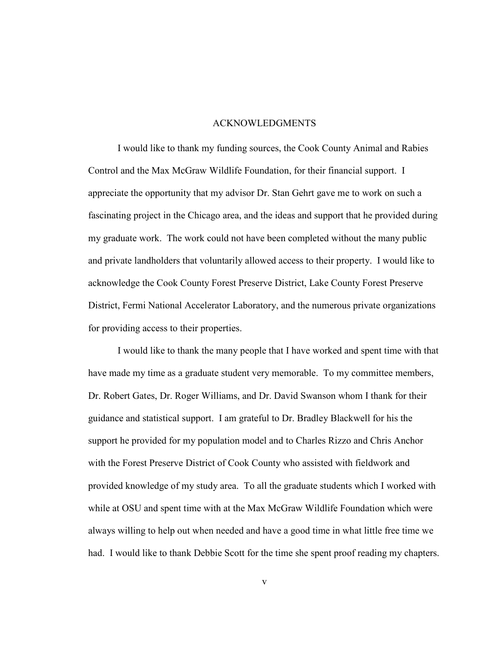#### ACKNOWLEDGMENTS

 I would like to thank my funding sources, the Cook County Animal and Rabies Control and the Max McGraw Wildlife Foundation, for their financial support. I appreciate the opportunity that my advisor Dr. Stan Gehrt gave me to work on such a fascinating project in the Chicago area, and the ideas and support that he provided during my graduate work. The work could not have been completed without the many public and private landholders that voluntarily allowed access to their property. I would like to acknowledge the Cook County Forest Preserve District, Lake County Forest Preserve District, Fermi National Accelerator Laboratory, and the numerous private organizations for providing access to their properties.

 I would like to thank the many people that I have worked and spent time with that have made my time as a graduate student very memorable. To my committee members, Dr. Robert Gates, Dr. Roger Williams, and Dr. David Swanson whom I thank for their guidance and statistical support. I am grateful to Dr. Bradley Blackwell for his the support he provided for my population model and to Charles Rizzo and Chris Anchor with the Forest Preserve District of Cook County who assisted with fieldwork and provided knowledge of my study area. To all the graduate students which I worked with while at OSU and spent time with at the Max McGraw Wildlife Foundation which were always willing to help out when needed and have a good time in what little free time we had. I would like to thank Debbie Scott for the time she spent proof reading my chapters.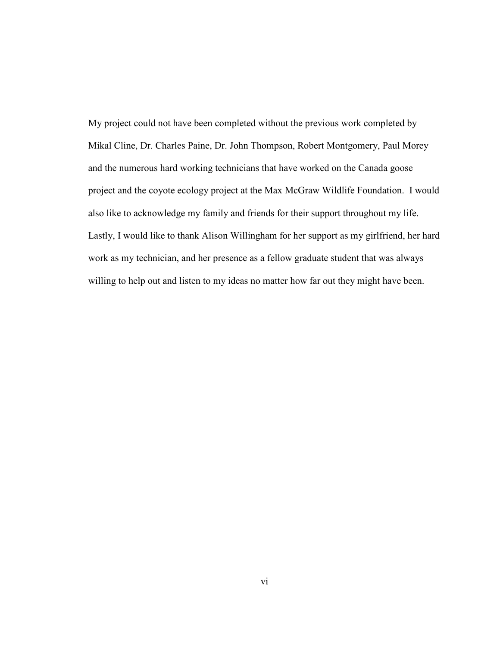My project could not have been completed without the previous work completed by Mikal Cline, Dr. Charles Paine, Dr. John Thompson, Robert Montgomery, Paul Morey and the numerous hard working technicians that have worked on the Canada goose project and the coyote ecology project at the Max McGraw Wildlife Foundation. I would also like to acknowledge my family and friends for their support throughout my life. Lastly, I would like to thank Alison Willingham for her support as my girlfriend, her hard work as my technician, and her presence as a fellow graduate student that was always willing to help out and listen to my ideas no matter how far out they might have been.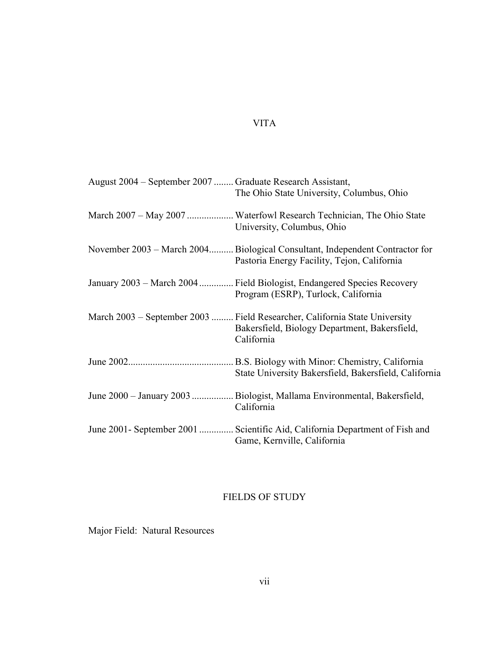# VITA

| August 2004 – September 2007  Graduate Research Assistant, | The Ohio State University, Columbus, Ohio                                                                                                 |
|------------------------------------------------------------|-------------------------------------------------------------------------------------------------------------------------------------------|
|                                                            | University, Columbus, Ohio                                                                                                                |
|                                                            | November 2003 – March 2004 Biological Consultant, Independent Contractor for<br>Pastoria Energy Facility, Tejon, California               |
|                                                            | January 2003 – March 2004  Field Biologist, Endangered Species Recovery<br>Program (ESRP), Turlock, California                            |
|                                                            | March 2003 – September 2003  Field Researcher, California State University<br>Bakersfield, Biology Department, Bakersfield,<br>California |
|                                                            | State University Bakersfield, Bakersfield, California                                                                                     |
|                                                            | June 2000 - January 2003  Biologist, Mallama Environmental, Bakersfield,<br>California                                                    |
|                                                            | June 2001 - September 2001  Scientific Aid, California Department of Fish and<br>Game, Kernville, California                              |

# FIELDS OF STUDY

Major Field: Natural Resources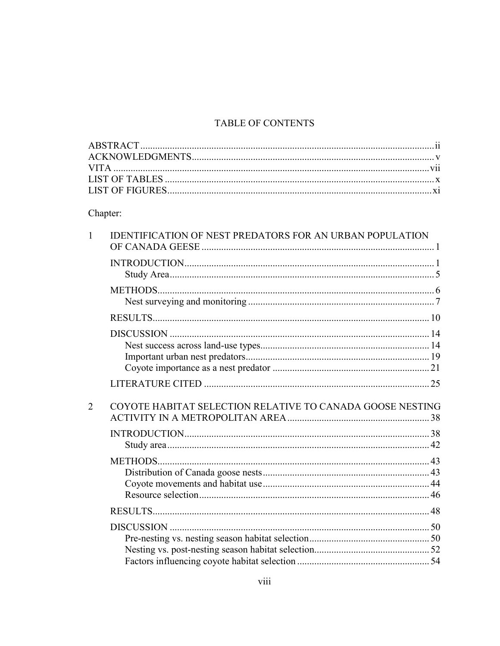# TABLE OF CONTENTS

# Chapter:

| 1              | <b>IDENTIFICATION OF NEST PREDATORS FOR AN URBAN POPULATION</b> |  |
|----------------|-----------------------------------------------------------------|--|
|                |                                                                 |  |
|                |                                                                 |  |
|                |                                                                 |  |
|                |                                                                 |  |
|                |                                                                 |  |
| $\overline{2}$ | COYOTE HABITAT SELECTION RELATIVE TO CANADA GOOSE NESTING       |  |
|                |                                                                 |  |
|                |                                                                 |  |
|                |                                                                 |  |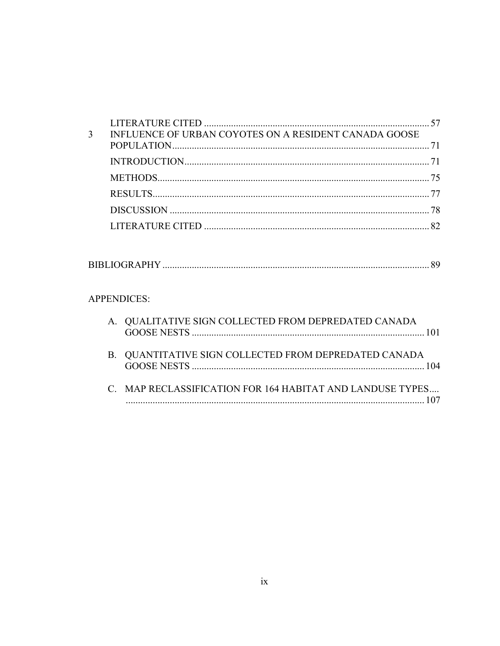| 3 | INFLUENCE OF URBAN COYOTES ON A RESIDENT CANADA GOOSE |  |
|---|-------------------------------------------------------|--|
|   |                                                       |  |
|   |                                                       |  |
|   |                                                       |  |
|   |                                                       |  |
|   |                                                       |  |
|   |                                                       |  |

|--|

# APPENDICES:

| A. QUALITATIVE SIGN COLLECTED FROM DEPREDATED CANADA      |
|-----------------------------------------------------------|
| B. QUANTITATIVE SIGN COLLECTED FROM DEPREDATED CANADA     |
| C. MAP RECLASSIFICATION FOR 164 HABITAT AND LANDUSE TYPES |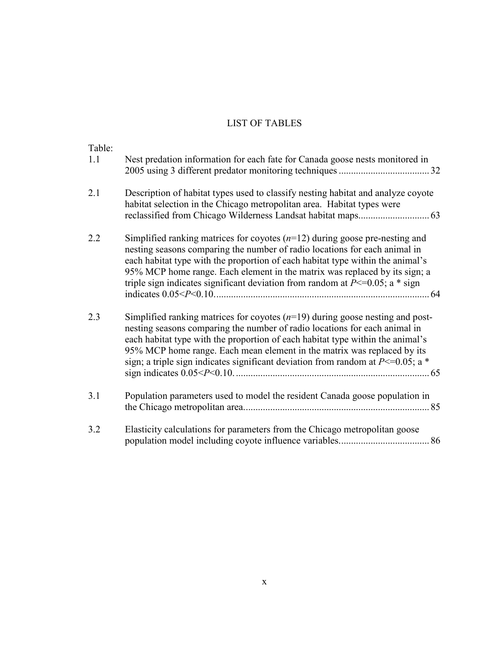# LIST OF TABLES

| Table:<br>1.1 | Nest predation information for each fate for Canada goose nests monitored in                                                                                                                                                                                                                                                                                                                                        |
|---------------|---------------------------------------------------------------------------------------------------------------------------------------------------------------------------------------------------------------------------------------------------------------------------------------------------------------------------------------------------------------------------------------------------------------------|
| 2.1           | Description of habitat types used to classify nesting habitat and analyze coyote<br>habitat selection in the Chicago metropolitan area. Habitat types were                                                                                                                                                                                                                                                          |
| 2.2           | Simplified ranking matrices for coyotes $(n=12)$ during goose pre-nesting and<br>nesting seasons comparing the number of radio locations for each animal in<br>each habitat type with the proportion of each habitat type within the animal's<br>95% MCP home range. Each element in the matrix was replaced by its sign; a<br>triple sign indicates significant deviation from random at $P \le 0.05$ ; a * sign   |
| 2.3           | Simplified ranking matrices for coyotes $(n=19)$ during goose nesting and post-<br>nesting seasons comparing the number of radio locations for each animal in<br>each habitat type with the proportion of each habitat type within the animal's<br>95% MCP home range. Each mean element in the matrix was replaced by its<br>sign; a triple sign indicates significant deviation from random at $P \le 0.05$ ; a * |
| 3.1           | Population parameters used to model the resident Canada goose population in                                                                                                                                                                                                                                                                                                                                         |
| 3.2           | Elasticity calculations for parameters from the Chicago metropolitan goose                                                                                                                                                                                                                                                                                                                                          |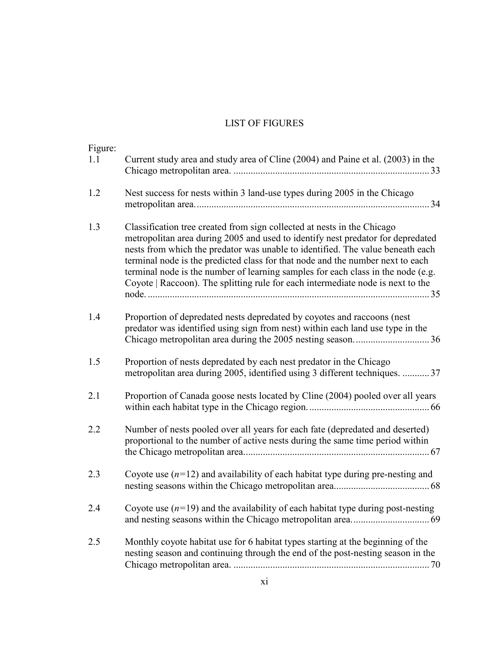# LIST OF FIGURES

| Figure:<br>1.1 | Current study area and study area of Cline (2004) and Paine et al. (2003) in the                                                                                                                                                                                                                                                                                                                                                                                                                      |
|----------------|-------------------------------------------------------------------------------------------------------------------------------------------------------------------------------------------------------------------------------------------------------------------------------------------------------------------------------------------------------------------------------------------------------------------------------------------------------------------------------------------------------|
| 1.2            | Nest success for nests within 3 land-use types during 2005 in the Chicago                                                                                                                                                                                                                                                                                                                                                                                                                             |
| 1.3            | Classification tree created from sign collected at nests in the Chicago<br>metropolitan area during 2005 and used to identify nest predator for depredated<br>nests from which the predator was unable to identified. The value beneath each<br>terminal node is the predicted class for that node and the number next to each<br>terminal node is the number of learning samples for each class in the node (e.g.<br>Coyote   Raccoon). The splitting rule for each intermediate node is next to the |
| 1.4            | Proportion of depredated nests depredated by coyotes and raccoons (nest<br>predator was identified using sign from nest) within each land use type in the                                                                                                                                                                                                                                                                                                                                             |
| 1.5            | Proportion of nests depredated by each nest predator in the Chicago<br>metropolitan area during 2005, identified using 3 different techniques.  37                                                                                                                                                                                                                                                                                                                                                    |
| 2.1            | Proportion of Canada goose nests located by Cline (2004) pooled over all years                                                                                                                                                                                                                                                                                                                                                                                                                        |
| 2.2            | Number of nests pooled over all years for each fate (depredated and deserted)<br>proportional to the number of active nests during the same time period within                                                                                                                                                                                                                                                                                                                                        |
| 2.3            | Coyote use $(n=12)$ and availability of each habitat type during pre-nesting and                                                                                                                                                                                                                                                                                                                                                                                                                      |
| 2.4            | Coyote use $(n=19)$ and the availability of each habitat type during post-nesting                                                                                                                                                                                                                                                                                                                                                                                                                     |
| 2.5            | Monthly coyote habitat use for 6 habitat types starting at the beginning of the<br>nesting season and continuing through the end of the post-nesting season in the                                                                                                                                                                                                                                                                                                                                    |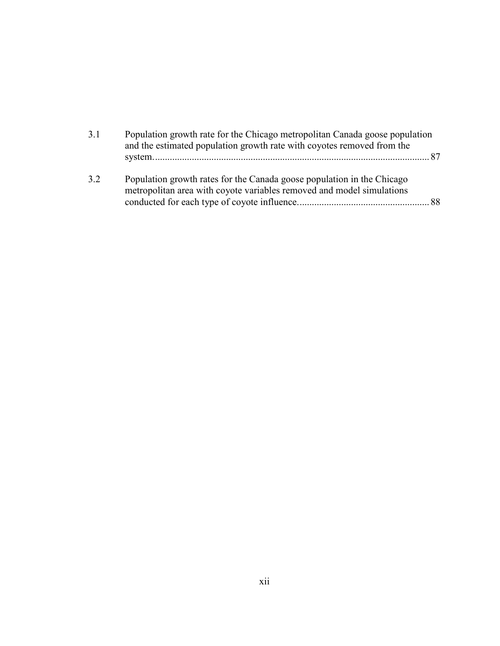| 3.1 | Population growth rate for the Chicago metropolitan Canada goose population<br>and the estimated population growth rate with coyotes removed from the |  |
|-----|-------------------------------------------------------------------------------------------------------------------------------------------------------|--|
|     |                                                                                                                                                       |  |
| 3.2 | Population growth rates for the Canada goose population in the Chicago<br>metropolitan area with coyote variables removed and model simulations       |  |
|     |                                                                                                                                                       |  |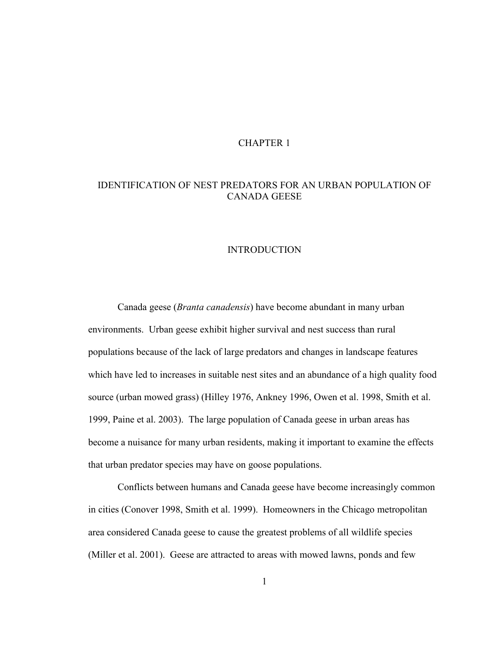## CHAPTER 1

## IDENTIFICATION OF NEST PREDATORS FOR AN URBAN POPULATION OF CANADA GEESE

### INTRODUCTION

 Canada geese (Branta canadensis) have become abundant in many urban environments. Urban geese exhibit higher survival and nest success than rural populations because of the lack of large predators and changes in landscape features which have led to increases in suitable nest sites and an abundance of a high quality food source (urban mowed grass) (Hilley 1976, Ankney 1996, Owen et al. 1998, Smith et al. 1999, Paine et al. 2003). The large population of Canada geese in urban areas has become a nuisance for many urban residents, making it important to examine the effects that urban predator species may have on goose populations.

 Conflicts between humans and Canada geese have become increasingly common in cities (Conover 1998, Smith et al. 1999). Homeowners in the Chicago metropolitan area considered Canada geese to cause the greatest problems of all wildlife species (Miller et al. 2001). Geese are attracted to areas with mowed lawns, ponds and few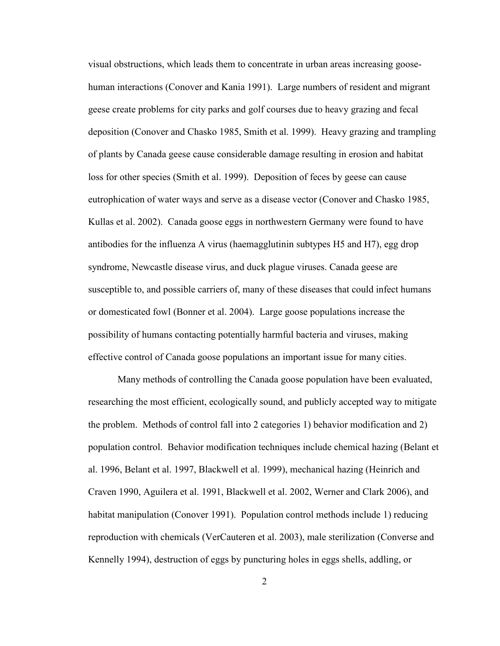visual obstructions, which leads them to concentrate in urban areas increasing goosehuman interactions (Conover and Kania 1991). Large numbers of resident and migrant geese create problems for city parks and golf courses due to heavy grazing and fecal deposition (Conover and Chasko 1985, Smith et al. 1999). Heavy grazing and trampling of plants by Canada geese cause considerable damage resulting in erosion and habitat loss for other species (Smith et al. 1999). Deposition of feces by geese can cause eutrophication of water ways and serve as a disease vector (Conover and Chasko 1985, Kullas et al. 2002). Canada goose eggs in northwestern Germany were found to have antibodies for the influenza A virus (haemagglutinin subtypes H5 and H7), egg drop syndrome, Newcastle disease virus, and duck plague viruses. Canada geese are susceptible to, and possible carriers of, many of these diseases that could infect humans or domesticated fowl (Bonner et al. 2004). Large goose populations increase the possibility of humans contacting potentially harmful bacteria and viruses, making effective control of Canada goose populations an important issue for many cities.

 Many methods of controlling the Canada goose population have been evaluated, researching the most efficient, ecologically sound, and publicly accepted way to mitigate the problem. Methods of control fall into 2 categories 1) behavior modification and 2) population control. Behavior modification techniques include chemical hazing (Belant et al. 1996, Belant et al. 1997, Blackwell et al. 1999), mechanical hazing (Heinrich and Craven 1990, Aguilera et al. 1991, Blackwell et al. 2002, Werner and Clark 2006), and habitat manipulation (Conover 1991). Population control methods include 1) reducing reproduction with chemicals (VerCauteren et al. 2003), male sterilization (Converse and Kennelly 1994), destruction of eggs by puncturing holes in eggs shells, addling, or

2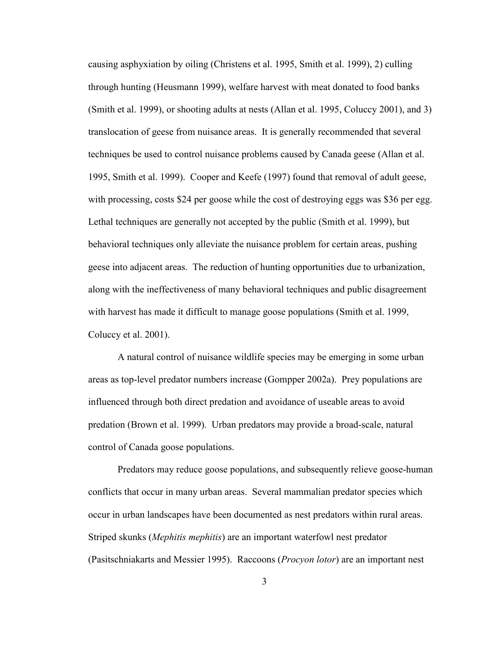causing asphyxiation by oiling (Christens et al. 1995, Smith et al. 1999), 2) culling through hunting (Heusmann 1999), welfare harvest with meat donated to food banks (Smith et al. 1999), or shooting adults at nests (Allan et al. 1995, Coluccy 2001), and 3) translocation of geese from nuisance areas. It is generally recommended that several techniques be used to control nuisance problems caused by Canada geese (Allan et al. 1995, Smith et al. 1999). Cooper and Keefe (1997) found that removal of adult geese, with processing, costs \$24 per goose while the cost of destroying eggs was \$36 per egg. Lethal techniques are generally not accepted by the public (Smith et al. 1999), but behavioral techniques only alleviate the nuisance problem for certain areas, pushing geese into adjacent areas. The reduction of hunting opportunities due to urbanization, along with the ineffectiveness of many behavioral techniques and public disagreement with harvest has made it difficult to manage goose populations (Smith et al. 1999, Coluccy et al. 2001).

 A natural control of nuisance wildlife species may be emerging in some urban areas as top-level predator numbers increase (Gompper 2002a). Prey populations are influenced through both direct predation and avoidance of useable areas to avoid predation (Brown et al. 1999). Urban predators may provide a broad-scale, natural control of Canada goose populations.

 Predators may reduce goose populations, and subsequently relieve goose-human conflicts that occur in many urban areas. Several mammalian predator species which occur in urban landscapes have been documented as nest predators within rural areas. Striped skunks (Mephitis mephitis) are an important waterfowl nest predator (Pasitschniakarts and Messier 1995). Raccoons (Procyon lotor) are an important nest

3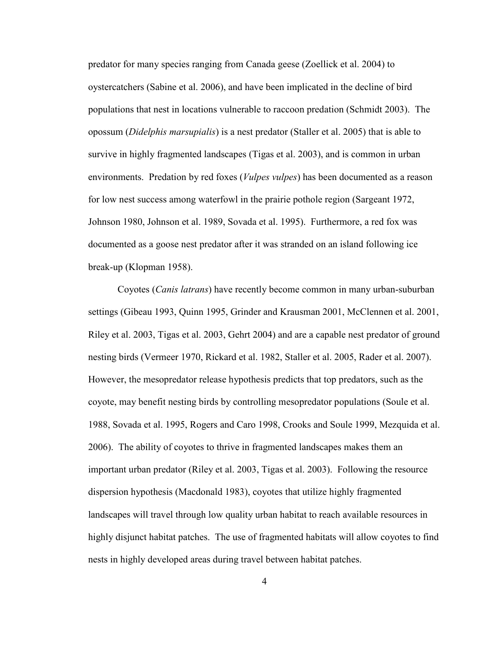predator for many species ranging from Canada geese (Zoellick et al. 2004) to oystercatchers (Sabine et al. 2006), and have been implicated in the decline of bird populations that nest in locations vulnerable to raccoon predation (Schmidt 2003). The opossum (Didelphis marsupialis) is a nest predator (Staller et al. 2005) that is able to survive in highly fragmented landscapes (Tigas et al. 2003), and is common in urban environments. Predation by red foxes (*Vulpes vulpes*) has been documented as a reason for low nest success among waterfowl in the prairie pothole region (Sargeant 1972, Johnson 1980, Johnson et al. 1989, Sovada et al. 1995). Furthermore, a red fox was documented as a goose nest predator after it was stranded on an island following ice break-up (Klopman 1958).

 Coyotes (Canis latrans) have recently become common in many urban-suburban settings (Gibeau 1993, Quinn 1995, Grinder and Krausman 2001, McClennen et al. 2001, Riley et al. 2003, Tigas et al. 2003, Gehrt 2004) and are a capable nest predator of ground nesting birds (Vermeer 1970, Rickard et al. 1982, Staller et al. 2005, Rader et al. 2007). However, the mesopredator release hypothesis predicts that top predators, such as the coyote, may benefit nesting birds by controlling mesopredator populations (Soule et al. 1988, Sovada et al. 1995, Rogers and Caro 1998, Crooks and Soule 1999, Mezquida et al. 2006). The ability of coyotes to thrive in fragmented landscapes makes them an important urban predator (Riley et al. 2003, Tigas et al. 2003). Following the resource dispersion hypothesis (Macdonald 1983), coyotes that utilize highly fragmented landscapes will travel through low quality urban habitat to reach available resources in highly disjunct habitat patches. The use of fragmented habitats will allow coyotes to find nests in highly developed areas during travel between habitat patches.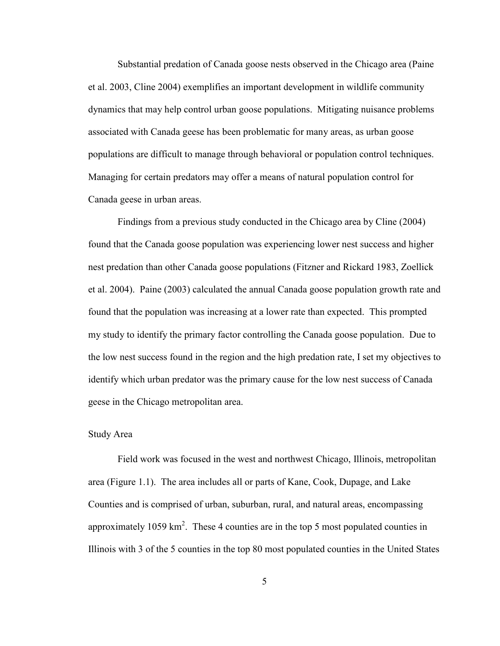Substantial predation of Canada goose nests observed in the Chicago area (Paine et al. 2003, Cline 2004) exemplifies an important development in wildlife community dynamics that may help control urban goose populations. Mitigating nuisance problems associated with Canada geese has been problematic for many areas, as urban goose populations are difficult to manage through behavioral or population control techniques. Managing for certain predators may offer a means of natural population control for Canada geese in urban areas.

 Findings from a previous study conducted in the Chicago area by Cline (2004) found that the Canada goose population was experiencing lower nest success and higher nest predation than other Canada goose populations (Fitzner and Rickard 1983, Zoellick et al. 2004). Paine (2003) calculated the annual Canada goose population growth rate and found that the population was increasing at a lower rate than expected. This prompted my study to identify the primary factor controlling the Canada goose population. Due to the low nest success found in the region and the high predation rate, I set my objectives to identify which urban predator was the primary cause for the low nest success of Canada geese in the Chicago metropolitan area.

#### Study Area

 Field work was focused in the west and northwest Chicago, Illinois, metropolitan area (Figure 1.1). The area includes all or parts of Kane, Cook, Dupage, and Lake Counties and is comprised of urban, suburban, rural, and natural areas, encompassing approximately 1059 km<sup>2</sup>. These 4 counties are in the top 5 most populated counties in Illinois with 3 of the 5 counties in the top 80 most populated counties in the United States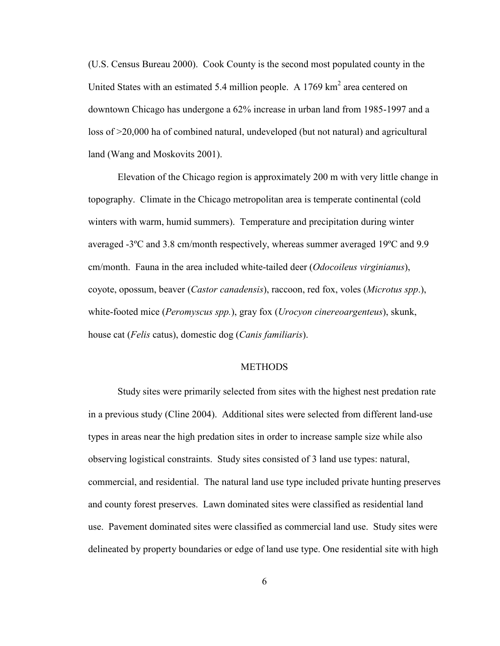(U.S. Census Bureau 2000). Cook County is the second most populated county in the United States with an estimated 5.4 million people. A  $1769 \text{ km}^2$  area centered on downtown Chicago has undergone a 62% increase in urban land from 1985-1997 and a loss of >20,000 ha of combined natural, undeveloped (but not natural) and agricultural land (Wang and Moskovits 2001).

Elevation of the Chicago region is approximately 200 m with very little change in topography. Climate in the Chicago metropolitan area is temperate continental (cold winters with warm, humid summers). Temperature and precipitation during winter averaged -3ºC and 3.8 cm/month respectively, whereas summer averaged 19ºC and 9.9 cm/month. Fauna in the area included white-tailed deer (*Odocoileus virginianus*), coyote, opossum, beaver (Castor canadensis), raccoon, red fox, voles (Microtus spp.), white-footed mice (Peromyscus spp.), gray fox (Urocyon cinereoargenteus), skunk, house cat (*Felis* catus), domestic dog (*Canis familiaris*).

## METHODS

 Study sites were primarily selected from sites with the highest nest predation rate in a previous study (Cline 2004). Additional sites were selected from different land-use types in areas near the high predation sites in order to increase sample size while also observing logistical constraints. Study sites consisted of 3 land use types: natural, commercial, and residential. The natural land use type included private hunting preserves and county forest preserves. Lawn dominated sites were classified as residential land use. Pavement dominated sites were classified as commercial land use. Study sites were delineated by property boundaries or edge of land use type. One residential site with high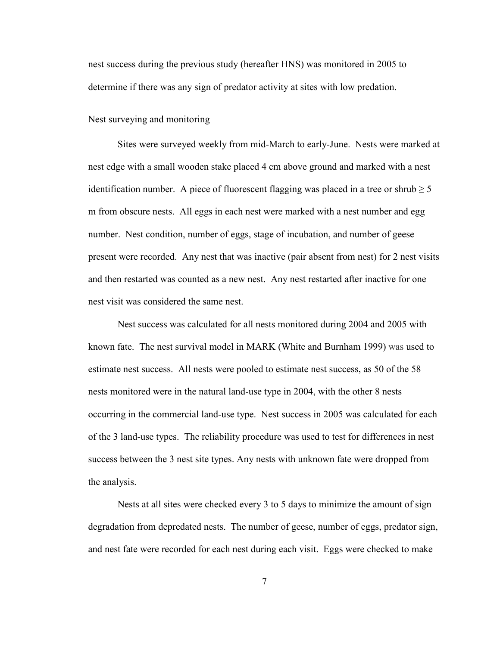nest success during the previous study (hereafter HNS) was monitored in 2005 to determine if there was any sign of predator activity at sites with low predation.

Nest surveying and monitoring

 Sites were surveyed weekly from mid-March to early-June. Nests were marked at nest edge with a small wooden stake placed 4 cm above ground and marked with a nest identification number. A piece of fluorescent flagging was placed in a tree or shrub  $\geq 5$ m from obscure nests. All eggs in each nest were marked with a nest number and egg number. Nest condition, number of eggs, stage of incubation, and number of geese present were recorded. Any nest that was inactive (pair absent from nest) for 2 nest visits and then restarted was counted as a new nest. Any nest restarted after inactive for one nest visit was considered the same nest.

 Nest success was calculated for all nests monitored during 2004 and 2005 with known fate. The nest survival model in MARK (White and Burnham 1999) was used to estimate nest success. All nests were pooled to estimate nest success, as 50 of the 58 nests monitored were in the natural land-use type in 2004, with the other 8 nests occurring in the commercial land-use type. Nest success in 2005 was calculated for each of the 3 land-use types. The reliability procedure was used to test for differences in nest success between the 3 nest site types. Any nests with unknown fate were dropped from the analysis.

 Nests at all sites were checked every 3 to 5 days to minimize the amount of sign degradation from depredated nests. The number of geese, number of eggs, predator sign, and nest fate were recorded for each nest during each visit. Eggs were checked to make

7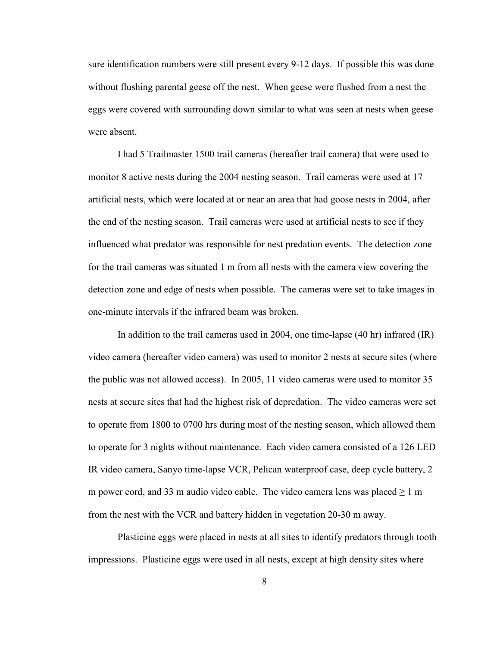sure identification numbers were still present every 9-12 days. If possible this was done without flushing parental geese off the nest. When geese were flushed from a nest the eggs were covered with surrounding down similar to what was seen at nests when geese were absent.

 I had 5 Trailmaster 1500 trail cameras (hereafter trail camera) that were used to monitor 8 active nests during the 2004 nesting season. Trail cameras were used at 17 artificial nests, which were located at or near an area that had goose nests in 2004, after the end of the nesting season. Trail cameras were used at artificial nests to see if they influenced what predator was responsible for nest predation events. The detection zone for the trail cameras was situated 1 m from all nests with the camera view covering the detection zone and edge of nests when possible. The cameras were set to take images in one-minute intervals if the infrared beam was broken.

 In addition to the trail cameras used in 2004, one time-lapse (40 hr) infrared (IR) video camera (hereafter video camera) was used to monitor 2 nests at secure sites (where the public was not allowed access). In 2005, 11 video cameras were used to monitor 35 nests at secure sites that had the highest risk of depredation. The video cameras were set to operate from 1800 to 0700 hrs during most of the nesting season, which allowed them to operate for 3 nights without maintenance. Each video camera consisted of a 126 LED IR video camera, Sanyo time-lapse VCR, Pelican waterproof case, deep cycle battery, 2 m power cord, and 33 m audio video cable. The video camera lens was placed  $\geq 1$  m from the nest with the VCR and battery hidden in vegetation 20-30 m away.

 Plasticine eggs were placed in nests at all sites to identify predators through tooth impressions. Plasticine eggs were used in all nests, except at high density sites where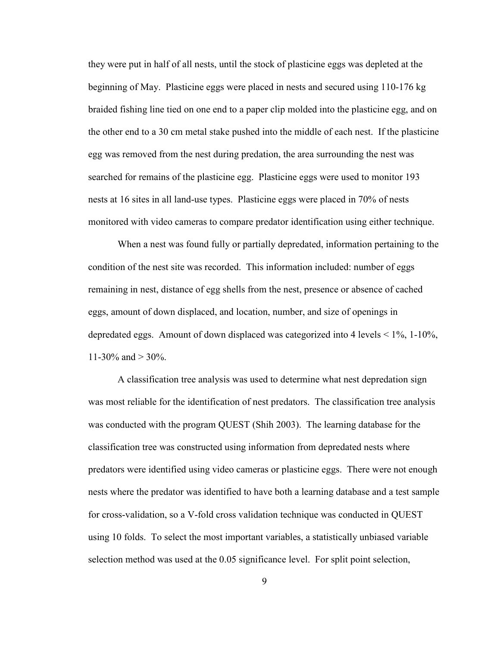they were put in half of all nests, until the stock of plasticine eggs was depleted at the beginning of May. Plasticine eggs were placed in nests and secured using 110-176 kg braided fishing line tied on one end to a paper clip molded into the plasticine egg, and on the other end to a 30 cm metal stake pushed into the middle of each nest. If the plasticine egg was removed from the nest during predation, the area surrounding the nest was searched for remains of the plasticine egg. Plasticine eggs were used to monitor 193 nests at 16 sites in all land-use types. Plasticine eggs were placed in 70% of nests monitored with video cameras to compare predator identification using either technique.

 When a nest was found fully or partially depredated, information pertaining to the condition of the nest site was recorded. This information included: number of eggs remaining in nest, distance of egg shells from the nest, presence or absence of cached eggs, amount of down displaced, and location, number, and size of openings in depredated eggs. Amount of down displaced was categorized into 4 levels < 1%, 1-10%, 11-30\% and  $>$  30\%.

 A classification tree analysis was used to determine what nest depredation sign was most reliable for the identification of nest predators. The classification tree analysis was conducted with the program QUEST (Shih 2003). The learning database for the classification tree was constructed using information from depredated nests where predators were identified using video cameras or plasticine eggs. There were not enough nests where the predator was identified to have both a learning database and a test sample for cross-validation, so a V-fold cross validation technique was conducted in QUEST using 10 folds. To select the most important variables, a statistically unbiased variable selection method was used at the 0.05 significance level. For split point selection,

9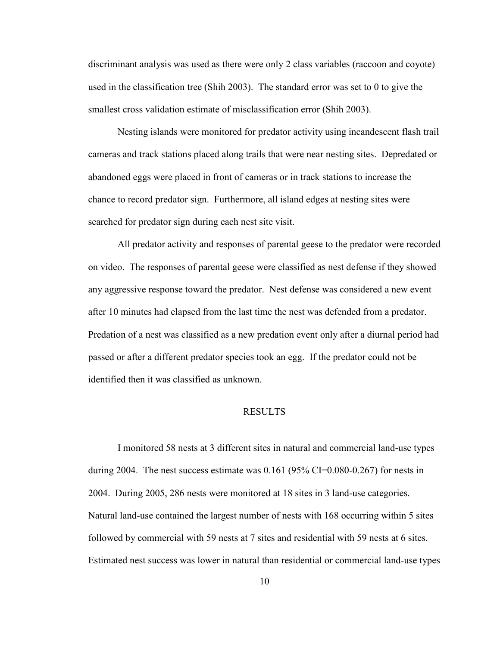discriminant analysis was used as there were only 2 class variables (raccoon and coyote) used in the classification tree (Shih 2003). The standard error was set to 0 to give the smallest cross validation estimate of misclassification error (Shih 2003).

 Nesting islands were monitored for predator activity using incandescent flash trail cameras and track stations placed along trails that were near nesting sites. Depredated or abandoned eggs were placed in front of cameras or in track stations to increase the chance to record predator sign. Furthermore, all island edges at nesting sites were searched for predator sign during each nest site visit.

 All predator activity and responses of parental geese to the predator were recorded on video. The responses of parental geese were classified as nest defense if they showed any aggressive response toward the predator. Nest defense was considered a new event after 10 minutes had elapsed from the last time the nest was defended from a predator. Predation of a nest was classified as a new predation event only after a diurnal period had passed or after a different predator species took an egg. If the predator could not be identified then it was classified as unknown.

### RESULTS

 I monitored 58 nests at 3 different sites in natural and commercial land-use types during 2004. The nest success estimate was  $0.161$  (95% CI=0.080-0.267) for nests in 2004. During 2005, 286 nests were monitored at 18 sites in 3 land-use categories. Natural land-use contained the largest number of nests with 168 occurring within 5 sites followed by commercial with 59 nests at 7 sites and residential with 59 nests at 6 sites. Estimated nest success was lower in natural than residential or commercial land-use types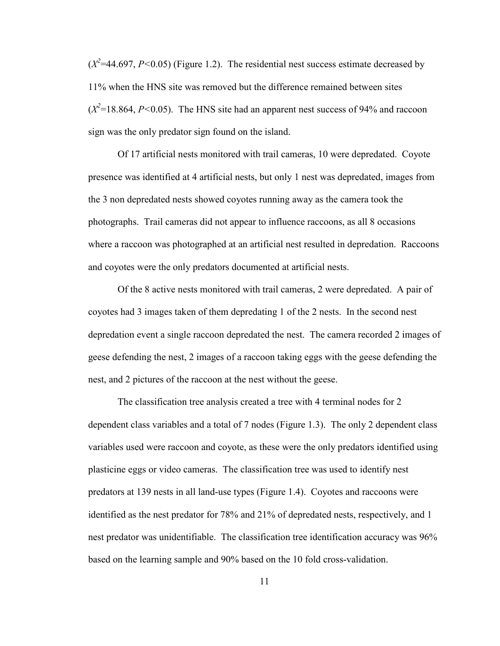$(X^2=44.697, P<0.05)$  (Figure 1.2). The residential nest success estimate decreased by 11% when the HNS site was removed but the difference remained between sites  $(X^2=18.864, P<0.05)$ . The HNS site had an apparent nest success of 94% and raccoon sign was the only predator sign found on the island.

 Of 17 artificial nests monitored with trail cameras, 10 were depredated. Coyote presence was identified at 4 artificial nests, but only 1 nest was depredated, images from the 3 non depredated nests showed coyotes running away as the camera took the photographs. Trail cameras did not appear to influence raccoons, as all 8 occasions where a raccoon was photographed at an artificial nest resulted in depredation. Raccoons and coyotes were the only predators documented at artificial nests.

 Of the 8 active nests monitored with trail cameras, 2 were depredated. A pair of coyotes had 3 images taken of them depredating 1 of the 2 nests. In the second nest depredation event a single raccoon depredated the nest. The camera recorded 2 images of geese defending the nest, 2 images of a raccoon taking eggs with the geese defending the nest, and 2 pictures of the raccoon at the nest without the geese.

 The classification tree analysis created a tree with 4 terminal nodes for 2 dependent class variables and a total of 7 nodes (Figure 1.3). The only 2 dependent class variables used were raccoon and coyote, as these were the only predators identified using plasticine eggs or video cameras. The classification tree was used to identify nest predators at 139 nests in all land-use types (Figure 1.4). Coyotes and raccoons were identified as the nest predator for 78% and 21% of depredated nests, respectively, and 1 nest predator was unidentifiable. The classification tree identification accuracy was 96% based on the learning sample and 90% based on the 10 fold cross-validation.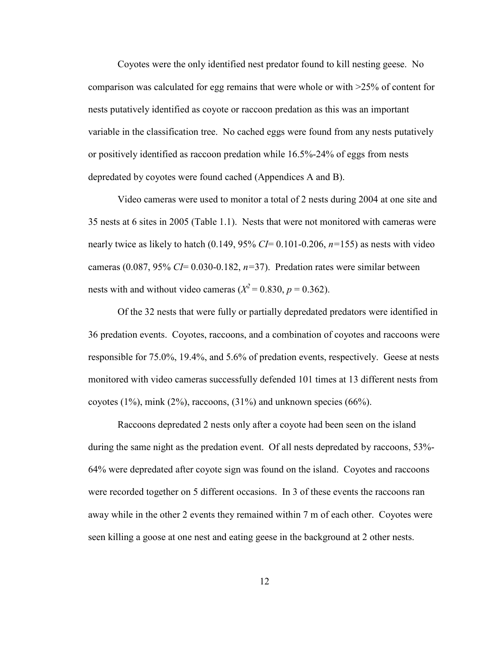Coyotes were the only identified nest predator found to kill nesting geese. No comparison was calculated for egg remains that were whole or with >25% of content for nests putatively identified as coyote or raccoon predation as this was an important variable in the classification tree. No cached eggs were found from any nests putatively or positively identified as raccoon predation while 16.5%-24% of eggs from nests depredated by coyotes were found cached (Appendices A and B).

 Video cameras were used to monitor a total of 2 nests during 2004 at one site and 35 nests at 6 sites in 2005 (Table 1.1). Nests that were not monitored with cameras were nearly twice as likely to hatch  $(0.149, 95\% \text{ } CI = 0.101 - 0.206, n = 155)$  as nests with video cameras (0.087, 95%  $CI = 0.030 - 0.182$ ,  $n=37$ ). Predation rates were similar between nests with and without video cameras ( $X^2 = 0.830$ ,  $p = 0.362$ ).

 Of the 32 nests that were fully or partially depredated predators were identified in 36 predation events. Coyotes, raccoons, and a combination of coyotes and raccoons were responsible for 75.0%, 19.4%, and 5.6% of predation events, respectively. Geese at nests monitored with video cameras successfully defended 101 times at 13 different nests from coyotes  $(1\%)$ , mink  $(2\%)$ , raccoons,  $(31\%)$  and unknown species  $(66\%)$ .

 Raccoons depredated 2 nests only after a coyote had been seen on the island during the same night as the predation event. Of all nests depredated by raccoons, 53%- 64% were depredated after coyote sign was found on the island. Coyotes and raccoons were recorded together on 5 different occasions. In 3 of these events the raccoons ran away while in the other 2 events they remained within 7 m of each other. Coyotes were seen killing a goose at one nest and eating geese in the background at 2 other nests.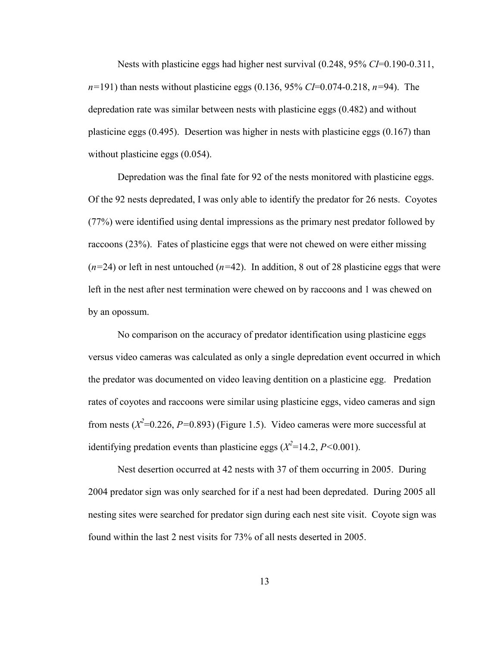Nests with plasticine eggs had higher nest survival  $(0.248, 95\% \text{ CI} = 0.190 - 0.311)$ ,  $n=191$ ) than nests without plasticine eggs (0.136, 95% CI=0.074-0.218, n=94). The depredation rate was similar between nests with plasticine eggs (0.482) and without plasticine eggs (0.495). Desertion was higher in nests with plasticine eggs (0.167) than without plasticine eggs  $(0.054)$ .

Depredation was the final fate for 92 of the nests monitored with plasticine eggs. Of the 92 nests depredated, I was only able to identify the predator for 26 nests. Coyotes (77%) were identified using dental impressions as the primary nest predator followed by raccoons (23%). Fates of plasticine eggs that were not chewed on were either missing  $(n=24)$  or left in nest untouched  $(n=42)$ . In addition, 8 out of 28 plasticine eggs that were left in the nest after nest termination were chewed on by raccoons and 1 was chewed on by an opossum.

No comparison on the accuracy of predator identification using plasticine eggs versus video cameras was calculated as only a single depredation event occurred in which the predator was documented on video leaving dentition on a plasticine egg. Predation rates of coyotes and raccoons were similar using plasticine eggs, video cameras and sign from nests  $(X^2=0.226, P=0.893)$  (Figure 1.5). Video cameras were more successful at identifying predation events than plasticine eggs  $(X^2=14.2, P<0.001)$ .

 Nest desertion occurred at 42 nests with 37 of them occurring in 2005. During 2004 predator sign was only searched for if a nest had been depredated. During 2005 all nesting sites were searched for predator sign during each nest site visit. Coyote sign was found within the last 2 nest visits for 73% of all nests deserted in 2005.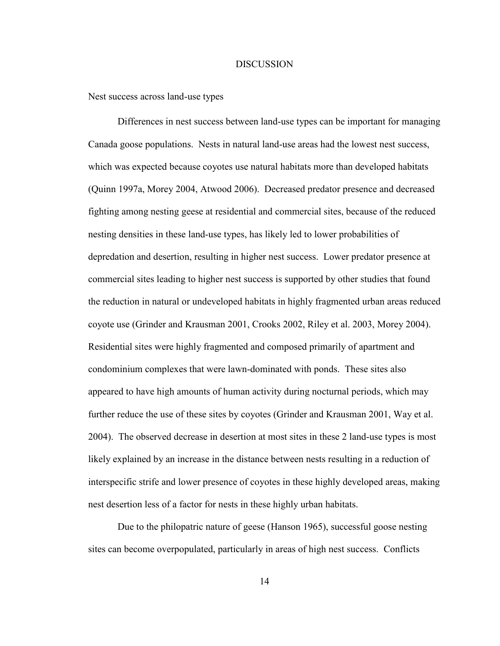#### **DISCUSSION**

Nest success across land-use types

 Differences in nest success between land-use types can be important for managing Canada goose populations. Nests in natural land-use areas had the lowest nest success, which was expected because coyotes use natural habitats more than developed habitats (Quinn 1997a, Morey 2004, Atwood 2006). Decreased predator presence and decreased fighting among nesting geese at residential and commercial sites, because of the reduced nesting densities in these land-use types, has likely led to lower probabilities of depredation and desertion, resulting in higher nest success. Lower predator presence at commercial sites leading to higher nest success is supported by other studies that found the reduction in natural or undeveloped habitats in highly fragmented urban areas reduced coyote use (Grinder and Krausman 2001, Crooks 2002, Riley et al. 2003, Morey 2004). Residential sites were highly fragmented and composed primarily of apartment and condominium complexes that were lawn-dominated with ponds. These sites also appeared to have high amounts of human activity during nocturnal periods, which may further reduce the use of these sites by coyotes (Grinder and Krausman 2001, Way et al. 2004). The observed decrease in desertion at most sites in these 2 land-use types is most likely explained by an increase in the distance between nests resulting in a reduction of interspecific strife and lower presence of coyotes in these highly developed areas, making nest desertion less of a factor for nests in these highly urban habitats.

 Due to the philopatric nature of geese (Hanson 1965), successful goose nesting sites can become overpopulated, particularly in areas of high nest success. Conflicts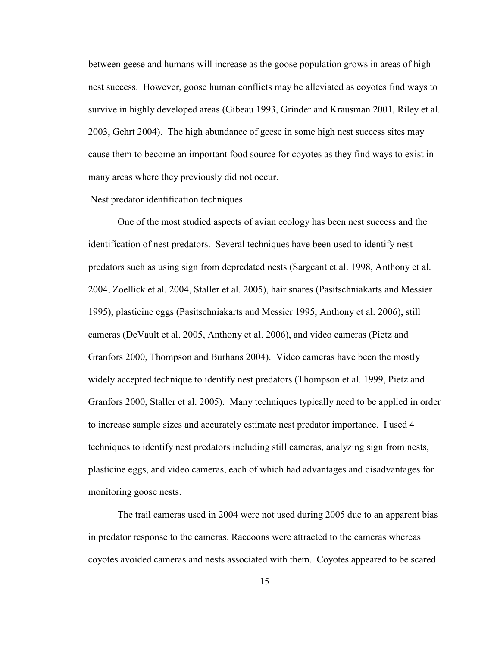between geese and humans will increase as the goose population grows in areas of high nest success. However, goose human conflicts may be alleviated as coyotes find ways to survive in highly developed areas (Gibeau 1993, Grinder and Krausman 2001, Riley et al. 2003, Gehrt 2004). The high abundance of geese in some high nest success sites may cause them to become an important food source for coyotes as they find ways to exist in many areas where they previously did not occur.

## Nest predator identification techniques

 One of the most studied aspects of avian ecology has been nest success and the identification of nest predators. Several techniques have been used to identify nest predators such as using sign from depredated nests (Sargeant et al. 1998, Anthony et al. 2004, Zoellick et al. 2004, Staller et al. 2005), hair snares (Pasitschniakarts and Messier 1995), plasticine eggs (Pasitschniakarts and Messier 1995, Anthony et al. 2006), still cameras (DeVault et al. 2005, Anthony et al. 2006), and video cameras (Pietz and Granfors 2000, Thompson and Burhans 2004). Video cameras have been the mostly widely accepted technique to identify nest predators (Thompson et al. 1999, Pietz and Granfors 2000, Staller et al. 2005). Many techniques typically need to be applied in order to increase sample sizes and accurately estimate nest predator importance. I used 4 techniques to identify nest predators including still cameras, analyzing sign from nests, plasticine eggs, and video cameras, each of which had advantages and disadvantages for monitoring goose nests.

 The trail cameras used in 2004 were not used during 2005 due to an apparent bias in predator response to the cameras. Raccoons were attracted to the cameras whereas coyotes avoided cameras and nests associated with them. Coyotes appeared to be scared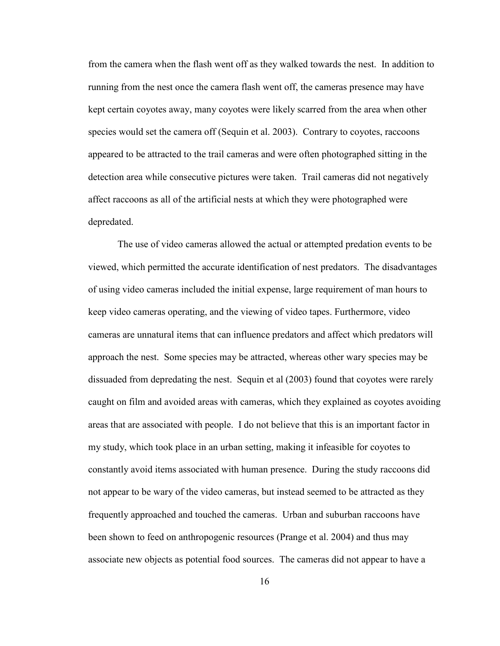from the camera when the flash went off as they walked towards the nest. In addition to running from the nest once the camera flash went off, the cameras presence may have kept certain coyotes away, many coyotes were likely scarred from the area when other species would set the camera off (Sequin et al. 2003). Contrary to coyotes, raccoons appeared to be attracted to the trail cameras and were often photographed sitting in the detection area while consecutive pictures were taken. Trail cameras did not negatively affect raccoons as all of the artificial nests at which they were photographed were depredated.

 The use of video cameras allowed the actual or attempted predation events to be viewed, which permitted the accurate identification of nest predators. The disadvantages of using video cameras included the initial expense, large requirement of man hours to keep video cameras operating, and the viewing of video tapes. Furthermore, video cameras are unnatural items that can influence predators and affect which predators will approach the nest. Some species may be attracted, whereas other wary species may be dissuaded from depredating the nest. Sequin et al (2003) found that coyotes were rarely caught on film and avoided areas with cameras, which they explained as coyotes avoiding areas that are associated with people. I do not believe that this is an important factor in my study, which took place in an urban setting, making it infeasible for coyotes to constantly avoid items associated with human presence. During the study raccoons did not appear to be wary of the video cameras, but instead seemed to be attracted as they frequently approached and touched the cameras. Urban and suburban raccoons have been shown to feed on anthropogenic resources (Prange et al. 2004) and thus may associate new objects as potential food sources. The cameras did not appear to have a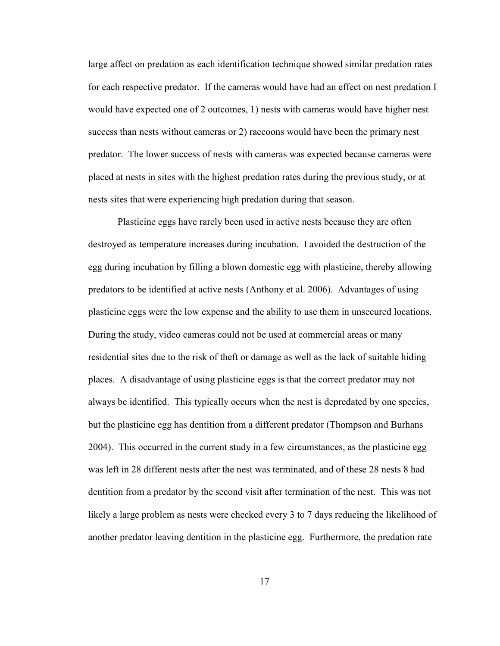large affect on predation as each identification technique showed similar predation rates for each respective predator. If the cameras would have had an effect on nest predation I would have expected one of 2 outcomes, 1) nests with cameras would have higher nest success than nests without cameras or 2) raccoons would have been the primary nest predator. The lower success of nests with cameras was expected because cameras were placed at nests in sites with the highest predation rates during the previous study, or at nests sites that were experiencing high predation during that season.

 Plasticine eggs have rarely been used in active nests because they are often destroyed as temperature increases during incubation. I avoided the destruction of the egg during incubation by filling a blown domestic egg with plasticine, thereby allowing predators to be identified at active nests (Anthony et al. 2006). Advantages of using plasticine eggs were the low expense and the ability to use them in unsecured locations. During the study, video cameras could not be used at commercial areas or many residential sites due to the risk of theft or damage as well as the lack of suitable hiding places. A disadvantage of using plasticine eggs is that the correct predator may not always be identified. This typically occurs when the nest is depredated by one species, but the plasticine egg has dentition from a different predator (Thompson and Burhans 2004). This occurred in the current study in a few circumstances, as the plasticine egg was left in 28 different nests after the nest was terminated, and of these 28 nests 8 had dentition from a predator by the second visit after termination of the nest. This was not likely a large problem as nests were checked every 3 to 7 days reducing the likelihood of another predator leaving dentition in the plasticine egg. Furthermore, the predation rate

17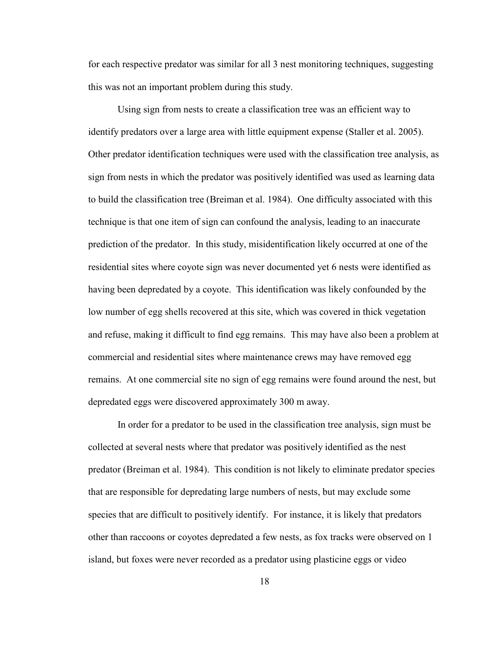for each respective predator was similar for all 3 nest monitoring techniques, suggesting this was not an important problem during this study.

 Using sign from nests to create a classification tree was an efficient way to identify predators over a large area with little equipment expense (Staller et al. 2005). Other predator identification techniques were used with the classification tree analysis, as sign from nests in which the predator was positively identified was used as learning data to build the classification tree (Breiman et al. 1984). One difficulty associated with this technique is that one item of sign can confound the analysis, leading to an inaccurate prediction of the predator. In this study, misidentification likely occurred at one of the residential sites where coyote sign was never documented yet 6 nests were identified as having been depredated by a coyote. This identification was likely confounded by the low number of egg shells recovered at this site, which was covered in thick vegetation and refuse, making it difficult to find egg remains. This may have also been a problem at commercial and residential sites where maintenance crews may have removed egg remains. At one commercial site no sign of egg remains were found around the nest, but depredated eggs were discovered approximately 300 m away.

 In order for a predator to be used in the classification tree analysis, sign must be collected at several nests where that predator was positively identified as the nest predator (Breiman et al. 1984). This condition is not likely to eliminate predator species that are responsible for depredating large numbers of nests, but may exclude some species that are difficult to positively identify. For instance, it is likely that predators other than raccoons or coyotes depredated a few nests, as fox tracks were observed on 1 island, but foxes were never recorded as a predator using plasticine eggs or video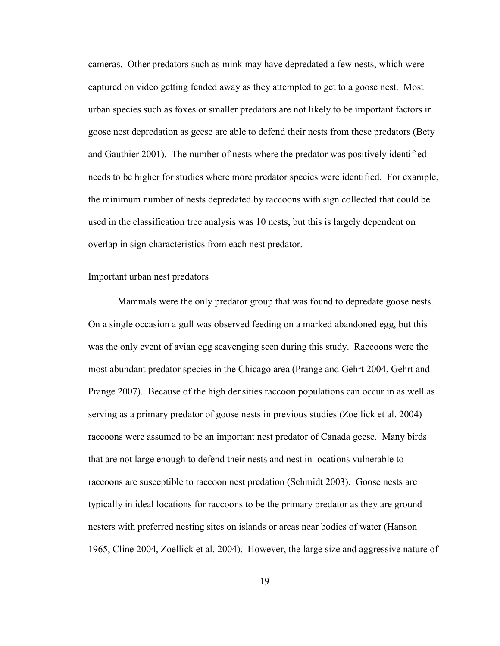cameras. Other predators such as mink may have depredated a few nests, which were captured on video getting fended away as they attempted to get to a goose nest. Most urban species such as foxes or smaller predators are not likely to be important factors in goose nest depredation as geese are able to defend their nests from these predators (Bety and Gauthier 2001). The number of nests where the predator was positively identified needs to be higher for studies where more predator species were identified. For example, the minimum number of nests depredated by raccoons with sign collected that could be used in the classification tree analysis was 10 nests, but this is largely dependent on overlap in sign characteristics from each nest predator.

#### Important urban nest predators

 Mammals were the only predator group that was found to depredate goose nests. On a single occasion a gull was observed feeding on a marked abandoned egg, but this was the only event of avian egg scavenging seen during this study. Raccoons were the most abundant predator species in the Chicago area (Prange and Gehrt 2004, Gehrt and Prange 2007). Because of the high densities raccoon populations can occur in as well as serving as a primary predator of goose nests in previous studies (Zoellick et al. 2004) raccoons were assumed to be an important nest predator of Canada geese. Many birds that are not large enough to defend their nests and nest in locations vulnerable to raccoons are susceptible to raccoon nest predation (Schmidt 2003). Goose nests are typically in ideal locations for raccoons to be the primary predator as they are ground nesters with preferred nesting sites on islands or areas near bodies of water (Hanson 1965, Cline 2004, Zoellick et al. 2004). However, the large size and aggressive nature of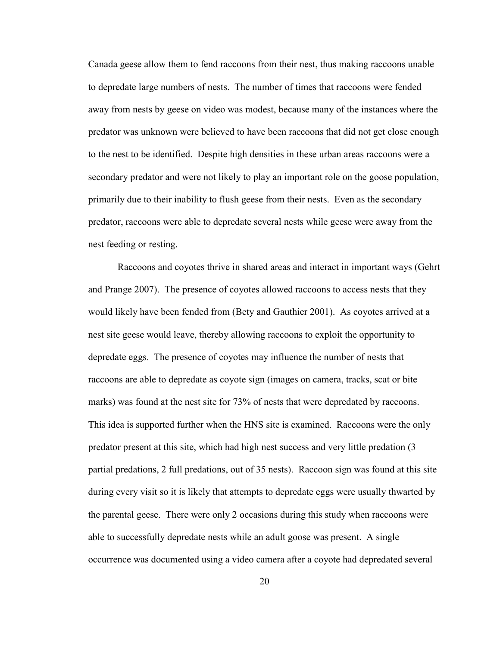Canada geese allow them to fend raccoons from their nest, thus making raccoons unable to depredate large numbers of nests. The number of times that raccoons were fended away from nests by geese on video was modest, because many of the instances where the predator was unknown were believed to have been raccoons that did not get close enough to the nest to be identified. Despite high densities in these urban areas raccoons were a secondary predator and were not likely to play an important role on the goose population, primarily due to their inability to flush geese from their nests. Even as the secondary predator, raccoons were able to depredate several nests while geese were away from the nest feeding or resting.

 Raccoons and coyotes thrive in shared areas and interact in important ways (Gehrt and Prange 2007). The presence of coyotes allowed raccoons to access nests that they would likely have been fended from (Bety and Gauthier 2001). As coyotes arrived at a nest site geese would leave, thereby allowing raccoons to exploit the opportunity to depredate eggs. The presence of coyotes may influence the number of nests that raccoons are able to depredate as coyote sign (images on camera, tracks, scat or bite marks) was found at the nest site for 73% of nests that were depredated by raccoons. This idea is supported further when the HNS site is examined. Raccoons were the only predator present at this site, which had high nest success and very little predation (3 partial predations, 2 full predations, out of 35 nests). Raccoon sign was found at this site during every visit so it is likely that attempts to depredate eggs were usually thwarted by the parental geese. There were only 2 occasions during this study when raccoons were able to successfully depredate nests while an adult goose was present. A single occurrence was documented using a video camera after a coyote had depredated several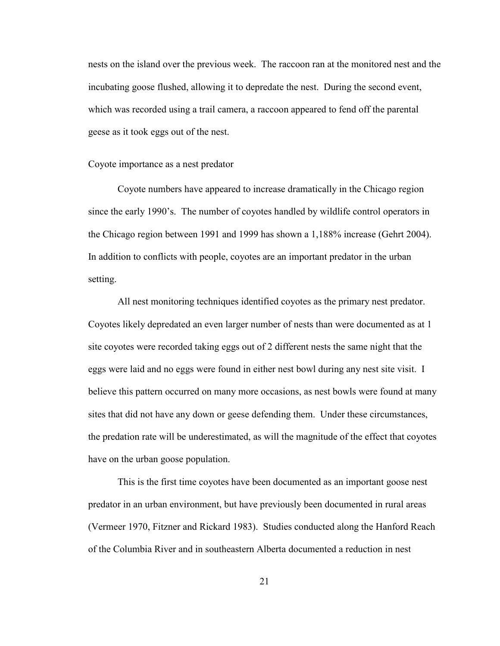nests on the island over the previous week. The raccoon ran at the monitored nest and the incubating goose flushed, allowing it to depredate the nest. During the second event, which was recorded using a trail camera, a raccoon appeared to fend off the parental geese as it took eggs out of the nest.

#### Coyote importance as a nest predator

Coyote numbers have appeared to increase dramatically in the Chicago region since the early 1990's. The number of coyotes handled by wildlife control operators in the Chicago region between 1991 and 1999 has shown a 1,188% increase (Gehrt 2004). In addition to conflicts with people, coyotes are an important predator in the urban setting.

All nest monitoring techniques identified coyotes as the primary nest predator. Coyotes likely depredated an even larger number of nests than were documented as at 1 site coyotes were recorded taking eggs out of 2 different nests the same night that the eggs were laid and no eggs were found in either nest bowl during any nest site visit. I believe this pattern occurred on many more occasions, as nest bowls were found at many sites that did not have any down or geese defending them. Under these circumstances, the predation rate will be underestimated, as will the magnitude of the effect that coyotes have on the urban goose population.

This is the first time coyotes have been documented as an important goose nest predator in an urban environment, but have previously been documented in rural areas (Vermeer 1970, Fitzner and Rickard 1983). Studies conducted along the Hanford Reach of the Columbia River and in southeastern Alberta documented a reduction in nest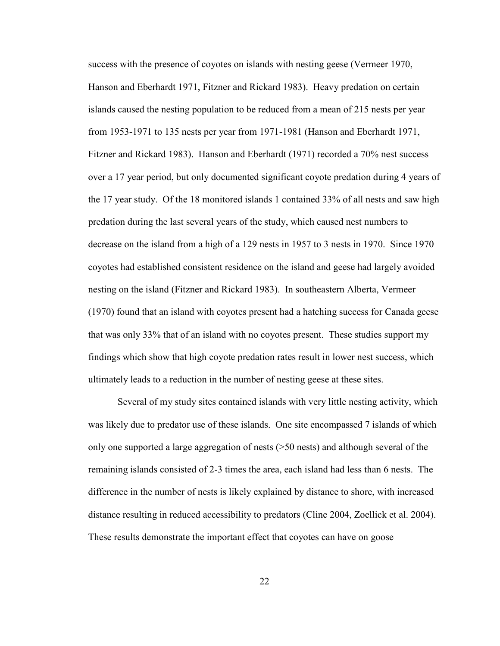success with the presence of coyotes on islands with nesting geese (Vermeer 1970, Hanson and Eberhardt 1971, Fitzner and Rickard 1983). Heavy predation on certain islands caused the nesting population to be reduced from a mean of 215 nests per year from 1953-1971 to 135 nests per year from 1971-1981 (Hanson and Eberhardt 1971, Fitzner and Rickard 1983). Hanson and Eberhardt (1971) recorded a 70% nest success over a 17 year period, but only documented significant coyote predation during 4 years of the 17 year study. Of the 18 monitored islands 1 contained 33% of all nests and saw high predation during the last several years of the study, which caused nest numbers to decrease on the island from a high of a 129 nests in 1957 to 3 nests in 1970. Since 1970 coyotes had established consistent residence on the island and geese had largely avoided nesting on the island (Fitzner and Rickard 1983). In southeastern Alberta, Vermeer (1970) found that an island with coyotes present had a hatching success for Canada geese that was only 33% that of an island with no coyotes present. These studies support my findings which show that high coyote predation rates result in lower nest success, which ultimately leads to a reduction in the number of nesting geese at these sites.

 Several of my study sites contained islands with very little nesting activity, which was likely due to predator use of these islands. One site encompassed 7 islands of which only one supported a large aggregation of nests (>50 nests) and although several of the remaining islands consisted of 2-3 times the area, each island had less than 6 nests. The difference in the number of nests is likely explained by distance to shore, with increased distance resulting in reduced accessibility to predators (Cline 2004, Zoellick et al. 2004). These results demonstrate the important effect that coyotes can have on goose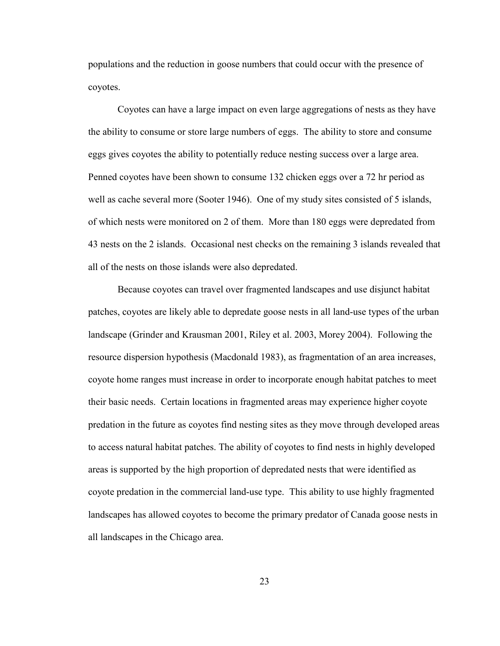populations and the reduction in goose numbers that could occur with the presence of coyotes.

 Coyotes can have a large impact on even large aggregations of nests as they have the ability to consume or store large numbers of eggs. The ability to store and consume eggs gives coyotes the ability to potentially reduce nesting success over a large area. Penned coyotes have been shown to consume 132 chicken eggs over a 72 hr period as well as cache several more (Sooter 1946). One of my study sites consisted of 5 islands, of which nests were monitored on 2 of them. More than 180 eggs were depredated from 43 nests on the 2 islands. Occasional nest checks on the remaining 3 islands revealed that all of the nests on those islands were also depredated.

 Because coyotes can travel over fragmented landscapes and use disjunct habitat patches, coyotes are likely able to depredate goose nests in all land-use types of the urban landscape (Grinder and Krausman 2001, Riley et al. 2003, Morey 2004). Following the resource dispersion hypothesis (Macdonald 1983), as fragmentation of an area increases, coyote home ranges must increase in order to incorporate enough habitat patches to meet their basic needs. Certain locations in fragmented areas may experience higher coyote predation in the future as coyotes find nesting sites as they move through developed areas to access natural habitat patches. The ability of coyotes to find nests in highly developed areas is supported by the high proportion of depredated nests that were identified as coyote predation in the commercial land-use type. This ability to use highly fragmented landscapes has allowed coyotes to become the primary predator of Canada goose nests in all landscapes in the Chicago area.

23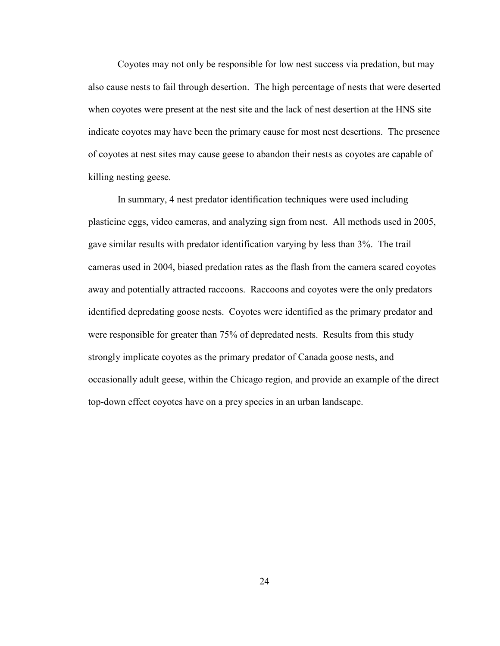Coyotes may not only be responsible for low nest success via predation, but may also cause nests to fail through desertion. The high percentage of nests that were deserted when coyotes were present at the nest site and the lack of nest desertion at the HNS site indicate coyotes may have been the primary cause for most nest desertions. The presence of coyotes at nest sites may cause geese to abandon their nests as coyotes are capable of killing nesting geese.

 In summary, 4 nest predator identification techniques were used including plasticine eggs, video cameras, and analyzing sign from nest. All methods used in 2005, gave similar results with predator identification varying by less than 3%. The trail cameras used in 2004, biased predation rates as the flash from the camera scared coyotes away and potentially attracted raccoons. Raccoons and coyotes were the only predators identified depredating goose nests. Coyotes were identified as the primary predator and were responsible for greater than 75% of depredated nests. Results from this study strongly implicate coyotes as the primary predator of Canada goose nests, and occasionally adult geese, within the Chicago region, and provide an example of the direct top-down effect coyotes have on a prey species in an urban landscape.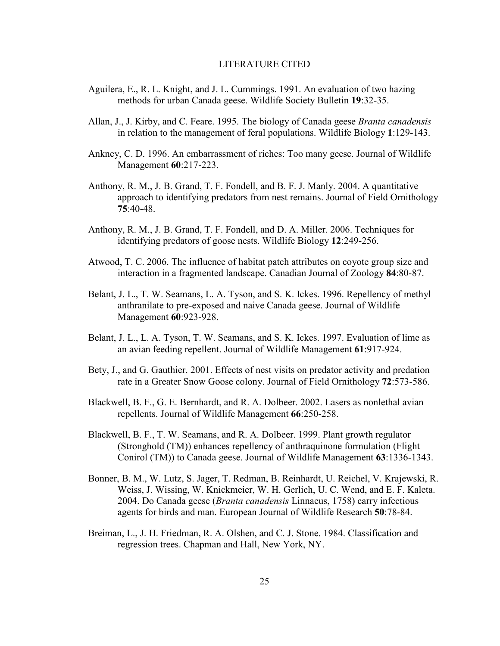### LITERATURE CITED

- Aguilera, E., R. L. Knight, and J. L. Cummings. 1991. An evaluation of two hazing methods for urban Canada geese. Wildlife Society Bulletin 19:32-35.
- Allan, J., J. Kirby, and C. Feare. 1995. The biology of Canada geese *Branta canadensis* in relation to the management of feral populations. Wildlife Biology 1:129-143.
- Ankney, C. D. 1996. An embarrassment of riches: Too many geese. Journal of Wildlife Management 60:217-223.
- Anthony, R. M., J. B. Grand, T. F. Fondell, and B. F. J. Manly. 2004. A quantitative approach to identifying predators from nest remains. Journal of Field Ornithology 75:40-48.
- Anthony, R. M., J. B. Grand, T. F. Fondell, and D. A. Miller. 2006. Techniques for identifying predators of goose nests. Wildlife Biology 12:249-256.
- Atwood, T. C. 2006. The influence of habitat patch attributes on coyote group size and interaction in a fragmented landscape. Canadian Journal of Zoology 84:80-87.
- Belant, J. L., T. W. Seamans, L. A. Tyson, and S. K. Ickes. 1996. Repellency of methyl anthranilate to pre-exposed and naive Canada geese. Journal of Wildlife Management 60:923-928.
- Belant, J. L., L. A. Tyson, T. W. Seamans, and S. K. Ickes. 1997. Evaluation of lime as an avian feeding repellent. Journal of Wildlife Management 61:917-924.
- Bety, J., and G. Gauthier. 2001. Effects of nest visits on predator activity and predation rate in a Greater Snow Goose colony. Journal of Field Ornithology 72:573-586.
- Blackwell, B. F., G. E. Bernhardt, and R. A. Dolbeer. 2002. Lasers as nonlethal avian repellents. Journal of Wildlife Management 66:250-258.
- Blackwell, B. F., T. W. Seamans, and R. A. Dolbeer. 1999. Plant growth regulator (Stronghold (TM)) enhances repellency of anthraquinone formulation (Flight Conirol (TM)) to Canada geese. Journal of Wildlife Management 63:1336-1343.
- Bonner, B. M., W. Lutz, S. Jager, T. Redman, B. Reinhardt, U. Reichel, V. Krajewski, R. Weiss, J. Wissing, W. Knickmeier, W. H. Gerlich, U. C. Wend, and E. F. Kaleta. 2004. Do Canada geese (Branta canadensis Linnaeus, 1758) carry infectious agents for birds and man. European Journal of Wildlife Research 50:78-84.
- Breiman, L., J. H. Friedman, R. A. Olshen, and C. J. Stone. 1984. Classification and regression trees. Chapman and Hall, New York, NY.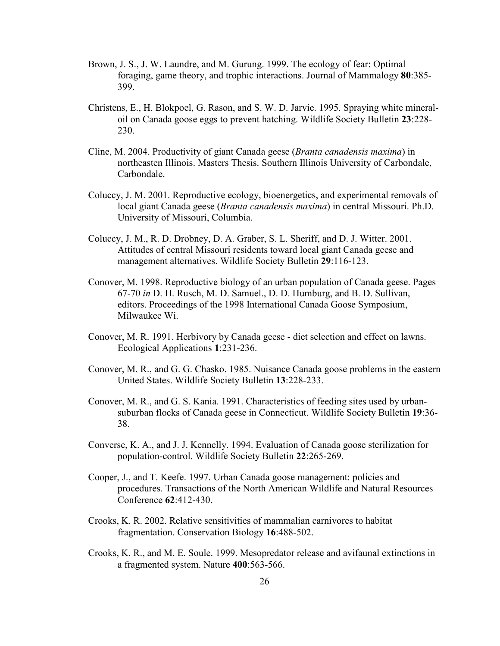- Brown, J. S., J. W. Laundre, and M. Gurung. 1999. The ecology of fear: Optimal foraging, game theory, and trophic interactions. Journal of Mammalogy 80:385- 399.
- Christens, E., H. Blokpoel, G. Rason, and S. W. D. Jarvie. 1995. Spraying white mineraloil on Canada goose eggs to prevent hatching. Wildlife Society Bulletin 23:228- 230.
- Cline, M. 2004. Productivity of giant Canada geese (Branta canadensis maxima) in northeasten Illinois. Masters Thesis. Southern Illinois University of Carbondale, Carbondale.
- Coluccy, J. M. 2001. Reproductive ecology, bioenergetics, and experimental removals of local giant Canada geese (Branta canadensis maxima) in central Missouri. Ph.D. University of Missouri, Columbia.
- Coluccy, J. M., R. D. Drobney, D. A. Graber, S. L. Sheriff, and D. J. Witter. 2001. Attitudes of central Missouri residents toward local giant Canada geese and management alternatives. Wildlife Society Bulletin 29:116-123.
- Conover, M. 1998. Reproductive biology of an urban population of Canada geese. Pages 67-70 in D. H. Rusch, M. D. Samuel., D. D. Humburg, and B. D. Sullivan, editors. Proceedings of the 1998 International Canada Goose Symposium, Milwaukee Wi.
- Conover, M. R. 1991. Herbivory by Canada geese diet selection and effect on lawns. Ecological Applications 1:231-236.
- Conover, M. R., and G. G. Chasko. 1985. Nuisance Canada goose problems in the eastern United States. Wildlife Society Bulletin 13:228-233.
- Conover, M. R., and G. S. Kania. 1991. Characteristics of feeding sites used by urbansuburban flocks of Canada geese in Connecticut. Wildlife Society Bulletin 19:36- 38.
- Converse, K. A., and J. J. Kennelly. 1994. Evaluation of Canada goose sterilization for population-control. Wildlife Society Bulletin 22:265-269.
- Cooper, J., and T. Keefe. 1997. Urban Canada goose management: policies and procedures. Transactions of the North American Wildlife and Natural Resources Conference 62:412-430.
- Crooks, K. R. 2002. Relative sensitivities of mammalian carnivores to habitat fragmentation. Conservation Biology 16:488-502.
- Crooks, K. R., and M. E. Soule. 1999. Mesopredator release and avifaunal extinctions in a fragmented system. Nature 400:563-566.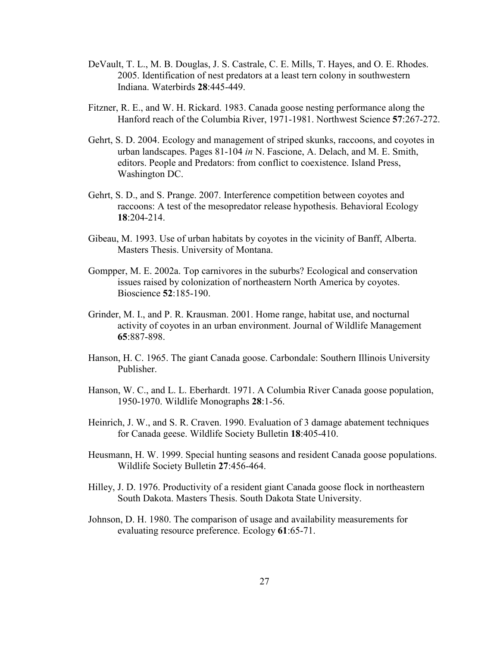- DeVault, T. L., M. B. Douglas, J. S. Castrale, C. E. Mills, T. Hayes, and O. E. Rhodes. 2005. Identification of nest predators at a least tern colony in southwestern Indiana. Waterbirds 28:445-449.
- Fitzner, R. E., and W. H. Rickard. 1983. Canada goose nesting performance along the Hanford reach of the Columbia River, 1971-1981. Northwest Science 57:267-272.
- Gehrt, S. D. 2004. Ecology and management of striped skunks, raccoons, and coyotes in urban landscapes. Pages 81-104 in N. Fascione, A. Delach, and M. E. Smith, editors. People and Predators: from conflict to coexistence. Island Press, Washington DC.
- Gehrt, S. D., and S. Prange. 2007. Interference competition between coyotes and raccoons: A test of the mesopredator release hypothesis. Behavioral Ecology  $18.204 - 214$
- Gibeau, M. 1993. Use of urban habitats by coyotes in the vicinity of Banff, Alberta. Masters Thesis. University of Montana.
- Gompper, M. E. 2002a. Top carnivores in the suburbs? Ecological and conservation issues raised by colonization of northeastern North America by coyotes. Bioscience 52:185-190.
- Grinder, M. I., and P. R. Krausman. 2001. Home range, habitat use, and nocturnal activity of coyotes in an urban environment. Journal of Wildlife Management 65:887-898.
- Hanson, H. C. 1965. The giant Canada goose. Carbondale: Southern Illinois University Publisher.
- Hanson, W. C., and L. L. Eberhardt. 1971. A Columbia River Canada goose population, 1950-1970. Wildlife Monographs 28:1-56.
- Heinrich, J. W., and S. R. Craven. 1990. Evaluation of 3 damage abatement techniques for Canada geese. Wildlife Society Bulletin 18:405-410.
- Heusmann, H. W. 1999. Special hunting seasons and resident Canada goose populations. Wildlife Society Bulletin 27:456-464.
- Hilley, J. D. 1976. Productivity of a resident giant Canada goose flock in northeastern South Dakota. Masters Thesis. South Dakota State University.
- Johnson, D. H. 1980. The comparison of usage and availability measurements for evaluating resource preference. Ecology 61:65-71.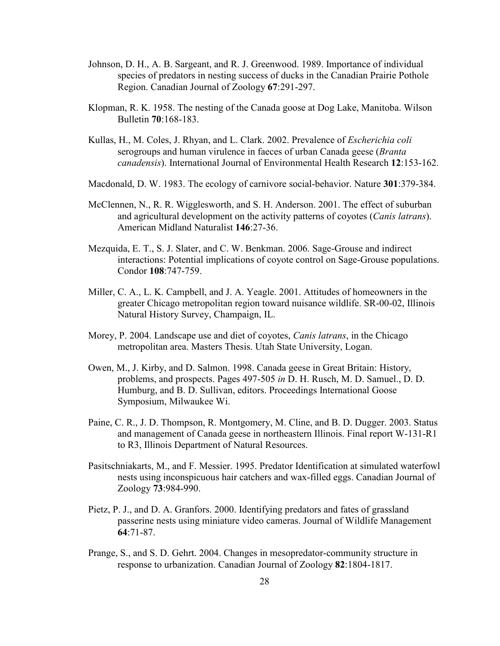- Johnson, D. H., A. B. Sargeant, and R. J. Greenwood. 1989. Importance of individual species of predators in nesting success of ducks in the Canadian Prairie Pothole Region. Canadian Journal of Zoology 67:291-297.
- Klopman, R. K. 1958. The nesting of the Canada goose at Dog Lake, Manitoba. Wilson Bulletin 70:168-183.
- Kullas, H., M. Coles, J. Rhyan, and L. Clark. 2002. Prevalence of *Escherichia coli* serogroups and human virulence in faeces of urban Canada geese (*Branta*) canadensis). International Journal of Environmental Health Research 12:153-162.
- Macdonald, D. W. 1983. The ecology of carnivore social-behavior. Nature 301:379-384.
- McClennen, N., R. R. Wigglesworth, and S. H. Anderson. 2001. The effect of suburban and agricultural development on the activity patterns of coyotes (*Canis latrans*). American Midland Naturalist 146:27-36.
- Mezquida, E. T., S. J. Slater, and C. W. Benkman. 2006. Sage-Grouse and indirect interactions: Potential implications of coyote control on Sage-Grouse populations. Condor 108:747-759.
- Miller, C. A., L. K. Campbell, and J. A. Yeagle. 2001. Attitudes of homeowners in the greater Chicago metropolitan region toward nuisance wildlife. SR-00-02, Illinois Natural History Survey, Champaign, IL.
- Morey, P. 2004. Landscape use and diet of coyotes, *Canis latrans*, in the Chicago metropolitan area. Masters Thesis. Utah State University, Logan.
- Owen, M., J. Kirby, and D. Salmon. 1998. Canada geese in Great Britain: History, problems, and prospects. Pages 497-505 in D. H. Rusch, M. D. Samuel., D. D. Humburg, and B. D. Sullivan, editors. Proceedings International Goose Symposium, Milwaukee Wi.
- Paine, C. R., J. D. Thompson, R. Montgomery, M. Cline, and B. D. Dugger. 2003. Status and management of Canada geese in northeastern Illinois. Final report W-131-R1 to R3, Illinois Department of Natural Resources.
- Pasitschniakarts, M., and F. Messier. 1995. Predator Identification at simulated waterfowl nests using inconspicuous hair catchers and wax-filled eggs. Canadian Journal of Zoology 73:984-990.
- Pietz, P. J., and D. A. Granfors. 2000. Identifying predators and fates of grassland passerine nests using miniature video cameras. Journal of Wildlife Management 64:71-87.
- Prange, S., and S. D. Gehrt. 2004. Changes in mesopredator-community structure in response to urbanization. Canadian Journal of Zoology 82:1804-1817.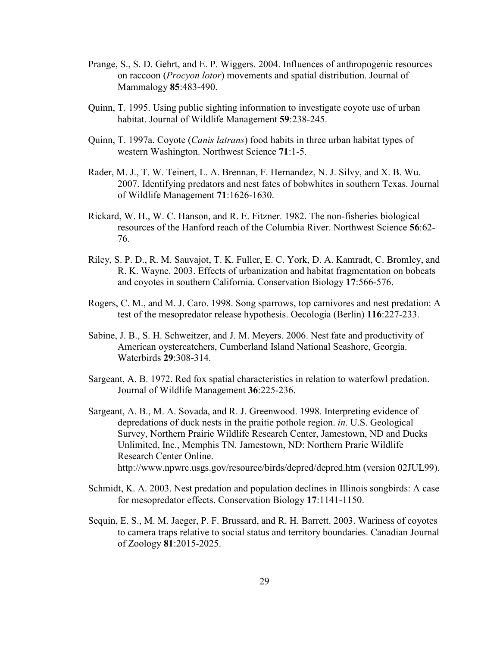- Prange, S., S. D. Gehrt, and E. P. Wiggers. 2004. Influences of anthropogenic resources on raccoon (Procyon lotor) movements and spatial distribution. Journal of Mammalogy 85:483-490.
- Quinn, T. 1995. Using public sighting information to investigate coyote use of urban habitat. Journal of Wildlife Management 59:238-245.
- Quinn, T. 1997a. Coyote (*Canis latrans*) food habits in three urban habitat types of western Washington. Northwest Science 71:1-5.
- Rader, M. J., T. W. Teinert, L. A. Brennan, F. Hernandez, N. J. Silvy, and X. B. Wu. 2007. Identifying predators and nest fates of bobwhites in southern Texas. Journal of Wildlife Management 71:1626-1630.
- Rickard, W. H., W. C. Hanson, and R. E. Fitzner. 1982. The non-fisheries biological resources of the Hanford reach of the Columbia River. Northwest Science 56:62- 76.
- Riley, S. P. D., R. M. Sauvajot, T. K. Fuller, E. C. York, D. A. Kamradt, C. Bromley, and R. K. Wayne. 2003. Effects of urbanization and habitat fragmentation on bobcats and coyotes in southern California. Conservation Biology 17:566-576.
- Rogers, C. M., and M. J. Caro. 1998. Song sparrows, top carnivores and nest predation: A test of the mesopredator release hypothesis. Oecologia (Berlin) 116:227-233.
- Sabine, J. B., S. H. Schweitzer, and J. M. Meyers. 2006. Nest fate and productivity of American oystercatchers, Cumberland Island National Seashore, Georgia. Waterbirds 29:308-314.
- Sargeant, A. B. 1972. Red fox spatial characteristics in relation to waterfowl predation. Journal of Wildlife Management 36:225-236.
- Sargeant, A. B., M. A. Sovada, and R. J. Greenwood. 1998. Interpreting evidence of depredations of duck nests in the praitie pothole region. in. U.S. Geological Survey, Northern Prairie Wildlife Research Center, Jamestown, ND and Ducks Unlimited, Inc., Memphis TN. Jamestown, ND: Northern Prarie Wildlife Research Center Online. http://www.npwrc.usgs.gov/resource/birds/depred/depred.htm (version 02JUL99).
- Schmidt, K. A. 2003. Nest predation and population declines in Illinois songbirds: A case for mesopredator effects. Conservation Biology 17:1141-1150.
- Sequin, E. S., M. M. Jaeger, P. F. Brussard, and R. H. Barrett. 2003. Wariness of coyotes to camera traps relative to social status and territory boundaries. Canadian Journal of Zoology 81:2015-2025.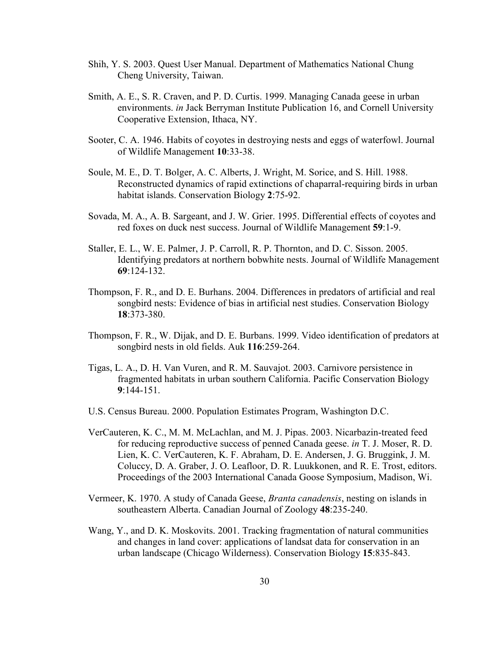- Shih, Y. S. 2003. Quest User Manual. Department of Mathematics National Chung Cheng University, Taiwan.
- Smith, A. E., S. R. Craven, and P. D. Curtis. 1999. Managing Canada geese in urban environments. in Jack Berryman Institute Publication 16, and Cornell University Cooperative Extension, Ithaca, NY.
- Sooter, C. A. 1946. Habits of coyotes in destroying nests and eggs of waterfowl. Journal of Wildlife Management 10:33-38.
- Soule, M. E., D. T. Bolger, A. C. Alberts, J. Wright, M. Sorice, and S. Hill. 1988. Reconstructed dynamics of rapid extinctions of chaparral-requiring birds in urban habitat islands. Conservation Biology 2:75-92.
- Sovada, M. A., A. B. Sargeant, and J. W. Grier. 1995. Differential effects of coyotes and red foxes on duck nest success. Journal of Wildlife Management 59:1-9.
- Staller, E. L., W. E. Palmer, J. P. Carroll, R. P. Thornton, and D. C. Sisson. 2005. Identifying predators at northern bobwhite nests. Journal of Wildlife Management 69:124-132.
- Thompson, F. R., and D. E. Burhans. 2004. Differences in predators of artificial and real songbird nests: Evidence of bias in artificial nest studies. Conservation Biology 18:373-380.
- Thompson, F. R., W. Dijak, and D. E. Burbans. 1999. Video identification of predators at songbird nests in old fields. Auk 116:259-264.
- Tigas, L. A., D. H. Van Vuren, and R. M. Sauvajot. 2003. Carnivore persistence in fragmented habitats in urban southern California. Pacific Conservation Biology 9:144-151.
- U.S. Census Bureau. 2000. Population Estimates Program, Washington D.C.
- VerCauteren, K. C., M. M. McLachlan, and M. J. Pipas. 2003. Nicarbazin-treated feed for reducing reproductive success of penned Canada geese. in T. J. Moser, R. D. Lien, K. C. VerCauteren, K. F. Abraham, D. E. Andersen, J. G. Bruggink, J. M. Coluccy, D. A. Graber, J. O. Leafloor, D. R. Luukkonen, and R. E. Trost, editors. Proceedings of the 2003 International Canada Goose Symposium, Madison, Wi.
- Vermeer, K. 1970. A study of Canada Geese, Branta canadensis, nesting on islands in southeastern Alberta. Canadian Journal of Zoology 48:235-240.
- Wang, Y., and D. K. Moskovits. 2001. Tracking fragmentation of natural communities and changes in land cover: applications of landsat data for conservation in an urban landscape (Chicago Wilderness). Conservation Biology 15:835-843.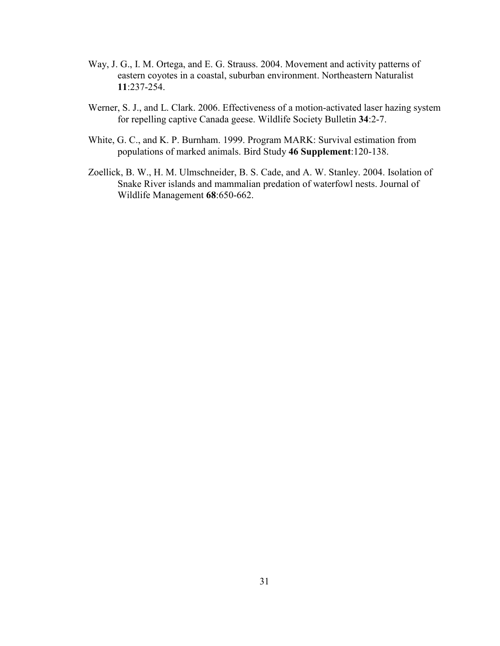- Way, J. G., I. M. Ortega, and E. G. Strauss. 2004. Movement and activity patterns of eastern coyotes in a coastal, suburban environment. Northeastern Naturalist 11:237-254.
- Werner, S. J., and L. Clark. 2006. Effectiveness of a motion-activated laser hazing system for repelling captive Canada geese. Wildlife Society Bulletin 34:2-7.
- White, G. C., and K. P. Burnham. 1999. Program MARK: Survival estimation from populations of marked animals. Bird Study 46 Supplement:120-138.
- Zoellick, B. W., H. M. Ulmschneider, B. S. Cade, and A. W. Stanley. 2004. Isolation of Snake River islands and mammalian predation of waterfowl nests. Journal of Wildlife Management 68:650-662.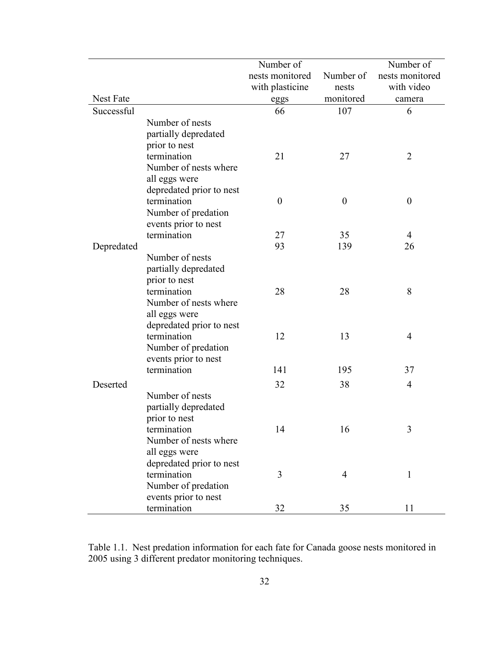|                  |                          | Number of        |                  | Number of        |
|------------------|--------------------------|------------------|------------------|------------------|
|                  |                          | nests monitored  | Number of        | nests monitored  |
|                  |                          | with plasticine  | nests            | with video       |
| <b>Nest Fate</b> |                          | eggs             | monitored        | camera           |
| Successful       |                          | 66               | 107              | 6                |
|                  | Number of nests          |                  |                  |                  |
|                  | partially depredated     |                  |                  |                  |
|                  | prior to nest            |                  |                  |                  |
|                  | termination              | 21               | 27               | $\overline{2}$   |
|                  | Number of nests where    |                  |                  |                  |
|                  | all eggs were            |                  |                  |                  |
|                  | depredated prior to nest |                  |                  |                  |
|                  | termination              | $\boldsymbol{0}$ | $\boldsymbol{0}$ | $\boldsymbol{0}$ |
|                  | Number of predation      |                  |                  |                  |
|                  | events prior to nest     |                  |                  |                  |
|                  | termination              | 27               | 35               | $\overline{4}$   |
| Depredated       |                          | 93               | 139              | 26               |
|                  | Number of nests          |                  |                  |                  |
|                  | partially depredated     |                  |                  |                  |
|                  | prior to nest            |                  |                  |                  |
|                  | termination              | 28               | 28               | 8                |
|                  | Number of nests where    |                  |                  |                  |
|                  | all eggs were            |                  |                  |                  |
|                  | depredated prior to nest |                  |                  |                  |
|                  | termination              | 12               | 13               | 4                |
|                  | Number of predation      |                  |                  |                  |
|                  | events prior to nest     |                  |                  |                  |
|                  | termination              | 141              | 195              | 37               |
| Deserted         |                          | 32               | 38               | 4                |
|                  | Number of nests          |                  |                  |                  |
|                  | partially depredated     |                  |                  |                  |
|                  | prior to nest            |                  |                  |                  |
|                  | termination              | 14               | 16               | 3                |
|                  | Number of nests where    |                  |                  |                  |
|                  | all eggs were            |                  |                  |                  |
|                  | depredated prior to nest |                  |                  |                  |
|                  | termination              | 3                | 4                | $\mathbf{1}$     |
|                  | Number of predation      |                  |                  |                  |
|                  | events prior to nest     |                  |                  |                  |
|                  | termination              | 32               | 35               | 11               |

Table 1.1. Nest predation information for each fate for Canada goose nests monitored in 2005 using 3 different predator monitoring techniques.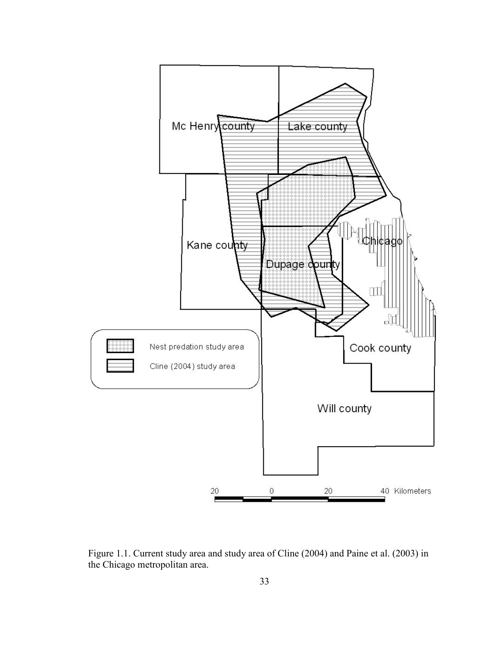

Figure 1.1. Current study area and study area of Cline (2004) and Paine et al. (2003) in the Chicago metropolitan area.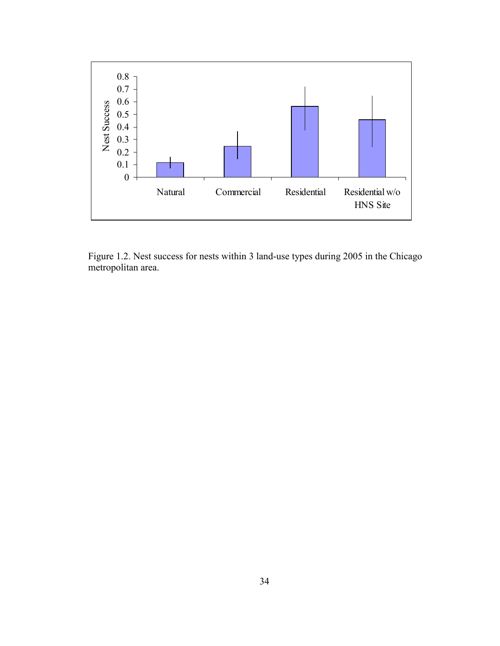

Figure 1.2. Nest success for nests within 3 land-use types during 2005 in the Chicago metropolitan area.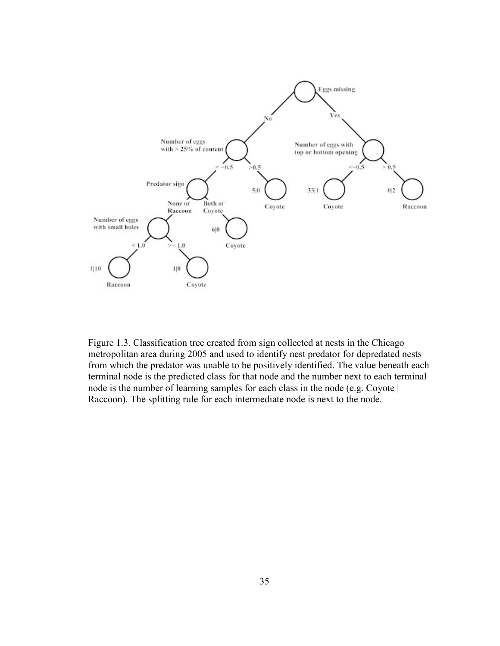

Figure 1.3. Classification tree created from sign collected at nests in the Chicago metropolitan area during 2005 and used to identify nest predator for depredated nests from which the predator was unable to be positively identified. The value beneath each terminal node is the predicted class for that node and the number next to each terminal node is the number of learning samples for each class in the node (e.g. Coyote | Raccoon). The splitting rule for each intermediate node is next to the node.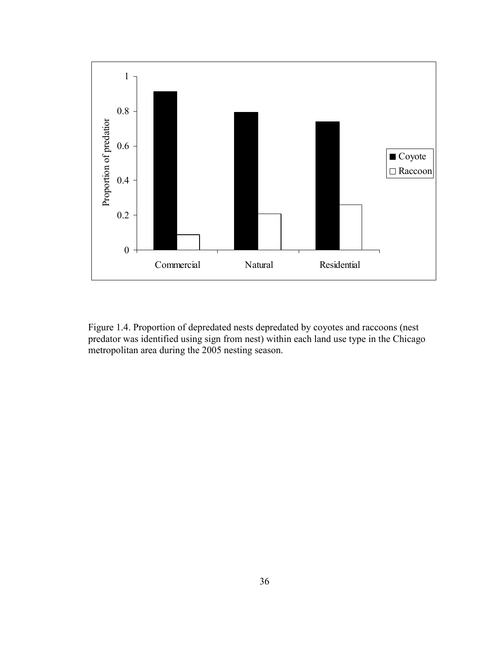

Figure 1.4. Proportion of depredated nests depredated by coyotes and raccoons (nest predator was identified using sign from nest) within each land use type in the Chicago metropolitan area during the 2005 nesting season.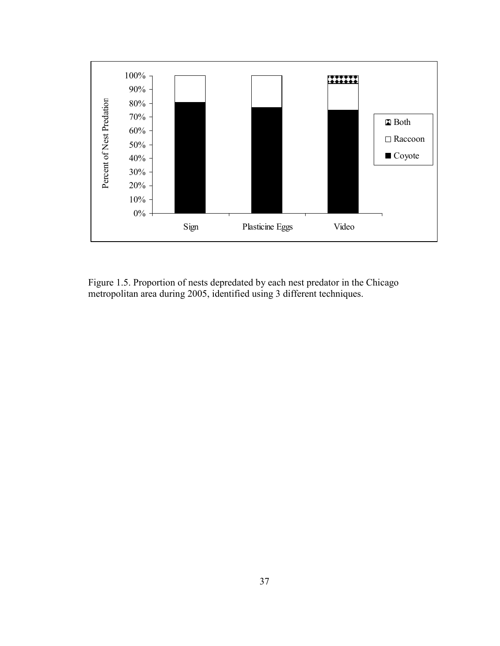

Figure 1.5. Proportion of nests depredated by each nest predator in the Chicago metropolitan area during 2005, identified using 3 different techniques.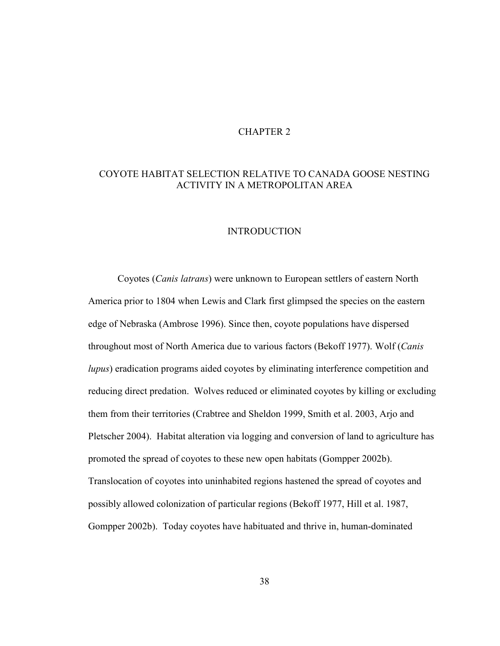## CHAPTER 2

# COYOTE HABITAT SELECTION RELATIVE TO CANADA GOOSE NESTING ACTIVITY IN A METROPOLITAN AREA

### INTRODUCTION

 Coyotes (Canis latrans) were unknown to European settlers of eastern North America prior to 1804 when Lewis and Clark first glimpsed the species on the eastern edge of Nebraska (Ambrose 1996). Since then, coyote populations have dispersed throughout most of North America due to various factors (Bekoff 1977). Wolf (Canis lupus) eradication programs aided coyotes by eliminating interference competition and reducing direct predation. Wolves reduced or eliminated coyotes by killing or excluding them from their territories (Crabtree and Sheldon 1999, Smith et al. 2003, Arjo and Pletscher 2004). Habitat alteration via logging and conversion of land to agriculture has promoted the spread of coyotes to these new open habitats (Gompper 2002b). Translocation of coyotes into uninhabited regions hastened the spread of coyotes and possibly allowed colonization of particular regions (Bekoff 1977, Hill et al. 1987, Gompper 2002b). Today coyotes have habituated and thrive in, human-dominated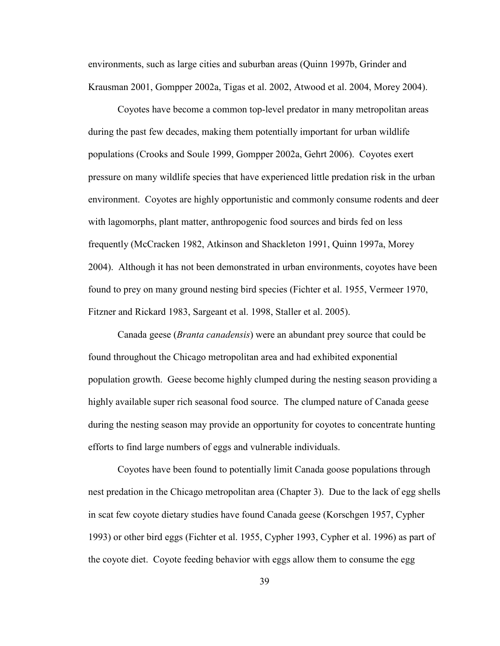environments, such as large cities and suburban areas (Quinn 1997b, Grinder and Krausman 2001, Gompper 2002a, Tigas et al. 2002, Atwood et al. 2004, Morey 2004).

 Coyotes have become a common top-level predator in many metropolitan areas during the past few decades, making them potentially important for urban wildlife populations (Crooks and Soule 1999, Gompper 2002a, Gehrt 2006). Coyotes exert pressure on many wildlife species that have experienced little predation risk in the urban environment. Coyotes are highly opportunistic and commonly consume rodents and deer with lagomorphs, plant matter, anthropogenic food sources and birds fed on less frequently (McCracken 1982, Atkinson and Shackleton 1991, Quinn 1997a, Morey 2004). Although it has not been demonstrated in urban environments, coyotes have been found to prey on many ground nesting bird species (Fichter et al. 1955, Vermeer 1970, Fitzner and Rickard 1983, Sargeant et al. 1998, Staller et al. 2005).

 Canada geese (Branta canadensis) were an abundant prey source that could be found throughout the Chicago metropolitan area and had exhibited exponential population growth. Geese become highly clumped during the nesting season providing a highly available super rich seasonal food source. The clumped nature of Canada geese during the nesting season may provide an opportunity for coyotes to concentrate hunting efforts to find large numbers of eggs and vulnerable individuals.

 Coyotes have been found to potentially limit Canada goose populations through nest predation in the Chicago metropolitan area (Chapter 3). Due to the lack of egg shells in scat few coyote dietary studies have found Canada geese (Korschgen 1957, Cypher 1993) or other bird eggs (Fichter et al. 1955, Cypher 1993, Cypher et al. 1996) as part of the coyote diet. Coyote feeding behavior with eggs allow them to consume the egg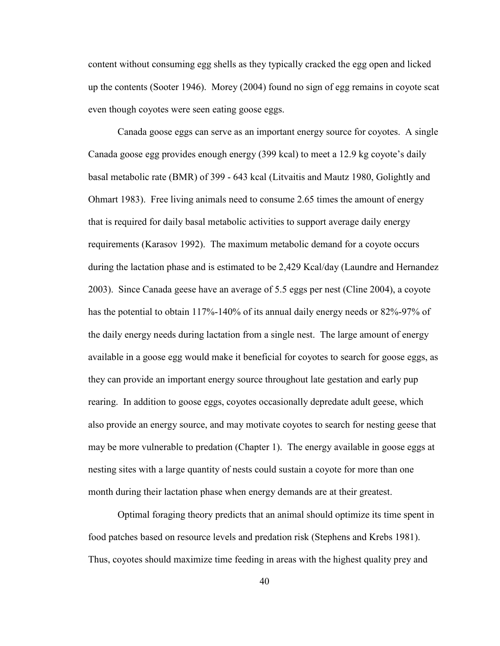content without consuming egg shells as they typically cracked the egg open and licked up the contents (Sooter 1946). Morey (2004) found no sign of egg remains in coyote scat even though coyotes were seen eating goose eggs.

 Canada goose eggs can serve as an important energy source for coyotes. A single Canada goose egg provides enough energy (399 kcal) to meet a 12.9 kg coyote's daily basal metabolic rate (BMR) of 399 - 643 kcal (Litvaitis and Mautz 1980, Golightly and Ohmart 1983). Free living animals need to consume 2.65 times the amount of energy that is required for daily basal metabolic activities to support average daily energy requirements (Karasov 1992). The maximum metabolic demand for a coyote occurs during the lactation phase and is estimated to be 2,429 Kcal/day (Laundre and Hernandez 2003). Since Canada geese have an average of 5.5 eggs per nest (Cline 2004), a coyote has the potential to obtain 117%-140% of its annual daily energy needs or 82%-97% of the daily energy needs during lactation from a single nest. The large amount of energy available in a goose egg would make it beneficial for coyotes to search for goose eggs, as they can provide an important energy source throughout late gestation and early pup rearing. In addition to goose eggs, coyotes occasionally depredate adult geese, which also provide an energy source, and may motivate coyotes to search for nesting geese that may be more vulnerable to predation (Chapter 1). The energy available in goose eggs at nesting sites with a large quantity of nests could sustain a coyote for more than one month during their lactation phase when energy demands are at their greatest.

 Optimal foraging theory predicts that an animal should optimize its time spent in food patches based on resource levels and predation risk (Stephens and Krebs 1981). Thus, coyotes should maximize time feeding in areas with the highest quality prey and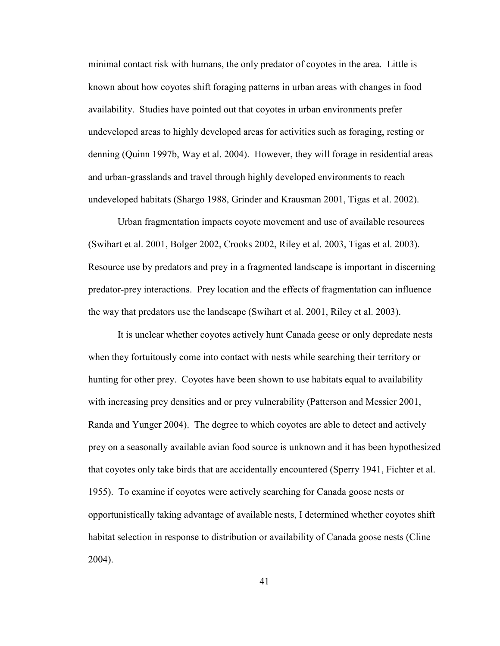minimal contact risk with humans, the only predator of coyotes in the area. Little is known about how coyotes shift foraging patterns in urban areas with changes in food availability. Studies have pointed out that coyotes in urban environments prefer undeveloped areas to highly developed areas for activities such as foraging, resting or denning (Quinn 1997b, Way et al. 2004). However, they will forage in residential areas and urban-grasslands and travel through highly developed environments to reach undeveloped habitats (Shargo 1988, Grinder and Krausman 2001, Tigas et al. 2002).

 Urban fragmentation impacts coyote movement and use of available resources (Swihart et al. 2001, Bolger 2002, Crooks 2002, Riley et al. 2003, Tigas et al. 2003). Resource use by predators and prey in a fragmented landscape is important in discerning predator-prey interactions. Prey location and the effects of fragmentation can influence the way that predators use the landscape (Swihart et al. 2001, Riley et al. 2003).

 It is unclear whether coyotes actively hunt Canada geese or only depredate nests when they fortuitously come into contact with nests while searching their territory or hunting for other prey. Coyotes have been shown to use habitats equal to availability with increasing prey densities and or prey vulnerability (Patterson and Messier 2001, Randa and Yunger 2004). The degree to which coyotes are able to detect and actively prey on a seasonally available avian food source is unknown and it has been hypothesized that coyotes only take birds that are accidentally encountered (Sperry 1941, Fichter et al. 1955). To examine if coyotes were actively searching for Canada goose nests or opportunistically taking advantage of available nests, I determined whether coyotes shift habitat selection in response to distribution or availability of Canada goose nests (Cline 2004).

41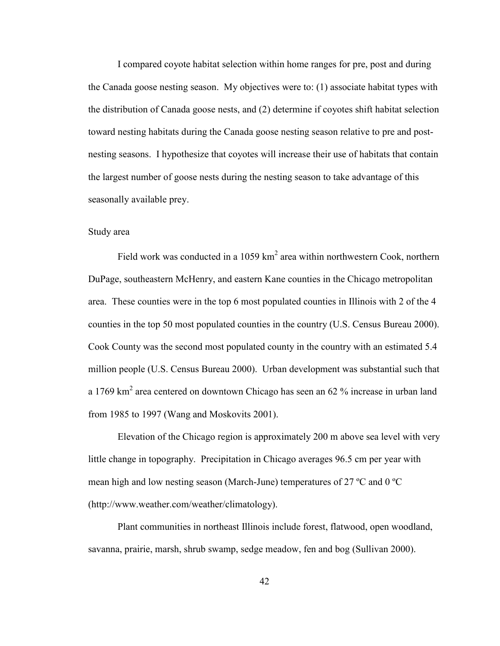I compared coyote habitat selection within home ranges for pre, post and during the Canada goose nesting season. My objectives were to: (1) associate habitat types with the distribution of Canada goose nests, and (2) determine if coyotes shift habitat selection toward nesting habitats during the Canada goose nesting season relative to pre and postnesting seasons. I hypothesize that coyotes will increase their use of habitats that contain the largest number of goose nests during the nesting season to take advantage of this seasonally available prey.

#### Study area

Field work was conducted in a 1059  $km^2$  area within northwestern Cook, northern DuPage, southeastern McHenry, and eastern Kane counties in the Chicago metropolitan area. These counties were in the top 6 most populated counties in Illinois with 2 of the 4 counties in the top 50 most populated counties in the country (U.S. Census Bureau 2000). Cook County was the second most populated county in the country with an estimated 5.4 million people (U.S. Census Bureau 2000). Urban development was substantial such that a 1769 km<sup>2</sup> area centered on downtown Chicago has seen an 62 % increase in urban land from 1985 to 1997 (Wang and Moskovits 2001).

 Elevation of the Chicago region is approximately 200 m above sea level with very little change in topography. Precipitation in Chicago averages 96.5 cm per year with mean high and low nesting season (March-June) temperatures of 27 ºC and 0 ºC (http://www.weather.com/weather/climatology).

 Plant communities in northeast Illinois include forest, flatwood, open woodland, savanna, prairie, marsh, shrub swamp, sedge meadow, fen and bog (Sullivan 2000).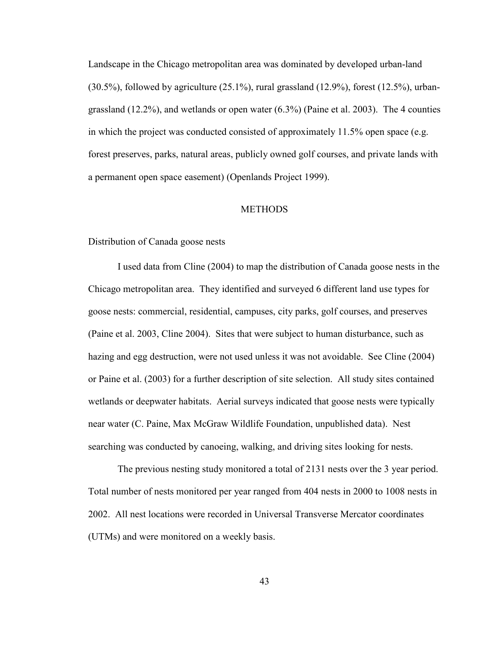Landscape in the Chicago metropolitan area was dominated by developed urban-land  $(30.5\%)$ , followed by agriculture  $(25.1\%)$ , rural grassland  $(12.9\%)$ , forest  $(12.5\%)$ , urbangrassland (12.2%), and wetlands or open water (6.3%) (Paine et al. 2003). The 4 counties in which the project was conducted consisted of approximately 11.5% open space (e.g. forest preserves, parks, natural areas, publicly owned golf courses, and private lands with a permanent open space easement) (Openlands Project 1999).

#### **METHODS**

### Distribution of Canada goose nests

 I used data from Cline (2004) to map the distribution of Canada goose nests in the Chicago metropolitan area. They identified and surveyed 6 different land use types for goose nests: commercial, residential, campuses, city parks, golf courses, and preserves (Paine et al. 2003, Cline 2004). Sites that were subject to human disturbance, such as hazing and egg destruction, were not used unless it was not avoidable. See Cline (2004) or Paine et al. (2003) for a further description of site selection. All study sites contained wetlands or deepwater habitats. Aerial surveys indicated that goose nests were typically near water (C. Paine, Max McGraw Wildlife Foundation, unpublished data). Nest searching was conducted by canoeing, walking, and driving sites looking for nests.

 The previous nesting study monitored a total of 2131 nests over the 3 year period. Total number of nests monitored per year ranged from 404 nests in 2000 to 1008 nests in 2002. All nest locations were recorded in Universal Transverse Mercator coordinates (UTMs) and were monitored on a weekly basis.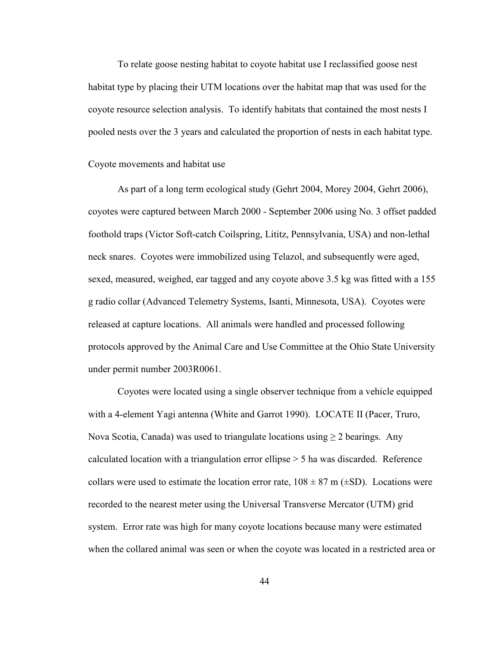To relate goose nesting habitat to coyote habitat use I reclassified goose nest habitat type by placing their UTM locations over the habitat map that was used for the coyote resource selection analysis. To identify habitats that contained the most nests I pooled nests over the 3 years and calculated the proportion of nests in each habitat type.

#### Coyote movements and habitat use

 As part of a long term ecological study (Gehrt 2004, Morey 2004, Gehrt 2006), coyotes were captured between March 2000 - September 2006 using No. 3 offset padded foothold traps (Victor Soft-catch Coilspring, Lititz, Pennsylvania, USA) and non-lethal neck snares. Coyotes were immobilized using Telazol, and subsequently were aged, sexed, measured, weighed, ear tagged and any coyote above 3.5 kg was fitted with a 155 g radio collar (Advanced Telemetry Systems, Isanti, Minnesota, USA). Coyotes were released at capture locations. All animals were handled and processed following protocols approved by the Animal Care and Use Committee at the Ohio State University under permit number 2003R0061.

 Coyotes were located using a single observer technique from a vehicle equipped with a 4-element Yagi antenna (White and Garrot 1990). LOCATE II (Pacer, Truro, Nova Scotia, Canada) was used to triangulate locations using  $\geq 2$  bearings. Any calculated location with a triangulation error ellipse > 5 ha was discarded. Reference collars were used to estimate the location error rate,  $108 \pm 87$  m ( $\pm$ SD). Locations were recorded to the nearest meter using the Universal Transverse Mercator (UTM) grid system. Error rate was high for many coyote locations because many were estimated when the collared animal was seen or when the coyote was located in a restricted area or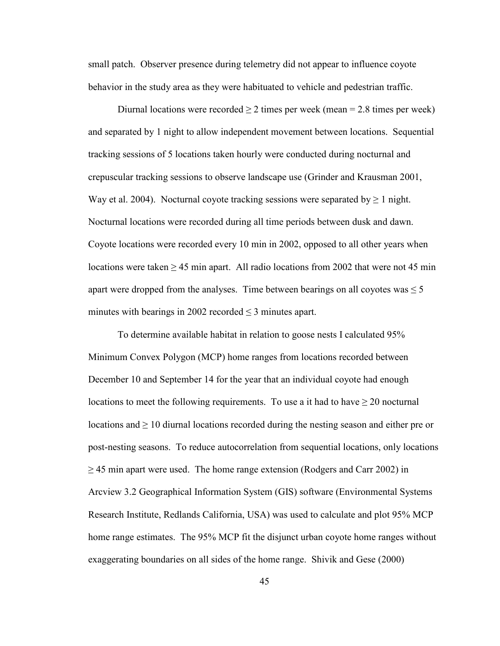small patch. Observer presence during telemetry did not appear to influence coyote behavior in the study area as they were habituated to vehicle and pedestrian traffic.

Diurnal locations were recorded  $\geq 2$  times per week (mean = 2.8 times per week) and separated by 1 night to allow independent movement between locations. Sequential tracking sessions of 5 locations taken hourly were conducted during nocturnal and crepuscular tracking sessions to observe landscape use (Grinder and Krausman 2001, Way et al. 2004). Nocturnal coyote tracking sessions were separated by  $\geq 1$  night. Nocturnal locations were recorded during all time periods between dusk and dawn. Coyote locations were recorded every 10 min in 2002, opposed to all other years when locations were taken  $\geq 45$  min apart. All radio locations from 2002 that were not 45 min apart were dropped from the analyses. Time between bearings on all coyotes was  $\leq 5$ minutes with bearings in 2002 recorded  $\leq$  3 minutes apart.

 To determine available habitat in relation to goose nests I calculated 95% Minimum Convex Polygon (MCP) home ranges from locations recorded between December 10 and September 14 for the year that an individual coyote had enough locations to meet the following requirements. To use a it had to have  $\geq 20$  nocturnal locations and  $\geq 10$  diurnal locations recorded during the nesting season and either pre or post-nesting seasons. To reduce autocorrelation from sequential locations, only locations  $\geq$  45 min apart were used. The home range extension (Rodgers and Carr 2002) in Arcview 3.2 Geographical Information System (GIS) software (Environmental Systems Research Institute, Redlands California, USA) was used to calculate and plot 95% MCP home range estimates. The 95% MCP fit the disjunct urban coyote home ranges without exaggerating boundaries on all sides of the home range. Shivik and Gese (2000)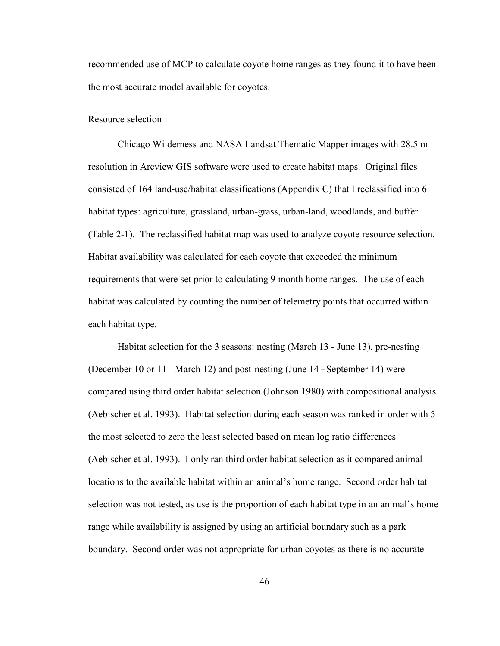recommended use of MCP to calculate coyote home ranges as they found it to have been the most accurate model available for coyotes.

### Resource selection

Chicago Wilderness and NASA Landsat Thematic Mapper images with 28.5 m resolution in Arcview GIS software were used to create habitat maps. Original files consisted of 164 land-use/habitat classifications (Appendix C) that I reclassified into 6 habitat types: agriculture, grassland, urban-grass, urban-land, woodlands, and buffer (Table 2-1). The reclassified habitat map was used to analyze coyote resource selection. Habitat availability was calculated for each coyote that exceeded the minimum requirements that were set prior to calculating 9 month home ranges. The use of each habitat was calculated by counting the number of telemetry points that occurred within each habitat type.

 Habitat selection for the 3 seasons: nesting (March 13 - June 13), pre-nesting (December 10 or 11 - March 12) and post-nesting (June 14 \_ September 14) were compared using third order habitat selection (Johnson 1980) with compositional analysis (Aebischer et al. 1993). Habitat selection during each season was ranked in order with 5 the most selected to zero the least selected based on mean log ratio differences (Aebischer et al. 1993). I only ran third order habitat selection as it compared animal locations to the available habitat within an animal's home range. Second order habitat selection was not tested, as use is the proportion of each habitat type in an animal's home range while availability is assigned by using an artificial boundary such as a park boundary. Second order was not appropriate for urban coyotes as there is no accurate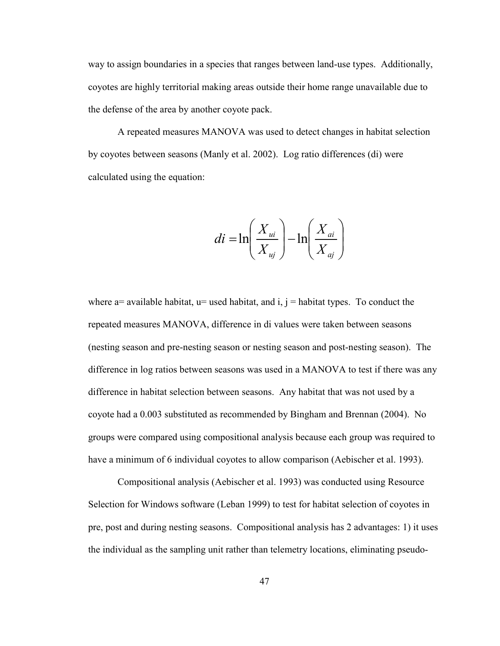way to assign boundaries in a species that ranges between land-use types. Additionally, coyotes are highly territorial making areas outside their home range unavailable due to the defense of the area by another coyote pack.

A repeated measures MANOVA was used to detect changes in habitat selection by coyotes between seasons (Manly et al. 2002). Log ratio differences (di) were calculated using the equation:

$$
di = \ln\left(\frac{X_{ui}}{X_{uj}}\right) - \ln\left(\frac{X_{ai}}{X_{aj}}\right)
$$

where  $a=$  available habitat,  $u=$  used habitat, and i,  $i=$  habitat types. To conduct the repeated measures MANOVA, difference in di values were taken between seasons (nesting season and pre-nesting season or nesting season and post-nesting season). The difference in log ratios between seasons was used in a MANOVA to test if there was any difference in habitat selection between seasons. Any habitat that was not used by a coyote had a 0.003 substituted as recommended by Bingham and Brennan (2004). No groups were compared using compositional analysis because each group was required to have a minimum of 6 individual coyotes to allow comparison (Aebischer et al. 1993).

 Compositional analysis (Aebischer et al. 1993) was conducted using Resource Selection for Windows software (Leban 1999) to test for habitat selection of coyotes in pre, post and during nesting seasons. Compositional analysis has 2 advantages: 1) it uses the individual as the sampling unit rather than telemetry locations, eliminating pseudo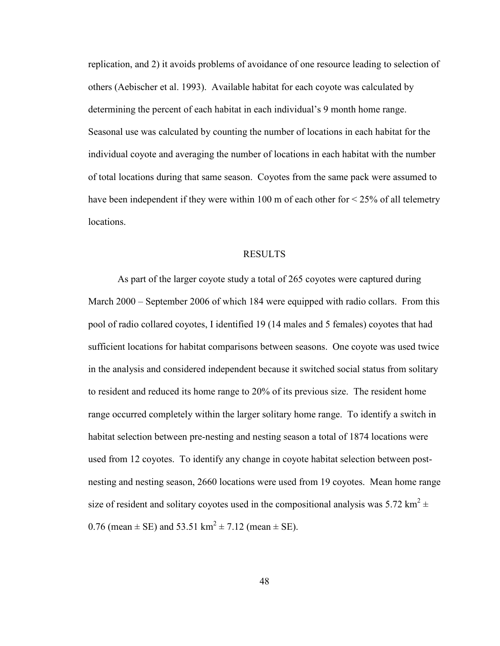replication, and 2) it avoids problems of avoidance of one resource leading to selection of others (Aebischer et al. 1993). Available habitat for each coyote was calculated by determining the percent of each habitat in each individual's 9 month home range. Seasonal use was calculated by counting the number of locations in each habitat for the individual coyote and averaging the number of locations in each habitat with the number of total locations during that same season. Coyotes from the same pack were assumed to have been independent if they were within 100 m of each other for  $\leq$  25% of all telemetry locations.

#### RESULTS

 As part of the larger coyote study a total of 265 coyotes were captured during March 2000 – September 2006 of which 184 were equipped with radio collars. From this pool of radio collared coyotes, I identified 19 (14 males and 5 females) coyotes that had sufficient locations for habitat comparisons between seasons. One coyote was used twice in the analysis and considered independent because it switched social status from solitary to resident and reduced its home range to 20% of its previous size. The resident home range occurred completely within the larger solitary home range. To identify a switch in habitat selection between pre-nesting and nesting season a total of 1874 locations were used from 12 coyotes. To identify any change in coyote habitat selection between postnesting and nesting season, 2660 locations were used from 19 coyotes. Mean home range size of resident and solitary coyotes used in the compositional analysis was 5.72 km<sup>2</sup>  $\pm$ 0.76 (mean  $\pm$  SE) and 53.51 km<sup>2</sup>  $\pm$  7.12 (mean  $\pm$  SE).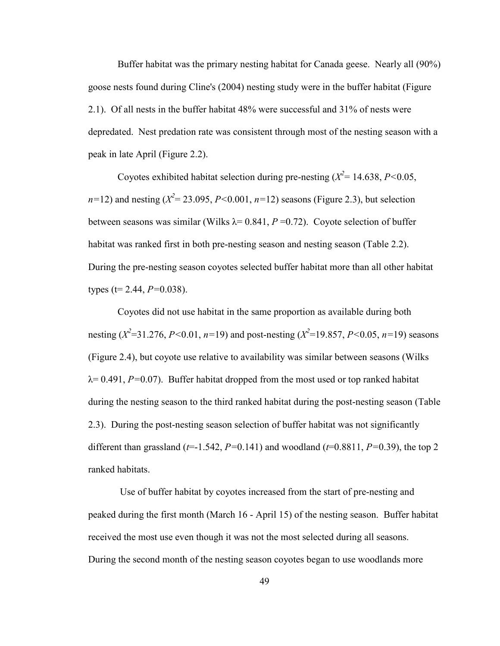Buffer habitat was the primary nesting habitat for Canada geese. Nearly all (90%) goose nests found during Cline's (2004) nesting study were in the buffer habitat (Figure 2.1). Of all nests in the buffer habitat 48% were successful and 31% of nests were depredated. Nest predation rate was consistent through most of the nesting season with a peak in late April (Figure 2.2).

Coyotes exhibited habitat selection during pre-nesting  $(X^2 = 14.638, P < 0.05,$  $n=12$ ) and nesting ( $X^2 = 23.095$ ,  $P < 0.001$ ,  $n=12$ ) seasons (Figure 2.3), but selection between seasons was similar (Wilks  $\lambda$ = 0.841, P = 0.72). Coyote selection of buffer habitat was ranked first in both pre-nesting season and nesting season (Table 2.2). During the pre-nesting season coyotes selected buffer habitat more than all other habitat types (t= 2.44,  $P=0.038$ ).

 Coyotes did not use habitat in the same proportion as available during both nesting ( $X^2$ =31.276, P<0.01, n=19) and post-nesting ( $X^2$ =19.857, P<0.05, n=19) seasons (Figure 2.4), but coyote use relative to availability was similar between seasons (Wilks  $\lambda$ = 0.491, P=0.07). Buffer habitat dropped from the most used or top ranked habitat during the nesting season to the third ranked habitat during the post-nesting season (Table 2.3). During the post-nesting season selection of buffer habitat was not significantly different than grassland ( $t=1.542$ ,  $P=0.141$ ) and woodland ( $t=0.8811$ ,  $P=0.39$ ), the top 2 ranked habitats.

 Use of buffer habitat by coyotes increased from the start of pre-nesting and peaked during the first month (March 16 - April 15) of the nesting season. Buffer habitat received the most use even though it was not the most selected during all seasons. During the second month of the nesting season coyotes began to use woodlands more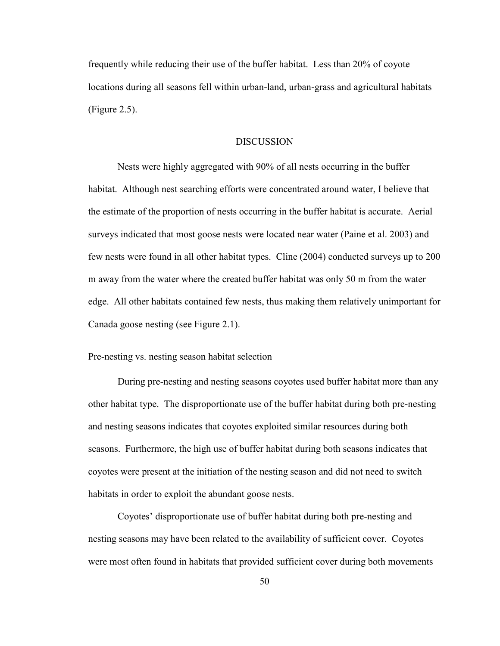frequently while reducing their use of the buffer habitat. Less than 20% of coyote locations during all seasons fell within urban-land, urban-grass and agricultural habitats (Figure 2.5).

### **DISCUSSION**

 Nests were highly aggregated with 90% of all nests occurring in the buffer habitat. Although nest searching efforts were concentrated around water, I believe that the estimate of the proportion of nests occurring in the buffer habitat is accurate. Aerial surveys indicated that most goose nests were located near water (Paine et al. 2003) and few nests were found in all other habitat types. Cline (2004) conducted surveys up to 200 m away from the water where the created buffer habitat was only 50 m from the water edge. All other habitats contained few nests, thus making them relatively unimportant for Canada goose nesting (see Figure 2.1).

Pre-nesting vs. nesting season habitat selection

 During pre-nesting and nesting seasons coyotes used buffer habitat more than any other habitat type. The disproportionate use of the buffer habitat during both pre-nesting and nesting seasons indicates that coyotes exploited similar resources during both seasons. Furthermore, the high use of buffer habitat during both seasons indicates that coyotes were present at the initiation of the nesting season and did not need to switch habitats in order to exploit the abundant goose nests.

 Coyotes' disproportionate use of buffer habitat during both pre-nesting and nesting seasons may have been related to the availability of sufficient cover. Coyotes were most often found in habitats that provided sufficient cover during both movements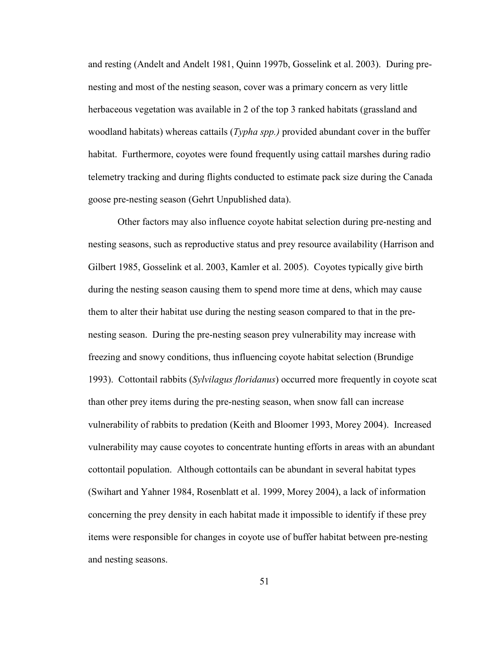and resting (Andelt and Andelt 1981, Quinn 1997b, Gosselink et al. 2003). During prenesting and most of the nesting season, cover was a primary concern as very little herbaceous vegetation was available in 2 of the top 3 ranked habitats (grassland and woodland habitats) whereas cattails (*Typha spp.*) provided abundant cover in the buffer habitat. Furthermore, coyotes were found frequently using cattail marshes during radio telemetry tracking and during flights conducted to estimate pack size during the Canada goose pre-nesting season (Gehrt Unpublished data).

 Other factors may also influence coyote habitat selection during pre-nesting and nesting seasons, such as reproductive status and prey resource availability (Harrison and Gilbert 1985, Gosselink et al. 2003, Kamler et al. 2005). Coyotes typically give birth during the nesting season causing them to spend more time at dens, which may cause them to alter their habitat use during the nesting season compared to that in the prenesting season. During the pre-nesting season prey vulnerability may increase with freezing and snowy conditions, thus influencing coyote habitat selection (Brundige 1993). Cottontail rabbits (Sylvilagus floridanus) occurred more frequently in coyote scat than other prey items during the pre-nesting season, when snow fall can increase vulnerability of rabbits to predation (Keith and Bloomer 1993, Morey 2004). Increased vulnerability may cause coyotes to concentrate hunting efforts in areas with an abundant cottontail population. Although cottontails can be abundant in several habitat types (Swihart and Yahner 1984, Rosenblatt et al. 1999, Morey 2004), a lack of information concerning the prey density in each habitat made it impossible to identify if these prey items were responsible for changes in coyote use of buffer habitat between pre-nesting and nesting seasons.

51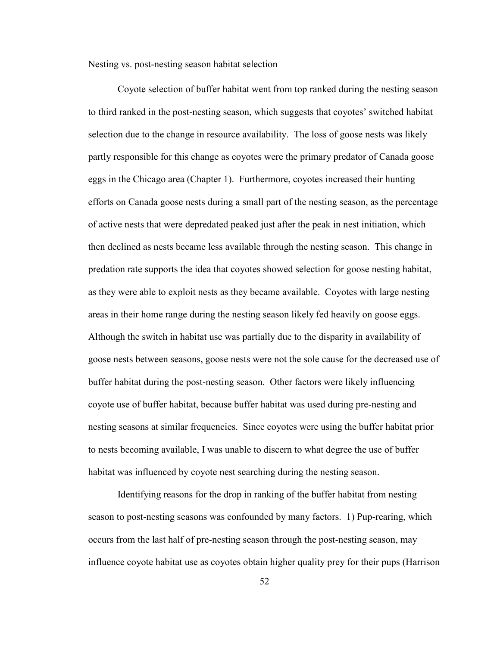Nesting vs. post-nesting season habitat selection

 Coyote selection of buffer habitat went from top ranked during the nesting season to third ranked in the post-nesting season, which suggests that coyotes' switched habitat selection due to the change in resource availability. The loss of goose nests was likely partly responsible for this change as coyotes were the primary predator of Canada goose eggs in the Chicago area (Chapter 1). Furthermore, coyotes increased their hunting efforts on Canada goose nests during a small part of the nesting season, as the percentage of active nests that were depredated peaked just after the peak in nest initiation, which then declined as nests became less available through the nesting season. This change in predation rate supports the idea that coyotes showed selection for goose nesting habitat, as they were able to exploit nests as they became available. Coyotes with large nesting areas in their home range during the nesting season likely fed heavily on goose eggs. Although the switch in habitat use was partially due to the disparity in availability of goose nests between seasons, goose nests were not the sole cause for the decreased use of buffer habitat during the post-nesting season. Other factors were likely influencing coyote use of buffer habitat, because buffer habitat was used during pre-nesting and nesting seasons at similar frequencies. Since coyotes were using the buffer habitat prior to nests becoming available, I was unable to discern to what degree the use of buffer habitat was influenced by coyote nest searching during the nesting season.

 Identifying reasons for the drop in ranking of the buffer habitat from nesting season to post-nesting seasons was confounded by many factors. 1) Pup-rearing, which occurs from the last half of pre-nesting season through the post-nesting season, may influence coyote habitat use as coyotes obtain higher quality prey for their pups (Harrison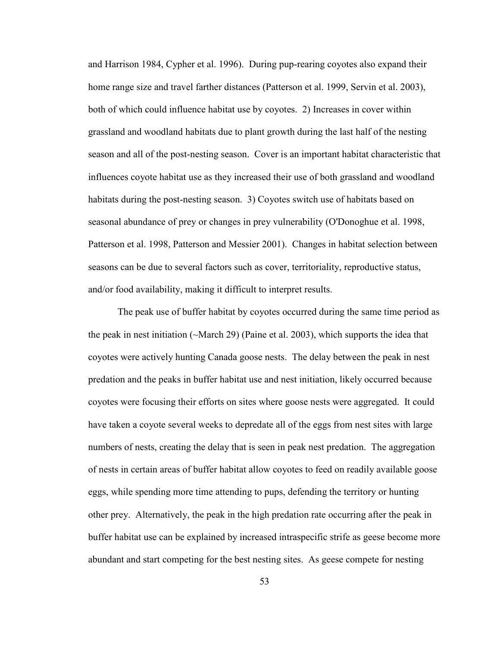and Harrison 1984, Cypher et al. 1996). During pup-rearing coyotes also expand their home range size and travel farther distances (Patterson et al. 1999, Servin et al. 2003), both of which could influence habitat use by coyotes. 2) Increases in cover within grassland and woodland habitats due to plant growth during the last half of the nesting season and all of the post-nesting season. Cover is an important habitat characteristic that influences coyote habitat use as they increased their use of both grassland and woodland habitats during the post-nesting season. 3) Coyotes switch use of habitats based on seasonal abundance of prey or changes in prey vulnerability (O'Donoghue et al. 1998, Patterson et al. 1998, Patterson and Messier 2001). Changes in habitat selection between seasons can be due to several factors such as cover, territoriality, reproductive status, and/or food availability, making it difficult to interpret results.

 The peak use of buffer habitat by coyotes occurred during the same time period as the peak in nest initiation (~March 29) (Paine et al. 2003), which supports the idea that coyotes were actively hunting Canada goose nests. The delay between the peak in nest predation and the peaks in buffer habitat use and nest initiation, likely occurred because coyotes were focusing their efforts on sites where goose nests were aggregated. It could have taken a coyote several weeks to depredate all of the eggs from nest sites with large numbers of nests, creating the delay that is seen in peak nest predation. The aggregation of nests in certain areas of buffer habitat allow coyotes to feed on readily available goose eggs, while spending more time attending to pups, defending the territory or hunting other prey. Alternatively, the peak in the high predation rate occurring after the peak in buffer habitat use can be explained by increased intraspecific strife as geese become more abundant and start competing for the best nesting sites. As geese compete for nesting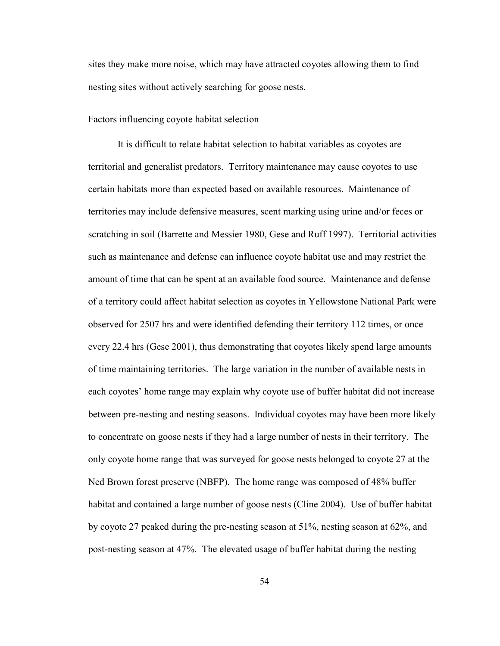sites they make more noise, which may have attracted coyotes allowing them to find nesting sites without actively searching for goose nests.

### Factors influencing coyote habitat selection

 It is difficult to relate habitat selection to habitat variables as coyotes are territorial and generalist predators. Territory maintenance may cause coyotes to use certain habitats more than expected based on available resources. Maintenance of territories may include defensive measures, scent marking using urine and/or feces or scratching in soil (Barrette and Messier 1980, Gese and Ruff 1997). Territorial activities such as maintenance and defense can influence coyote habitat use and may restrict the amount of time that can be spent at an available food source. Maintenance and defense of a territory could affect habitat selection as coyotes in Yellowstone National Park were observed for 2507 hrs and were identified defending their territory 112 times, or once every 22.4 hrs (Gese 2001), thus demonstrating that coyotes likely spend large amounts of time maintaining territories. The large variation in the number of available nests in each coyotes' home range may explain why coyote use of buffer habitat did not increase between pre-nesting and nesting seasons. Individual coyotes may have been more likely to concentrate on goose nests if they had a large number of nests in their territory. The only coyote home range that was surveyed for goose nests belonged to coyote 27 at the Ned Brown forest preserve (NBFP). The home range was composed of 48% buffer habitat and contained a large number of goose nests (Cline 2004). Use of buffer habitat by coyote 27 peaked during the pre-nesting season at 51%, nesting season at 62%, and post-nesting season at 47%. The elevated usage of buffer habitat during the nesting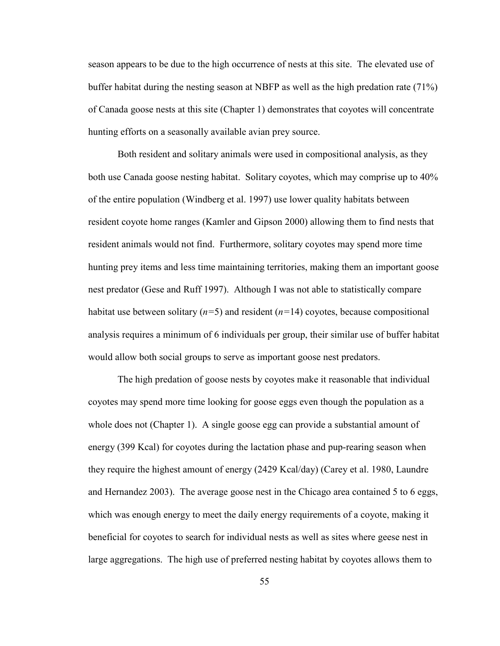season appears to be due to the high occurrence of nests at this site. The elevated use of buffer habitat during the nesting season at NBFP as well as the high predation rate (71%) of Canada goose nests at this site (Chapter 1) demonstrates that coyotes will concentrate hunting efforts on a seasonally available avian prey source.

 Both resident and solitary animals were used in compositional analysis, as they both use Canada goose nesting habitat. Solitary coyotes, which may comprise up to 40% of the entire population (Windberg et al. 1997) use lower quality habitats between resident coyote home ranges (Kamler and Gipson 2000) allowing them to find nests that resident animals would not find. Furthermore, solitary coyotes may spend more time hunting prey items and less time maintaining territories, making them an important goose nest predator (Gese and Ruff 1997). Although I was not able to statistically compare habitat use between solitary  $(n=5)$  and resident  $(n=14)$  coyotes, because compositional analysis requires a minimum of 6 individuals per group, their similar use of buffer habitat would allow both social groups to serve as important goose nest predators.

 The high predation of goose nests by coyotes make it reasonable that individual coyotes may spend more time looking for goose eggs even though the population as a whole does not (Chapter 1). A single goose egg can provide a substantial amount of energy (399 Kcal) for coyotes during the lactation phase and pup-rearing season when they require the highest amount of energy (2429 Kcal/day) (Carey et al. 1980, Laundre and Hernandez 2003). The average goose nest in the Chicago area contained 5 to 6 eggs, which was enough energy to meet the daily energy requirements of a coyote, making it beneficial for coyotes to search for individual nests as well as sites where geese nest in large aggregations. The high use of preferred nesting habitat by coyotes allows them to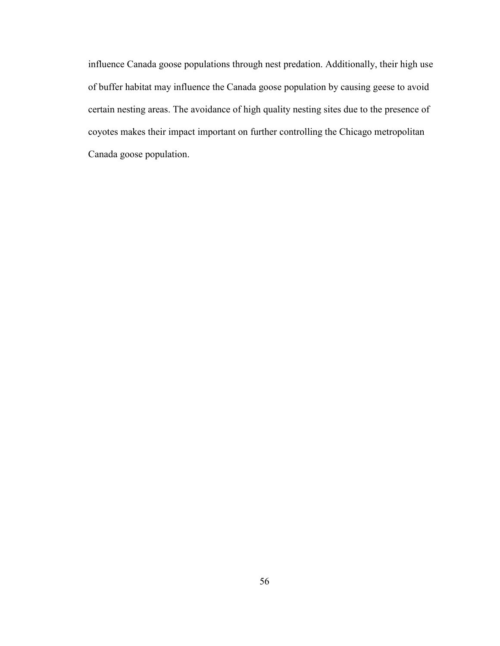influence Canada goose populations through nest predation. Additionally, their high use of buffer habitat may influence the Canada goose population by causing geese to avoid certain nesting areas. The avoidance of high quality nesting sites due to the presence of coyotes makes their impact important on further controlling the Chicago metropolitan Canada goose population.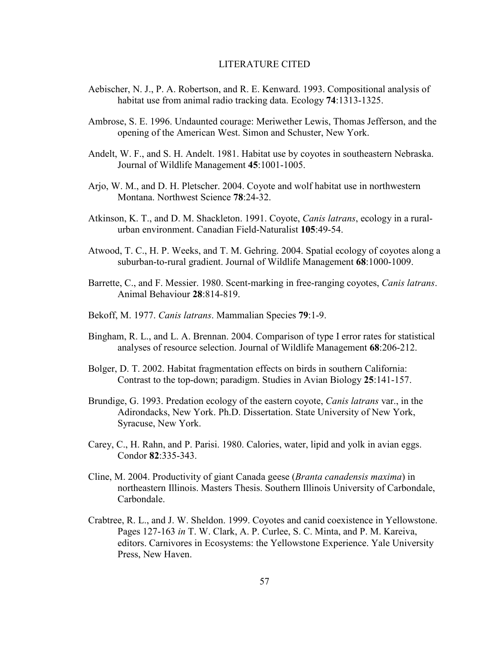### LITERATURE CITED

- Aebischer, N. J., P. A. Robertson, and R. E. Kenward. 1993. Compositional analysis of habitat use from animal radio tracking data. Ecology 74:1313-1325.
- Ambrose, S. E. 1996. Undaunted courage: Meriwether Lewis, Thomas Jefferson, and the opening of the American West. Simon and Schuster, New York.
- Andelt, W. F., and S. H. Andelt. 1981. Habitat use by coyotes in southeastern Nebraska. Journal of Wildlife Management 45:1001-1005.
- Arjo, W. M., and D. H. Pletscher. 2004. Coyote and wolf habitat use in northwestern Montana. Northwest Science 78:24-32.
- Atkinson, K. T., and D. M. Shackleton. 1991. Coyote, *Canis latrans*, ecology in a ruralurban environment. Canadian Field-Naturalist 105:49-54.
- Atwood, T. C., H. P. Weeks, and T. M. Gehring. 2004. Spatial ecology of coyotes along a suburban-to-rural gradient. Journal of Wildlife Management 68:1000-1009.
- Barrette, C., and F. Messier. 1980. Scent-marking in free-ranging coyotes, Canis latrans. Animal Behaviour 28:814-819.
- Bekoff, M. 1977. Canis latrans. Mammalian Species 79:1-9.
- Bingham, R. L., and L. A. Brennan. 2004. Comparison of type I error rates for statistical analyses of resource selection. Journal of Wildlife Management 68:206-212.
- Bolger, D. T. 2002. Habitat fragmentation effects on birds in southern California: Contrast to the top-down; paradigm. Studies in Avian Biology 25:141-157.
- Brundige, G. 1993. Predation ecology of the eastern coyote, *Canis latrans* var., in the Adirondacks, New York. Ph.D. Dissertation. State University of New York, Syracuse, New York.
- Carey, C., H. Rahn, and P. Parisi. 1980. Calories, water, lipid and yolk in avian eggs. Condor 82:335-343.
- Cline, M. 2004. Productivity of giant Canada geese (Branta canadensis maxima) in northeastern Illinois. Masters Thesis. Southern Illinois University of Carbondale, Carbondale.
- Crabtree, R. L., and J. W. Sheldon. 1999. Coyotes and canid coexistence in Yellowstone. Pages 127-163 in T. W. Clark, A. P. Curlee, S. C. Minta, and P. M. Kareiva, editors. Carnivores in Ecosystems: the Yellowstone Experience. Yale University Press, New Haven.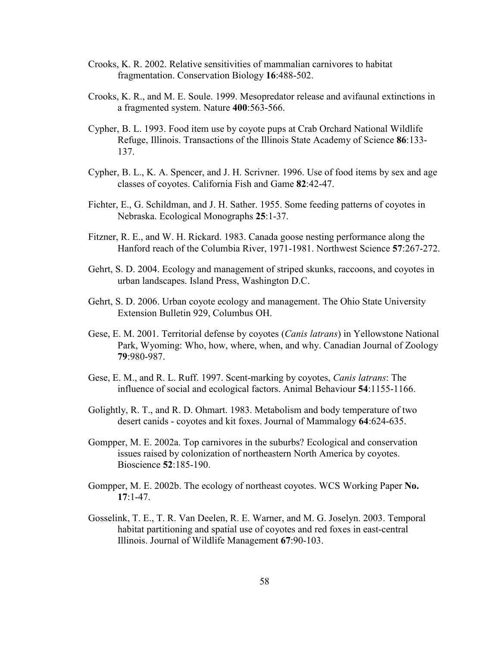- Crooks, K. R. 2002. Relative sensitivities of mammalian carnivores to habitat fragmentation. Conservation Biology 16:488-502.
- Crooks, K. R., and M. E. Soule. 1999. Mesopredator release and avifaunal extinctions in a fragmented system. Nature 400:563-566.
- Cypher, B. L. 1993. Food item use by coyote pups at Crab Orchard National Wildlife Refuge, Illinois. Transactions of the Illinois State Academy of Science 86:133- 137.
- Cypher, B. L., K. A. Spencer, and J. H. Scrivner. 1996. Use of food items by sex and age classes of coyotes. California Fish and Game 82:42-47.
- Fichter, E., G. Schildman, and J. H. Sather. 1955. Some feeding patterns of coyotes in Nebraska. Ecological Monographs 25:1-37.
- Fitzner, R. E., and W. H. Rickard. 1983. Canada goose nesting performance along the Hanford reach of the Columbia River, 1971-1981. Northwest Science 57:267-272.
- Gehrt, S. D. 2004. Ecology and management of striped skunks, raccoons, and coyotes in urban landscapes. Island Press, Washington D.C.
- Gehrt, S. D. 2006. Urban coyote ecology and management. The Ohio State University Extension Bulletin 929, Columbus OH.
- Gese, E. M. 2001. Territorial defense by coyotes (Canis latrans) in Yellowstone National Park, Wyoming: Who, how, where, when, and why. Canadian Journal of Zoology 79:980-987.
- Gese, E. M., and R. L. Ruff. 1997. Scent-marking by coyotes, Canis latrans: The influence of social and ecological factors. Animal Behaviour 54:1155-1166.
- Golightly, R. T., and R. D. Ohmart. 1983. Metabolism and body temperature of two desert canids - coyotes and kit foxes. Journal of Mammalogy 64:624-635.
- Gompper, M. E. 2002a. Top carnivores in the suburbs? Ecological and conservation issues raised by colonization of northeastern North America by coyotes. Bioscience 52:185-190.
- Gompper, M. E. 2002b. The ecology of northeast coyotes. WCS Working Paper No. 17:1-47.
- Gosselink, T. E., T. R. Van Deelen, R. E. Warner, and M. G. Joselyn. 2003. Temporal habitat partitioning and spatial use of coyotes and red foxes in east-central Illinois. Journal of Wildlife Management 67:90-103.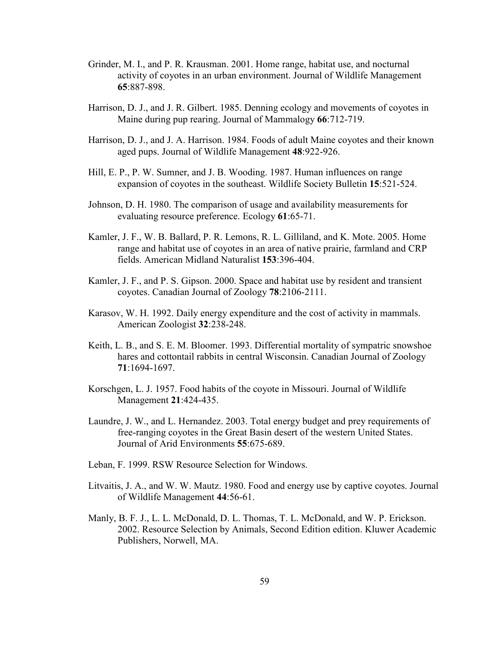- Grinder, M. I., and P. R. Krausman. 2001. Home range, habitat use, and nocturnal activity of coyotes in an urban environment. Journal of Wildlife Management 65:887-898.
- Harrison, D. J., and J. R. Gilbert. 1985. Denning ecology and movements of coyotes in Maine during pup rearing. Journal of Mammalogy 66:712-719.
- Harrison, D. J., and J. A. Harrison. 1984. Foods of adult Maine coyotes and their known aged pups. Journal of Wildlife Management 48:922-926.
- Hill, E. P., P. W. Sumner, and J. B. Wooding. 1987. Human influences on range expansion of coyotes in the southeast. Wildlife Society Bulletin 15:521-524.
- Johnson, D. H. 1980. The comparison of usage and availability measurements for evaluating resource preference. Ecology 61:65-71.
- Kamler, J. F., W. B. Ballard, P. R. Lemons, R. L. Gilliland, and K. Mote. 2005. Home range and habitat use of coyotes in an area of native prairie, farmland and CRP fields. American Midland Naturalist 153:396-404.
- Kamler, J. F., and P. S. Gipson. 2000. Space and habitat use by resident and transient coyotes. Canadian Journal of Zoology 78:2106-2111.
- Karasov, W. H. 1992. Daily energy expenditure and the cost of activity in mammals. American Zoologist 32:238-248.
- Keith, L. B., and S. E. M. Bloomer. 1993. Differential mortality of sympatric snowshoe hares and cottontail rabbits in central Wisconsin. Canadian Journal of Zoology 71:1694-1697.
- Korschgen, L. J. 1957. Food habits of the coyote in Missouri. Journal of Wildlife Management 21:424-435.
- Laundre, J. W., and L. Hernandez. 2003. Total energy budget and prey requirements of free-ranging coyotes in the Great Basin desert of the western United States. Journal of Arid Environments 55:675-689.
- Leban, F. 1999. RSW Resource Selection for Windows.
- Litvaitis, J. A., and W. W. Mautz. 1980. Food and energy use by captive coyotes. Journal of Wildlife Management 44:56-61.
- Manly, B. F. J., L. L. McDonald, D. L. Thomas, T. L. McDonald, and W. P. Erickson. 2002. Resource Selection by Animals, Second Edition edition. Kluwer Academic Publishers, Norwell, MA.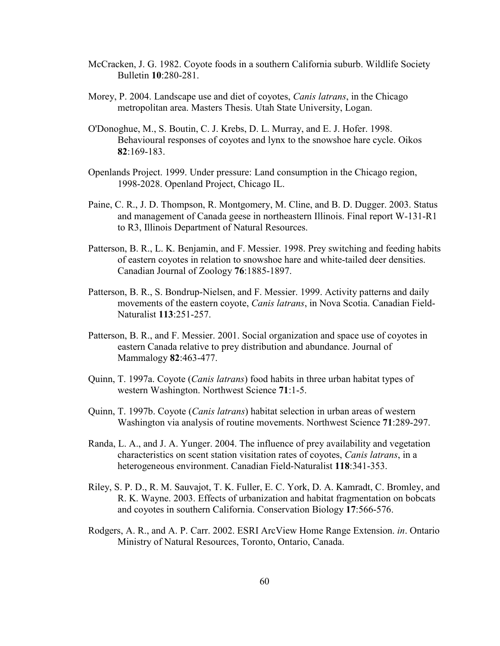- McCracken, J. G. 1982. Coyote foods in a southern California suburb. Wildlife Society Bulletin 10:280-281.
- Morey, P. 2004. Landscape use and diet of coyotes, *Canis latrans*, in the Chicago metropolitan area. Masters Thesis. Utah State University, Logan.
- O'Donoghue, M., S. Boutin, C. J. Krebs, D. L. Murray, and E. J. Hofer. 1998. Behavioural responses of coyotes and lynx to the snowshoe hare cycle. Oikos 82:169-183.
- Openlands Project. 1999. Under pressure: Land consumption in the Chicago region, 1998-2028. Openland Project, Chicago IL.
- Paine, C. R., J. D. Thompson, R. Montgomery, M. Cline, and B. D. Dugger. 2003. Status and management of Canada geese in northeastern Illinois. Final report W-131-R1 to R3, Illinois Department of Natural Resources.
- Patterson, B. R., L. K. Benjamin, and F. Messier. 1998. Prey switching and feeding habits of eastern coyotes in relation to snowshoe hare and white-tailed deer densities. Canadian Journal of Zoology 76:1885-1897.
- Patterson, B. R., S. Bondrup-Nielsen, and F. Messier. 1999. Activity patterns and daily movements of the eastern coyote, Canis latrans, in Nova Scotia. Canadian Field-Naturalist 113:251-257.
- Patterson, B. R., and F. Messier. 2001. Social organization and space use of coyotes in eastern Canada relative to prey distribution and abundance. Journal of Mammalogy 82:463-477.
- Quinn, T. 1997a. Coyote *(Canis latrans)* food habits in three urban habitat types of western Washington. Northwest Science 71:1-5.
- Quinn, T. 1997b. Coyote *(Canis latrans)* habitat selection in urban areas of western Washington via analysis of routine movements. Northwest Science 71:289-297.
- Randa, L. A., and J. A. Yunger. 2004. The influence of prey availability and vegetation characteristics on scent station visitation rates of coyotes, Canis latrans, in a heterogeneous environment. Canadian Field-Naturalist 118:341-353.
- Riley, S. P. D., R. M. Sauvajot, T. K. Fuller, E. C. York, D. A. Kamradt, C. Bromley, and R. K. Wayne. 2003. Effects of urbanization and habitat fragmentation on bobcats and coyotes in southern California. Conservation Biology 17:566-576.
- Rodgers, A. R., and A. P. Carr. 2002. ESRI ArcView Home Range Extension. in. Ontario Ministry of Natural Resources, Toronto, Ontario, Canada.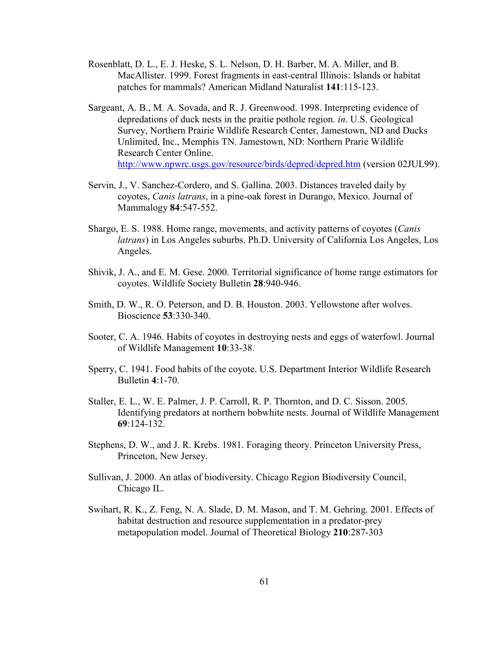- Rosenblatt, D. L., E. J. Heske, S. L. Nelson, D. H. Barber, M. A. Miller, and B. MacAllister. 1999. Forest fragments in east-central Illinois: Islands or habitat patches for mammals? American Midland Naturalist 141:115-123.
- Sargeant, A. B., M. A. Sovada, and R. J. Greenwood. 1998. Interpreting evidence of depredations of duck nests in the praitie pothole region. in. U.S. Geological Survey, Northern Prairie Wildlife Research Center, Jamestown, ND and Ducks Unlimited, Inc., Memphis TN. Jamestown, ND: Northern Prarie Wildlife Research Center Online. http://www.npwrc.usgs.gov/resource/birds/depred/depred.htm (version 02JUL99).
- Servin, J., V. Sanchez-Cordero, and S. Gallina. 2003. Distances traveled daily by coyotes, Canis latrans, in a pine-oak forest in Durango, Mexico. Journal of Mammalogy 84:547-552.
- Shargo, E. S. 1988. Home range, movements, and activity patterns of coyotes (Canis latrans) in Los Angeles suburbs. Ph.D. University of California Los Angeles, Los Angeles.
- Shivik, J. A., and E. M. Gese. 2000. Territorial significance of home range estimators for coyotes. Wildlife Society Bulletin 28:940-946.
- Smith, D. W., R. O. Peterson, and D. B. Houston. 2003. Yellowstone after wolves. Bioscience 53:330-340.
- Sooter, C. A. 1946. Habits of coyotes in destroying nests and eggs of waterfowl. Journal of Wildlife Management 10:33-38.
- Sperry, C. 1941. Food habits of the coyote. U.S. Department Interior Wildlife Research Bulletin 4:1-70.
- Staller, E. L., W. E. Palmer, J. P. Carroll, R. P. Thornton, and D. C. Sisson. 2005. Identifying predators at northern bobwhite nests. Journal of Wildlife Management 69:124-132.
- Stephens, D. W., and J. R. Krebs. 1981. Foraging theory. Princeton University Press, Princeton, New Jersey.
- Sullivan, J. 2000. An atlas of biodiversity. Chicago Region Biodiversity Council, Chicago IL.
- Swihart, R. K., Z. Feng, N. A. Slade, D. M. Mason, and T. M. Gehring. 2001. Effects of habitat destruction and resource supplementation in a predator-prey metapopulation model. Journal of Theoretical Biology 210:287-303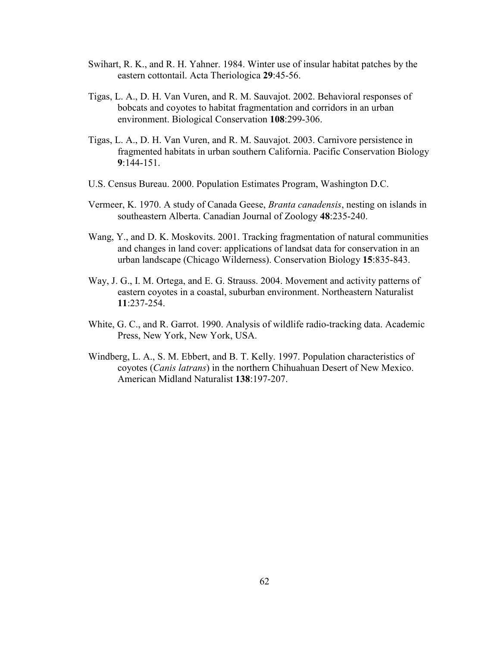- Swihart, R. K., and R. H. Yahner. 1984. Winter use of insular habitat patches by the eastern cottontail. Acta Theriologica 29:45-56.
- Tigas, L. A., D. H. Van Vuren, and R. M. Sauvajot. 2002. Behavioral responses of bobcats and coyotes to habitat fragmentation and corridors in an urban environment. Biological Conservation 108:299-306.
- Tigas, L. A., D. H. Van Vuren, and R. M. Sauvajot. 2003. Carnivore persistence in fragmented habitats in urban southern California. Pacific Conservation Biology 9:144-151.
- U.S. Census Bureau. 2000. Population Estimates Program, Washington D.C.
- Vermeer, K. 1970. A study of Canada Geese, Branta canadensis, nesting on islands in southeastern Alberta. Canadian Journal of Zoology 48:235-240.
- Wang, Y., and D. K. Moskovits. 2001. Tracking fragmentation of natural communities and changes in land cover: applications of landsat data for conservation in an urban landscape (Chicago Wilderness). Conservation Biology 15:835-843.
- Way, J. G., I. M. Ortega, and E. G. Strauss. 2004. Movement and activity patterns of eastern coyotes in a coastal, suburban environment. Northeastern Naturalist 11:237-254.
- White, G. C., and R. Garrot. 1990. Analysis of wildlife radio-tracking data. Academic Press, New York, New York, USA.
- Windberg, L. A., S. M. Ebbert, and B. T. Kelly. 1997. Population characteristics of coyotes (Canis latrans) in the northern Chihuahuan Desert of New Mexico. American Midland Naturalist 138:197-207.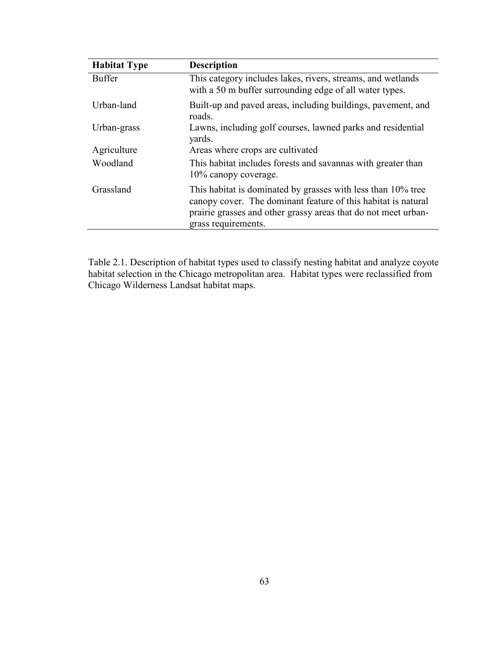| <b>Habitat Type</b> | <b>Description</b>                                                                                                                                                                                                     |
|---------------------|------------------------------------------------------------------------------------------------------------------------------------------------------------------------------------------------------------------------|
| <b>Buffer</b>       | This category includes lakes, rivers, streams, and wetlands<br>with a 50 m buffer surrounding edge of all water types.                                                                                                 |
| Urban-land          | Built-up and paved areas, including buildings, pavement, and<br>roads.                                                                                                                                                 |
| Urban-grass         | Lawns, including golf courses, lawned parks and residential<br>yards.                                                                                                                                                  |
| Agriculture         | Areas where crops are cultivated                                                                                                                                                                                       |
| Woodland            | This habitat includes forests and savannas with greater than<br>10% canopy coverage.                                                                                                                                   |
| Grassland           | This habitat is dominated by grasses with less than 10% tree<br>canopy cover. The dominant feature of this habitat is natural<br>prairie grasses and other grassy areas that do not meet urban-<br>grass requirements. |

Table 2.1. Description of habitat types used to classify nesting habitat and analyze coyote habitat selection in the Chicago metropolitan area. Habitat types were reclassified from Chicago Wilderness Landsat habitat maps.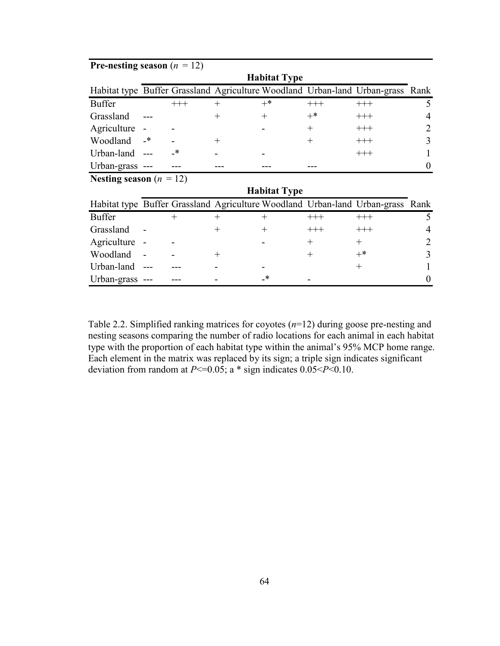| <b>Pre-nesting season</b> $(n = 12)$ |                     |        |        |        |          |                                                                                |          |
|--------------------------------------|---------------------|--------|--------|--------|----------|--------------------------------------------------------------------------------|----------|
| <b>Habitat Type</b>                  |                     |        |        |        |          |                                                                                |          |
|                                      |                     |        |        |        |          | Habitat type Buffer Grassland Agriculture Woodland Urban-land Urban-grass Rank |          |
| <b>Buffer</b>                        |                     | $+++$  | $+$    | $+^*$  | $^{+++}$ | $^{+++}$                                                                       | 5        |
| Grassland                            |                     |        | $^{+}$ | $^{+}$ | $+^*$    | $^{+++}$                                                                       | 4        |
| Agriculture                          |                     |        |        |        | $^{+}$   | $^{+++}$                                                                       | 2        |
| Woodland                             | $_{-*}$             |        | $^{+}$ |        | $^{+}$   | $+++$                                                                          | 3        |
| Urban-land                           |                     |        |        |        |          | $+++$                                                                          |          |
| Urban-grass ---                      |                     |        |        |        |          |                                                                                | $\theta$ |
| Nesting season $(n = 12)$            |                     |        |        |        |          |                                                                                |          |
|                                      | <b>Habitat Type</b> |        |        |        |          |                                                                                |          |
|                                      |                     |        |        |        |          | Habitat type Buffer Grassland Agriculture Woodland Urban-land Urban-grass Rank |          |
| <b>Buffer</b>                        |                     | $^{+}$ | $^{+}$ | $\pm$  | $^{+++}$ | $^{+++}$                                                                       | 5        |
| Grassland                            |                     |        | $^{+}$ | $^{+}$ | $+++$    | $+++$                                                                          | 4        |
| Agriculture                          |                     |        |        |        | $^{+}$   | $^{+}$                                                                         | 2        |
| Woodland                             |                     |        | $^{+}$ |        | $^{+}$   | $^{+*}$                                                                        | 3        |
| Urban-land                           |                     |        |        |        |          | $^{+}$                                                                         |          |
| Urban-grass ---                      |                     |        |        | -∗     |          |                                                                                | 0        |

Table 2.2. Simplified ranking matrices for coyotes  $(n=12)$  during goose pre-nesting and nesting seasons comparing the number of radio locations for each animal in each habitat type with the proportion of each habitat type within the animal's 95% MCP home range. Each element in the matrix was replaced by its sign; a triple sign indicates significant deviation from random at  $P \le 0.05$ ; a \* sign indicates  $0.05 \le P \le 0.10$ .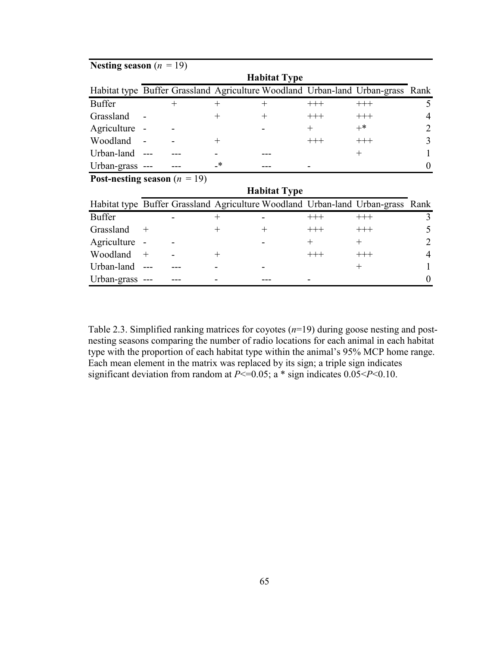| Nesting season $(n = 19)$               |                     |        |        |       |          |                                                                                |                |  |  |
|-----------------------------------------|---------------------|--------|--------|-------|----------|--------------------------------------------------------------------------------|----------------|--|--|
|                                         | <b>Habitat Type</b> |        |        |       |          |                                                                                |                |  |  |
|                                         |                     |        |        |       |          | Habitat type Buffer Grassland Agriculture Woodland Urban-land Urban-grass Rank |                |  |  |
| <b>Buffer</b>                           |                     | $^{+}$ | $^{+}$ | $\pm$ | $^{+++}$ | $^{+++}$                                                                       | 5              |  |  |
| Grassland                               |                     |        |        |       | $^{+++}$ | $+++$                                                                          | 4              |  |  |
| Agriculture -                           |                     |        |        |       | $^{+}$   | $+^*$                                                                          | $\overline{2}$ |  |  |
| Woodland                                |                     |        | $^+$   |       | $^{+++}$ | $+++$                                                                          | 3              |  |  |
| Urban-land                              |                     |        |        |       |          | $^{+}$                                                                         |                |  |  |
| Urban-grass ---                         |                     |        | *      |       |          |                                                                                |                |  |  |
| <b>Post-nesting season</b> ( $n = 19$ ) |                     |        |        |       |          |                                                                                |                |  |  |
| <b>Habitat Type</b>                     |                     |        |        |       |          |                                                                                |                |  |  |
|                                         |                     |        |        |       |          | Habitat type Buffer Grassland Agriculture Woodland Urban-land Urban-grass Rank |                |  |  |
| <b>Buffer</b>                           |                     |        | $^+$   |       | $^{+++}$ | $+++$                                                                          |                |  |  |
| Grassland                               | $\pm$               |        |        |       |          | $+++$                                                                          |                |  |  |

Agriculture -  $+$   $+$   $2$ Woodland + - + +++ +++ 4 Urban-land --- --- - - - - - + 1 Urban-grass --- --- -- - -- -- -- - -- - 0

Table 2.3. Simplified ranking matrices for coyotes  $(n=19)$  during goose nesting and postnesting seasons comparing the number of radio locations for each animal in each habitat type with the proportion of each habitat type within the animal's 95% MCP home range. Each mean element in the matrix was replaced by its sign; a triple sign indicates significant deviation from random at  $P \le 0.05$ ; a \* sign indicates  $0.05 \le P \le 0.10$ .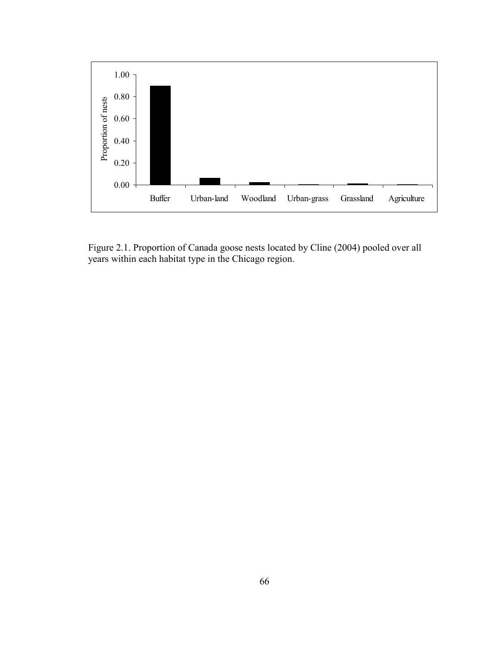

Figure 2.1. Proportion of Canada goose nests located by Cline (2004) pooled over all years within each habitat type in the Chicago region.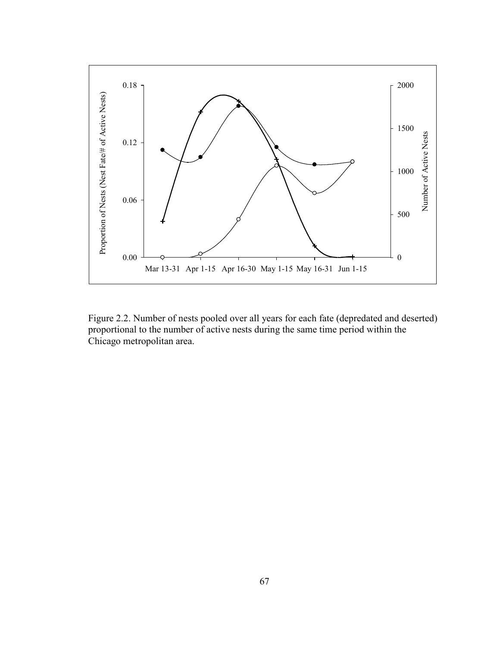

Figure 2.2. Number of nests pooled over all years for each fate (depredated and deserted) proportional to the number of active nests during the same time period within the Chicago metropolitan area.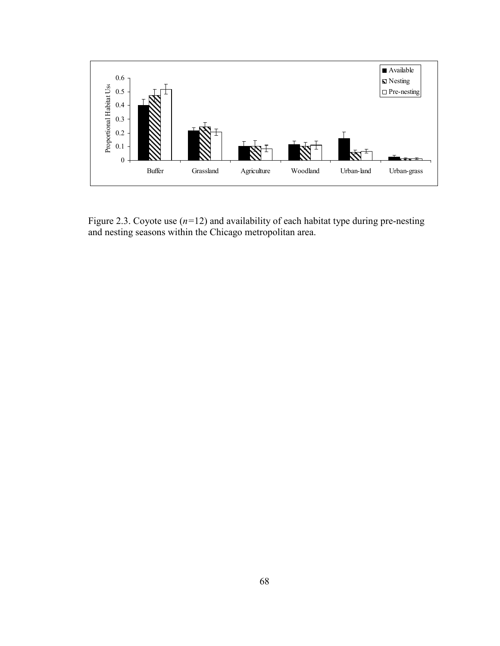

Figure 2.3. Coyote use  $(n=12)$  and availability of each habitat type during pre-nesting and nesting seasons within the Chicago metropolitan area.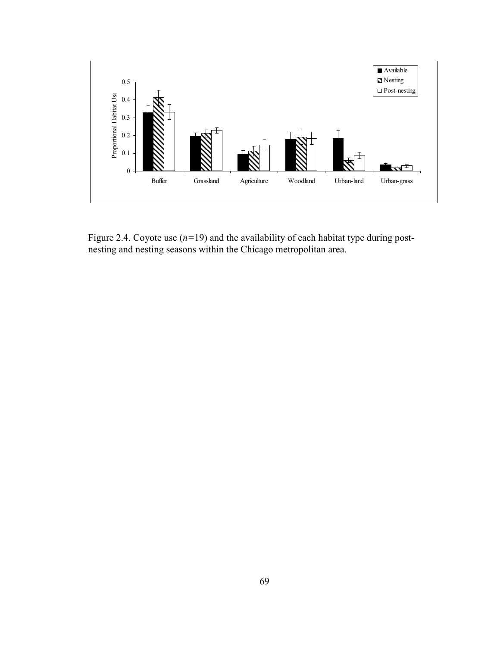

Figure 2.4. Coyote use  $(n=19)$  and the availability of each habitat type during postnesting and nesting seasons within the Chicago metropolitan area.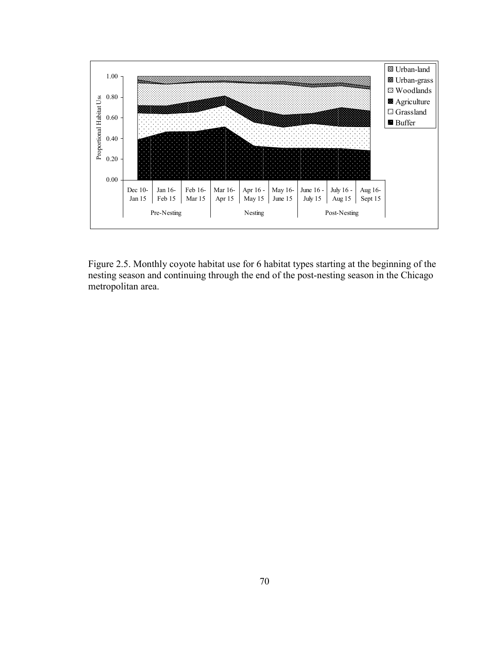

Figure 2.5. Monthly coyote habitat use for 6 habitat types starting at the beginning of the nesting season and continuing through the end of the post-nesting season in the Chicago metropolitan area.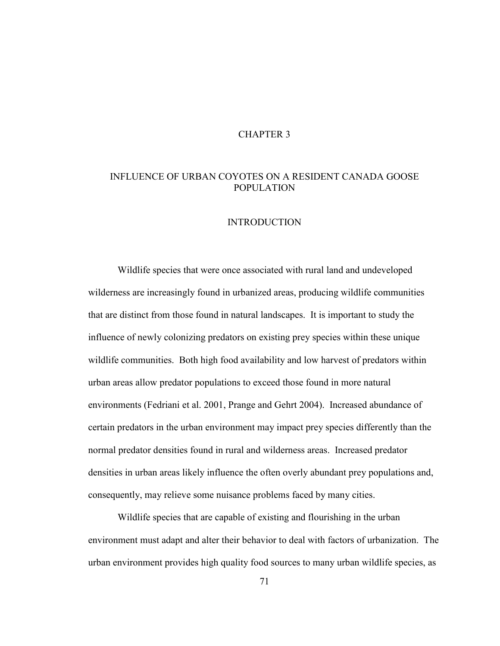# CHAPTER 3

# INFLUENCE OF URBAN COYOTES ON A RESIDENT CANADA GOOSE POPULATION

### INTRODUCTION

 Wildlife species that were once associated with rural land and undeveloped wilderness are increasingly found in urbanized areas, producing wildlife communities that are distinct from those found in natural landscapes. It is important to study the influence of newly colonizing predators on existing prey species within these unique wildlife communities. Both high food availability and low harvest of predators within urban areas allow predator populations to exceed those found in more natural environments (Fedriani et al. 2001, Prange and Gehrt 2004). Increased abundance of certain predators in the urban environment may impact prey species differently than the normal predator densities found in rural and wilderness areas. Increased predator densities in urban areas likely influence the often overly abundant prey populations and, consequently, may relieve some nuisance problems faced by many cities.

 Wildlife species that are capable of existing and flourishing in the urban environment must adapt and alter their behavior to deal with factors of urbanization. The urban environment provides high quality food sources to many urban wildlife species, as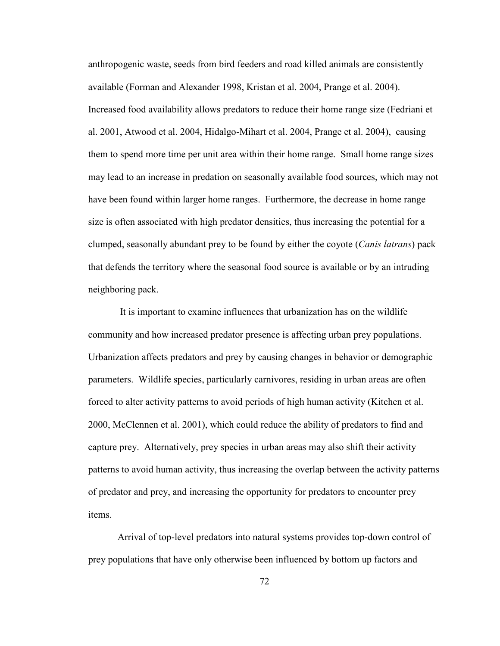anthropogenic waste, seeds from bird feeders and road killed animals are consistently available (Forman and Alexander 1998, Kristan et al. 2004, Prange et al. 2004). Increased food availability allows predators to reduce their home range size (Fedriani et al. 2001, Atwood et al. 2004, Hidalgo-Mihart et al. 2004, Prange et al. 2004), causing them to spend more time per unit area within their home range. Small home range sizes may lead to an increase in predation on seasonally available food sources, which may not have been found within larger home ranges. Furthermore, the decrease in home range size is often associated with high predator densities, thus increasing the potential for a clumped, seasonally abundant prey to be found by either the coyote (*Canis latrans*) pack that defends the territory where the seasonal food source is available or by an intruding neighboring pack.

 It is important to examine influences that urbanization has on the wildlife community and how increased predator presence is affecting urban prey populations. Urbanization affects predators and prey by causing changes in behavior or demographic parameters. Wildlife species, particularly carnivores, residing in urban areas are often forced to alter activity patterns to avoid periods of high human activity (Kitchen et al. 2000, McClennen et al. 2001), which could reduce the ability of predators to find and capture prey. Alternatively, prey species in urban areas may also shift their activity patterns to avoid human activity, thus increasing the overlap between the activity patterns of predator and prey, and increasing the opportunity for predators to encounter prey items.

Arrival of top-level predators into natural systems provides top-down control of prey populations that have only otherwise been influenced by bottom up factors and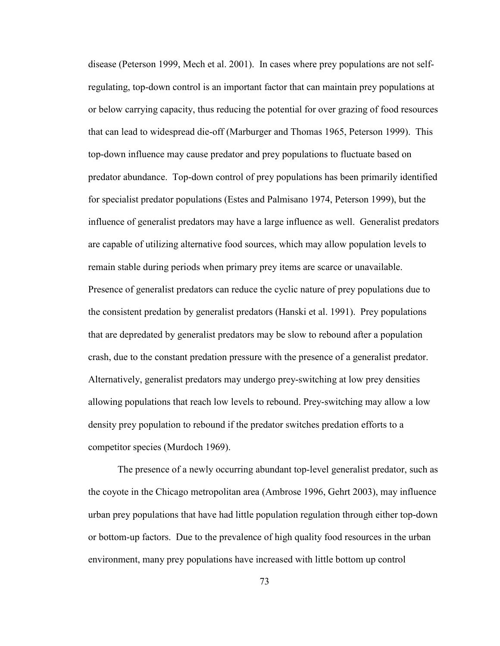disease (Peterson 1999, Mech et al. 2001). In cases where prey populations are not selfregulating, top-down control is an important factor that can maintain prey populations at or below carrying capacity, thus reducing the potential for over grazing of food resources that can lead to widespread die-off (Marburger and Thomas 1965, Peterson 1999). This top-down influence may cause predator and prey populations to fluctuate based on predator abundance. Top-down control of prey populations has been primarily identified for specialist predator populations (Estes and Palmisano 1974, Peterson 1999), but the influence of generalist predators may have a large influence as well. Generalist predators are capable of utilizing alternative food sources, which may allow population levels to remain stable during periods when primary prey items are scarce or unavailable. Presence of generalist predators can reduce the cyclic nature of prey populations due to the consistent predation by generalist predators (Hanski et al. 1991). Prey populations that are depredated by generalist predators may be slow to rebound after a population crash, due to the constant predation pressure with the presence of a generalist predator. Alternatively, generalist predators may undergo prey-switching at low prey densities allowing populations that reach low levels to rebound. Prey-switching may allow a low density prey population to rebound if the predator switches predation efforts to a competitor species (Murdoch 1969).

The presence of a newly occurring abundant top-level generalist predator, such as the coyote in the Chicago metropolitan area (Ambrose 1996, Gehrt 2003), may influence urban prey populations that have had little population regulation through either top-down or bottom-up factors. Due to the prevalence of high quality food resources in the urban environment, many prey populations have increased with little bottom up control

73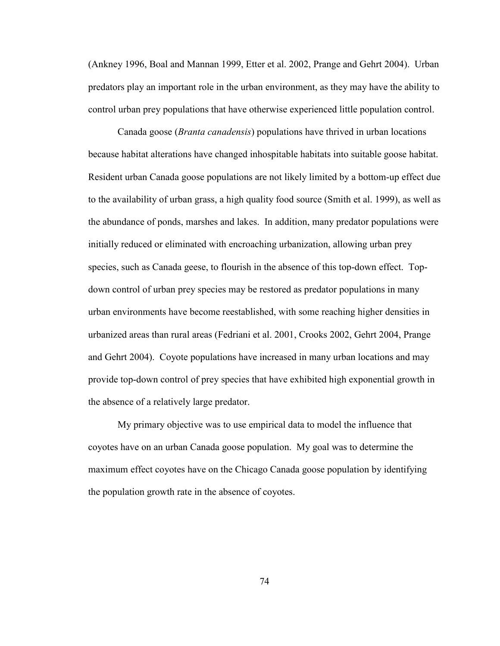(Ankney 1996, Boal and Mannan 1999, Etter et al. 2002, Prange and Gehrt 2004). Urban predators play an important role in the urban environment, as they may have the ability to control urban prey populations that have otherwise experienced little population control.

 Canada goose (Branta canadensis) populations have thrived in urban locations because habitat alterations have changed inhospitable habitats into suitable goose habitat. Resident urban Canada goose populations are not likely limited by a bottom-up effect due to the availability of urban grass, a high quality food source (Smith et al. 1999), as well as the abundance of ponds, marshes and lakes. In addition, many predator populations were initially reduced or eliminated with encroaching urbanization, allowing urban prey species, such as Canada geese, to flourish in the absence of this top-down effect. Topdown control of urban prey species may be restored as predator populations in many urban environments have become reestablished, with some reaching higher densities in urbanized areas than rural areas (Fedriani et al. 2001, Crooks 2002, Gehrt 2004, Prange and Gehrt 2004). Coyote populations have increased in many urban locations and may provide top-down control of prey species that have exhibited high exponential growth in the absence of a relatively large predator.

 My primary objective was to use empirical data to model the influence that coyotes have on an urban Canada goose population. My goal was to determine the maximum effect coyotes have on the Chicago Canada goose population by identifying the population growth rate in the absence of coyotes.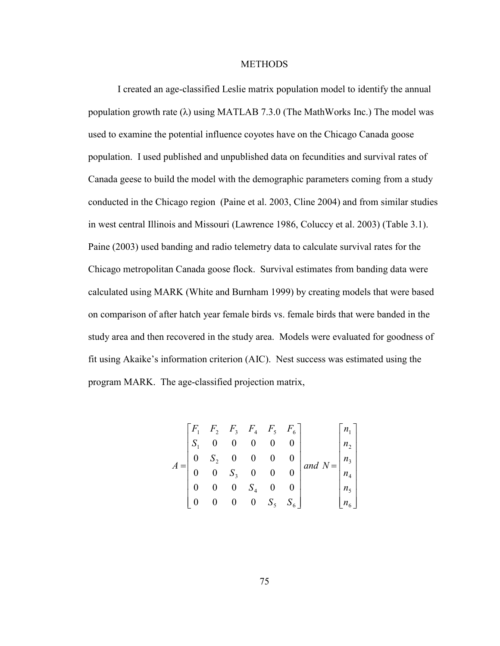#### **METHODS**

 I created an age-classified Leslie matrix population model to identify the annual population growth rate ( $\lambda$ ) using MATLAB 7.3.0 (The MathWorks Inc.) The model was used to examine the potential influence coyotes have on the Chicago Canada goose population. I used published and unpublished data on fecundities and survival rates of Canada geese to build the model with the demographic parameters coming from a study conducted in the Chicago region (Paine et al. 2003, Cline 2004) and from similar studies in west central Illinois and Missouri (Lawrence 1986, Coluccy et al. 2003) (Table 3.1). Paine (2003) used banding and radio telemetry data to calculate survival rates for the Chicago metropolitan Canada goose flock. Survival estimates from banding data were calculated using MARK (White and Burnham 1999) by creating models that were based on comparison of after hatch year female birds vs. female birds that were banded in the study area and then recovered in the study area. Models were evaluated for goodness of fit using Akaike's information criterion (AIC). Nest success was estimated using the program MARK. The age-classified projection matrix,

$$
A = \begin{bmatrix} F_1 & F_2 & F_3 & F_4 & F_5 & F_6 \\ S_1 & 0 & 0 & 0 & 0 & 0 \\ 0 & S_2 & 0 & 0 & 0 & 0 \\ 0 & 0 & S_3 & 0 & 0 & 0 \\ 0 & 0 & 0 & S_4 & 0 & 0 \\ 0 & 0 & 0 & 0 & S_5 & S_6 \end{bmatrix} and N = \begin{bmatrix} n_1 \\ n_2 \\ n_3 \\ n_4 \\ n_5 \\ n_6 \end{bmatrix}
$$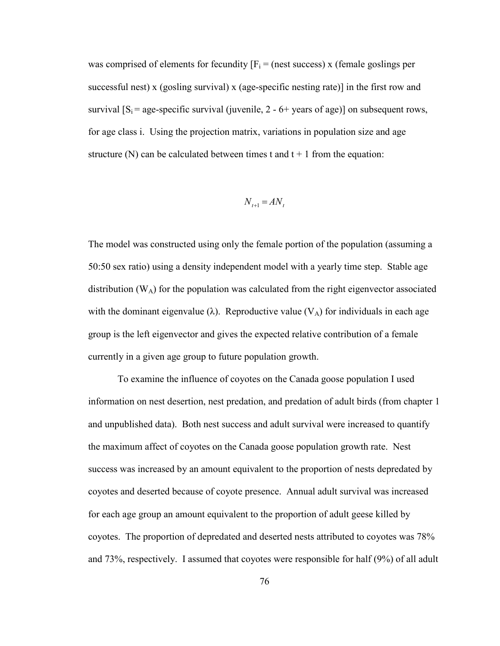was comprised of elements for fecundity  $[F_i = (nest success) \times (female goalsing)$  respectively successful nest) x (gosling survival) x (age-specific nesting rate)] in the first row and survival  $[S_i = age\text{-specific survival (juvenile, 2 - 6+ years of age)}]$  on subsequent rows, for age class i. Using the projection matrix, variations in population size and age structure (N) can be calculated between times t and  $t + 1$  from the equation:

$$
N_{t+1} = A N_t
$$

The model was constructed using only the female portion of the population (assuming a 50:50 sex ratio) using a density independent model with a yearly time step. Stable age distribution  $(W_A)$  for the population was calculated from the right eigenvector associated with the dominant eigenvalue ( $\lambda$ ). Reproductive value ( $V_A$ ) for individuals in each age group is the left eigenvector and gives the expected relative contribution of a female currently in a given age group to future population growth.

 To examine the influence of coyotes on the Canada goose population I used information on nest desertion, nest predation, and predation of adult birds (from chapter 1 and unpublished data). Both nest success and adult survival were increased to quantify the maximum affect of coyotes on the Canada goose population growth rate. Nest success was increased by an amount equivalent to the proportion of nests depredated by coyotes and deserted because of coyote presence. Annual adult survival was increased for each age group an amount equivalent to the proportion of adult geese killed by coyotes. The proportion of depredated and deserted nests attributed to coyotes was 78% and 73%, respectively. I assumed that coyotes were responsible for half (9%) of all adult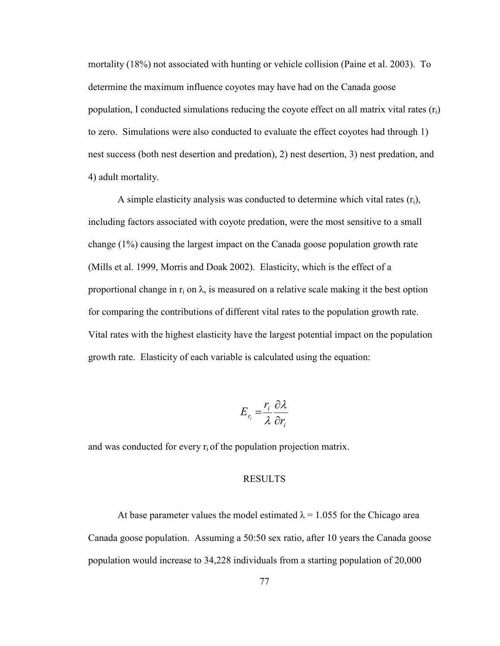mortality (18%) not associated with hunting or vehicle collision (Paine et al. 2003). To determine the maximum influence coyotes may have had on the Canada goose population, I conducted simulations reducing the coyote effect on all matrix vital rates  $(r_i)$ to zero. Simulations were also conducted to evaluate the effect coyotes had through 1) nest success (both nest desertion and predation), 2) nest desertion, 3) nest predation, and 4) adult mortality.

A simple elasticity analysis was conducted to determine which vital rates  $(r_i)$ , including factors associated with coyote predation, were the most sensitive to a small change (1%) causing the largest impact on the Canada goose population growth rate (Mills et al. 1999, Morris and Doak 2002). Elasticity, which is the effect of a proportional change in  $r_i$  on  $\lambda$ , is measured on a relative scale making it the best option for comparing the contributions of different vital rates to the population growth rate. Vital rates with the highest elasticity have the largest potential impact on the population growth rate. Elasticity of each variable is calculated using the equation:

$$
E_{r_i} = \frac{r_i}{\lambda} \frac{\partial \lambda}{\partial r_i}
$$

and was conducted for every  $r_i$  of the population projection matrix.

### RESULTS

At base parameter values the model estimated  $\lambda = 1.055$  for the Chicago area Canada goose population. Assuming a 50:50 sex ratio, after 10 years the Canada goose population would increase to 34,228 individuals from a starting population of 20,000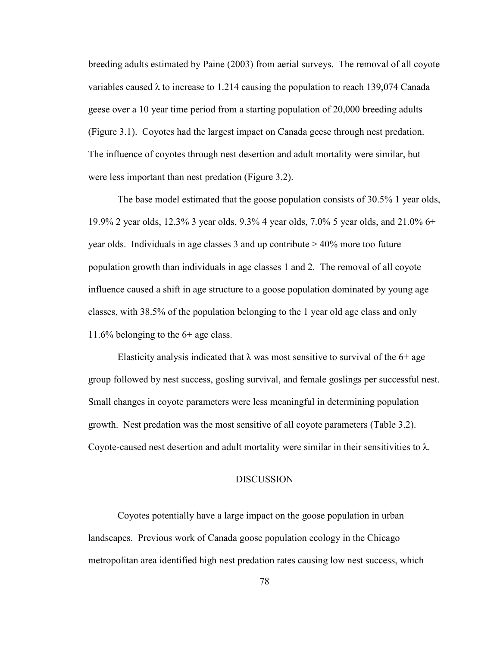breeding adults estimated by Paine (2003) from aerial surveys. The removal of all coyote variables caused  $\lambda$  to increase to 1.214 causing the population to reach 139,074 Canada geese over a 10 year time period from a starting population of 20,000 breeding adults (Figure 3.1). Coyotes had the largest impact on Canada geese through nest predation. The influence of coyotes through nest desertion and adult mortality were similar, but were less important than nest predation (Figure 3.2).

 The base model estimated that the goose population consists of 30.5% 1 year olds, 19.9% 2 year olds, 12.3% 3 year olds, 9.3% 4 year olds, 7.0% 5 year olds, and 21.0% 6+ year olds. Individuals in age classes 3 and up contribute > 40% more too future population growth than individuals in age classes 1 and 2. The removal of all coyote influence caused a shift in age structure to a goose population dominated by young age classes, with 38.5% of the population belonging to the 1 year old age class and only 11.6% belonging to the 6+ age class.

Elasticity analysis indicated that  $\lambda$  was most sensitive to survival of the 6+ age group followed by nest success, gosling survival, and female goslings per successful nest. Small changes in coyote parameters were less meaningful in determining population growth. Nest predation was the most sensitive of all coyote parameters (Table 3.2). Coyote-caused nest desertion and adult mortality were similar in their sensitivities to  $\lambda$ .

## DISCUSSION

Coyotes potentially have a large impact on the goose population in urban landscapes. Previous work of Canada goose population ecology in the Chicago metropolitan area identified high nest predation rates causing low nest success, which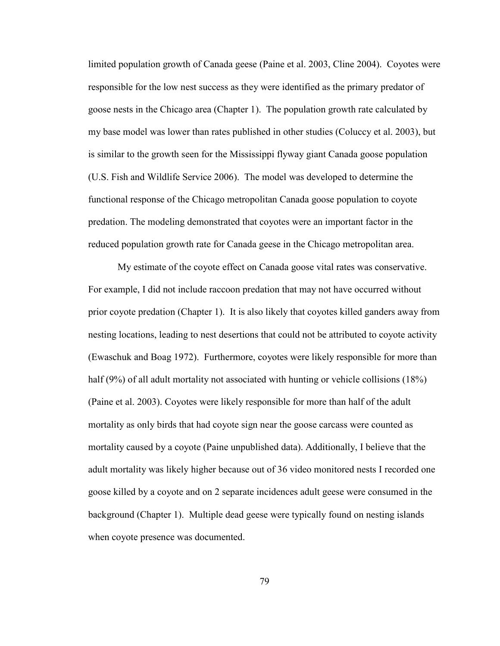limited population growth of Canada geese (Paine et al. 2003, Cline 2004). Coyotes were responsible for the low nest success as they were identified as the primary predator of goose nests in the Chicago area (Chapter 1). The population growth rate calculated by my base model was lower than rates published in other studies (Coluccy et al. 2003), but is similar to the growth seen for the Mississippi flyway giant Canada goose population (U.S. Fish and Wildlife Service 2006). The model was developed to determine the functional response of the Chicago metropolitan Canada goose population to coyote predation. The modeling demonstrated that coyotes were an important factor in the reduced population growth rate for Canada geese in the Chicago metropolitan area.

 My estimate of the coyote effect on Canada goose vital rates was conservative. For example, I did not include raccoon predation that may not have occurred without prior coyote predation (Chapter 1). It is also likely that coyotes killed ganders away from nesting locations, leading to nest desertions that could not be attributed to coyote activity (Ewaschuk and Boag 1972). Furthermore, coyotes were likely responsible for more than half (9%) of all adult mortality not associated with hunting or vehicle collisions (18%) (Paine et al. 2003). Coyotes were likely responsible for more than half of the adult mortality as only birds that had coyote sign near the goose carcass were counted as mortality caused by a coyote (Paine unpublished data). Additionally, I believe that the adult mortality was likely higher because out of 36 video monitored nests I recorded one goose killed by a coyote and on 2 separate incidences adult geese were consumed in the background (Chapter 1). Multiple dead geese were typically found on nesting islands when coyote presence was documented.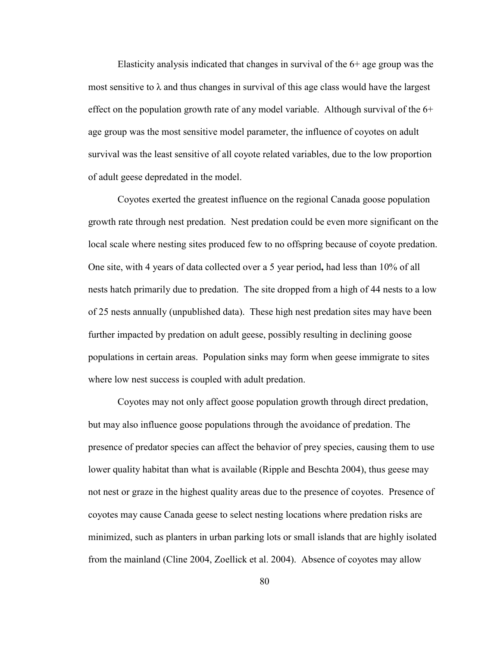Elasticity analysis indicated that changes in survival of the 6+ age group was the most sensitive to  $\lambda$  and thus changes in survival of this age class would have the largest effect on the population growth rate of any model variable. Although survival of the  $6+$ age group was the most sensitive model parameter, the influence of coyotes on adult survival was the least sensitive of all coyote related variables, due to the low proportion of adult geese depredated in the model.

 Coyotes exerted the greatest influence on the regional Canada goose population growth rate through nest predation. Nest predation could be even more significant on the local scale where nesting sites produced few to no offspring because of coyote predation. One site, with 4 years of data collected over a 5 year period, had less than 10% of all nests hatch primarily due to predation. The site dropped from a high of 44 nests to a low of 25 nests annually (unpublished data). These high nest predation sites may have been further impacted by predation on adult geese, possibly resulting in declining goose populations in certain areas. Population sinks may form when geese immigrate to sites where low nest success is coupled with adult predation.

 Coyotes may not only affect goose population growth through direct predation, but may also influence goose populations through the avoidance of predation. The presence of predator species can affect the behavior of prey species, causing them to use lower quality habitat than what is available (Ripple and Beschta 2004), thus geese may not nest or graze in the highest quality areas due to the presence of coyotes. Presence of coyotes may cause Canada geese to select nesting locations where predation risks are minimized, such as planters in urban parking lots or small islands that are highly isolated from the mainland (Cline 2004, Zoellick et al. 2004). Absence of coyotes may allow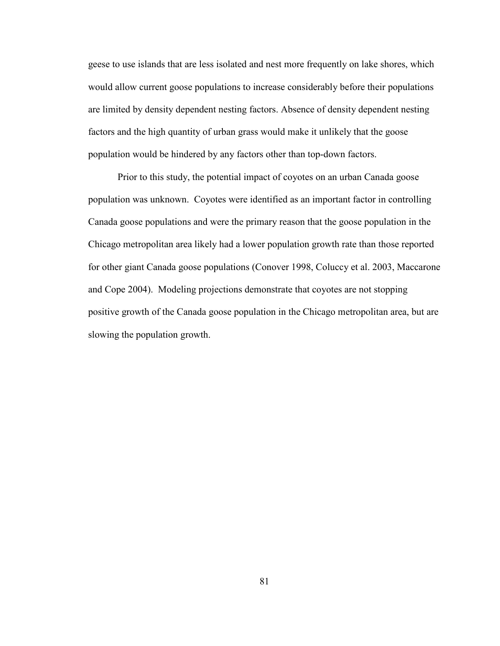geese to use islands that are less isolated and nest more frequently on lake shores, which would allow current goose populations to increase considerably before their populations are limited by density dependent nesting factors. Absence of density dependent nesting factors and the high quantity of urban grass would make it unlikely that the goose population would be hindered by any factors other than top-down factors.

 Prior to this study, the potential impact of coyotes on an urban Canada goose population was unknown. Coyotes were identified as an important factor in controlling Canada goose populations and were the primary reason that the goose population in the Chicago metropolitan area likely had a lower population growth rate than those reported for other giant Canada goose populations (Conover 1998, Coluccy et al. 2003, Maccarone and Cope 2004). Modeling projections demonstrate that coyotes are not stopping positive growth of the Canada goose population in the Chicago metropolitan area, but are slowing the population growth.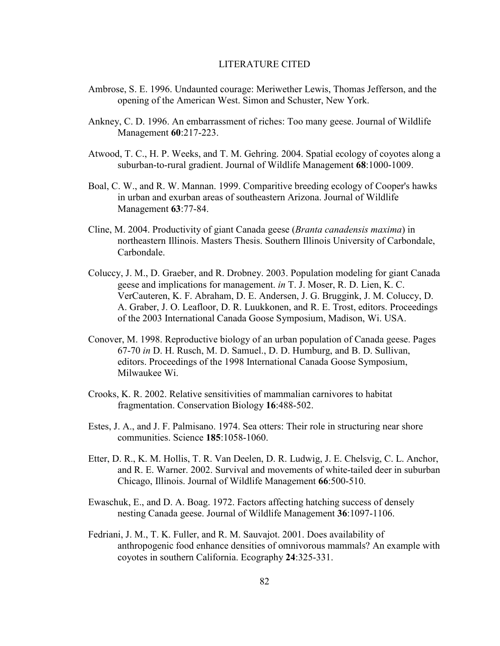#### LITERATURE CITED

- Ambrose, S. E. 1996. Undaunted courage: Meriwether Lewis, Thomas Jefferson, and the opening of the American West. Simon and Schuster, New York.
- Ankney, C. D. 1996. An embarrassment of riches: Too many geese. Journal of Wildlife Management 60:217-223.
- Atwood, T. C., H. P. Weeks, and T. M. Gehring. 2004. Spatial ecology of coyotes along a suburban-to-rural gradient. Journal of Wildlife Management 68:1000-1009.
- Boal, C. W., and R. W. Mannan. 1999. Comparitive breeding ecology of Cooper's hawks in urban and exurban areas of southeastern Arizona. Journal of Wildlife Management 63:77-84.
- Cline, M. 2004. Productivity of giant Canada geese (Branta canadensis maxima) in northeastern Illinois. Masters Thesis. Southern Illinois University of Carbondale, Carbondale.
- Coluccy, J. M., D. Graeber, and R. Drobney. 2003. Population modeling for giant Canada geese and implications for management. in T. J. Moser, R. D. Lien, K. C. VerCauteren, K. F. Abraham, D. E. Andersen, J. G. Bruggink, J. M. Coluccy, D. A. Graber, J. O. Leafloor, D. R. Luukkonen, and R. E. Trost, editors. Proceedings of the 2003 International Canada Goose Symposium, Madison, Wi. USA.
- Conover, M. 1998. Reproductive biology of an urban population of Canada geese. Pages 67-70 in D. H. Rusch, M. D. Samuel., D. D. Humburg, and B. D. Sullivan, editors. Proceedings of the 1998 International Canada Goose Symposium, Milwaukee Wi.
- Crooks, K. R. 2002. Relative sensitivities of mammalian carnivores to habitat fragmentation. Conservation Biology 16:488-502.
- Estes, J. A., and J. F. Palmisano. 1974. Sea otters: Their role in structuring near shore communities. Science 185:1058-1060.
- Etter, D. R., K. M. Hollis, T. R. Van Deelen, D. R. Ludwig, J. E. Chelsvig, C. L. Anchor, and R. E. Warner. 2002. Survival and movements of white-tailed deer in suburban Chicago, Illinois. Journal of Wildlife Management 66:500-510.
- Ewaschuk, E., and D. A. Boag. 1972. Factors affecting hatching success of densely nesting Canada geese. Journal of Wildlife Management 36:1097-1106.
- Fedriani, J. M., T. K. Fuller, and R. M. Sauvajot. 2001. Does availability of anthropogenic food enhance densities of omnivorous mammals? An example with coyotes in southern California. Ecography 24:325-331.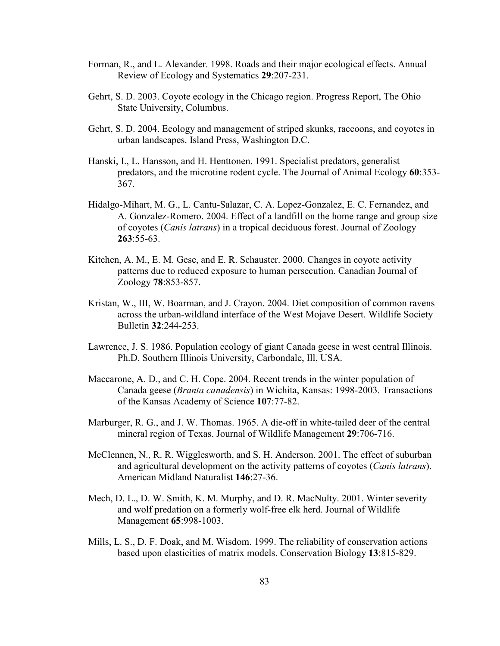- Forman, R., and L. Alexander. 1998. Roads and their major ecological effects. Annual Review of Ecology and Systematics 29:207-231.
- Gehrt, S. D. 2003. Coyote ecology in the Chicago region. Progress Report, The Ohio State University, Columbus.
- Gehrt, S. D. 2004. Ecology and management of striped skunks, raccoons, and coyotes in urban landscapes. Island Press, Washington D.C.
- Hanski, I., L. Hansson, and H. Henttonen. 1991. Specialist predators, generalist predators, and the microtine rodent cycle. The Journal of Animal Ecology 60:353- 367.
- Hidalgo-Mihart, M. G., L. Cantu-Salazar, C. A. Lopez-Gonzalez, E. C. Fernandez, and A. Gonzalez-Romero. 2004. Effect of a landfill on the home range and group size of coyotes (Canis latrans) in a tropical deciduous forest. Journal of Zoology 263:55-63.
- Kitchen, A. M., E. M. Gese, and E. R. Schauster. 2000. Changes in coyote activity patterns due to reduced exposure to human persecution. Canadian Journal of Zoology 78:853-857.
- Kristan, W., III, W. Boarman, and J. Crayon. 2004. Diet composition of common ravens across the urban-wildland interface of the West Mojave Desert. Wildlife Society Bulletin 32:244-253.
- Lawrence, J. S. 1986. Population ecology of giant Canada geese in west central Illinois. Ph.D. Southern Illinois University, Carbondale, Ill, USA.
- Maccarone, A. D., and C. H. Cope. 2004. Recent trends in the winter population of Canada geese (Branta canadensis) in Wichita, Kansas: 1998-2003. Transactions of the Kansas Academy of Science 107:77-82.
- Marburger, R. G., and J. W. Thomas. 1965. A die-off in white-tailed deer of the central mineral region of Texas. Journal of Wildlife Management 29:706-716.
- McClennen, N., R. R. Wigglesworth, and S. H. Anderson. 2001. The effect of suburban and agricultural development on the activity patterns of coyotes (Canis latrans). American Midland Naturalist 146:27-36.
- Mech, D. L., D. W. Smith, K. M. Murphy, and D. R. MacNulty. 2001. Winter severity and wolf predation on a formerly wolf-free elk herd. Journal of Wildlife Management 65:998-1003.
- Mills, L. S., D. F. Doak, and M. Wisdom. 1999. The reliability of conservation actions based upon elasticities of matrix models. Conservation Biology 13:815-829.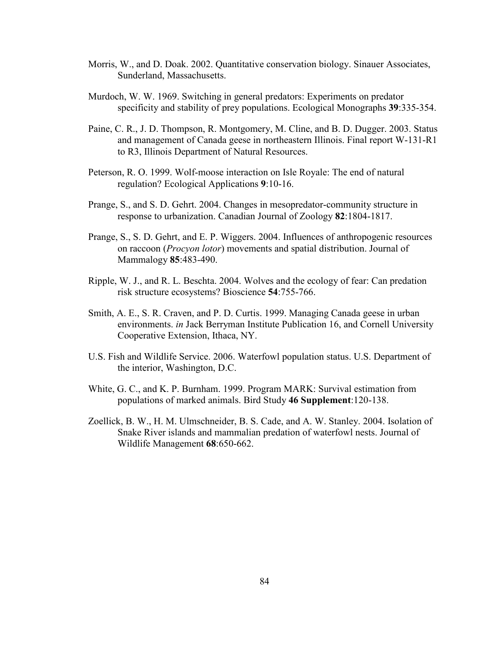- Morris, W., and D. Doak. 2002. Quantitative conservation biology. Sinauer Associates, Sunderland, Massachusetts.
- Murdoch, W. W. 1969. Switching in general predators: Experiments on predator specificity and stability of prey populations. Ecological Monographs 39:335-354.
- Paine, C. R., J. D. Thompson, R. Montgomery, M. Cline, and B. D. Dugger. 2003. Status and management of Canada geese in northeastern Illinois. Final report W-131-R1 to R3, Illinois Department of Natural Resources.
- Peterson, R. O. 1999. Wolf-moose interaction on Isle Royale: The end of natural regulation? Ecological Applications 9:10-16.
- Prange, S., and S. D. Gehrt. 2004. Changes in mesopredator-community structure in response to urbanization. Canadian Journal of Zoology 82:1804-1817.
- Prange, S., S. D. Gehrt, and E. P. Wiggers. 2004. Influences of anthropogenic resources on raccoon (Procyon lotor) movements and spatial distribution. Journal of Mammalogy 85:483-490.
- Ripple, W. J., and R. L. Beschta. 2004. Wolves and the ecology of fear: Can predation risk structure ecosystems? Bioscience 54:755-766.
- Smith, A. E., S. R. Craven, and P. D. Curtis. 1999. Managing Canada geese in urban environments. in Jack Berryman Institute Publication 16, and Cornell University Cooperative Extension, Ithaca, NY.
- U.S. Fish and Wildlife Service. 2006. Waterfowl population status. U.S. Department of the interior, Washington, D.C.
- White, G. C., and K. P. Burnham. 1999. Program MARK: Survival estimation from populations of marked animals. Bird Study 46 Supplement:120-138.
- Zoellick, B. W., H. M. Ulmschneider, B. S. Cade, and A. W. Stanley. 2004. Isolation of Snake River islands and mammalian predation of waterfowl nests. Journal of Wildlife Management 68:650-662.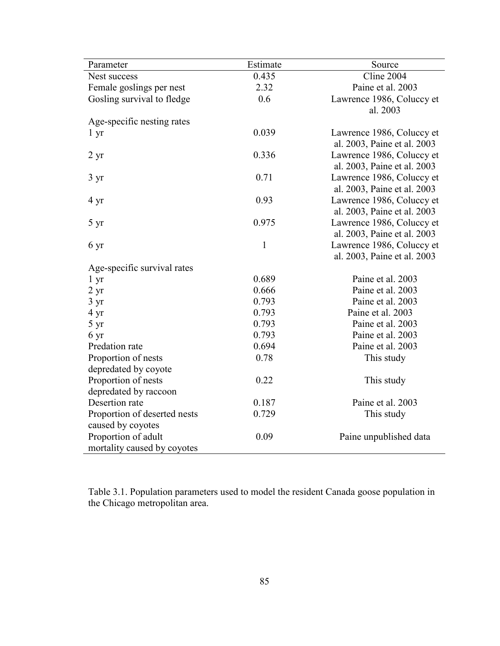| Parameter                                          | Estimate     | Source                                                   |
|----------------------------------------------------|--------------|----------------------------------------------------------|
| Nest success                                       | 0.435        | Cline 2004                                               |
| Female goslings per nest                           | 2.32         | Paine et al. 2003                                        |
| Gosling survival to fledge                         | 0.6          | Lawrence 1986, Coluccy et<br>al. 2003                    |
| Age-specific nesting rates                         |              |                                                          |
| $1 \mathrm{yr}$                                    | 0.039        | Lawrence 1986, Coluccy et<br>al. 2003, Paine et al. 2003 |
| 2 <sub>yr</sub>                                    | 0.336        | Lawrence 1986, Coluccy et<br>al. 2003, Paine et al. 2003 |
| $3 \text{ yr}$                                     | 0.71         | Lawrence 1986, Coluccy et<br>al. 2003, Paine et al. 2003 |
| $4 \text{ yr}$                                     | 0.93         | Lawrence 1986, Coluccy et<br>al. 2003, Paine et al. 2003 |
| 5 yr                                               | 0.975        | Lawrence 1986, Coluccy et<br>al. 2003, Paine et al. 2003 |
| 6 yr                                               | $\mathbf{1}$ | Lawrence 1986, Coluccy et<br>al. 2003, Paine et al. 2003 |
| Age-specific survival rates                        |              |                                                          |
| $1 \, yr$                                          | 0.689        | Paine et al. 2003                                        |
| $2 \text{ yr}$                                     | 0.666        | Paine et al. 2003                                        |
| $3 \text{ yr}$                                     | 0.793        | Paine et al. 2003                                        |
| 4 yr                                               | 0.793        | Paine et al. 2003                                        |
| $5 \text{ yr}$                                     | 0.793        | Paine et al. 2003                                        |
| 6 yr                                               | 0.793        | Paine et al. 2003                                        |
| Predation rate                                     | 0.694        | Paine et al. 2003                                        |
| Proportion of nests<br>depredated by coyote        | 0.78         | This study                                               |
| Proportion of nests<br>depredated by raccoon       | 0.22         | This study                                               |
| Desertion rate                                     | 0.187        | Paine et al. 2003                                        |
| Proportion of deserted nests<br>caused by coyotes  | 0.729        | This study                                               |
| Proportion of adult<br>mortality caused by coyotes | 0.09         | Paine unpublished data                                   |

Table 3.1. Population parameters used to model the resident Canada goose population in the Chicago metropolitan area.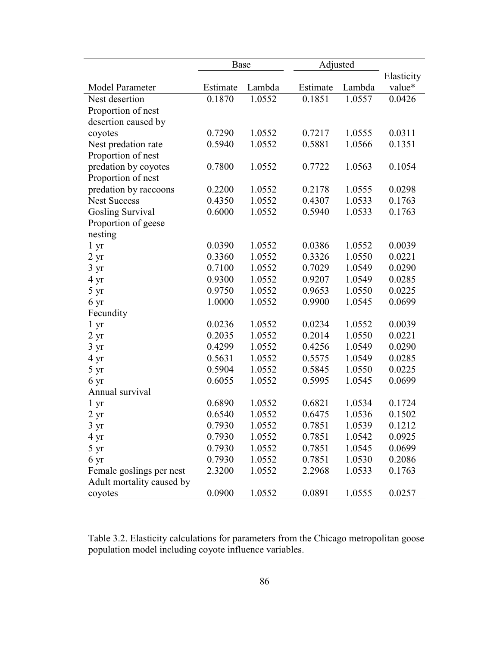|                           | Base     |        | Adjusted |        |            |
|---------------------------|----------|--------|----------|--------|------------|
|                           |          |        |          |        | Elasticity |
| Model Parameter           | Estimate | Lambda | Estimate | Lambda | value*     |
| Nest desertion            | 0.1870   | 1.0552 | 0.1851   | 1.0557 | 0.0426     |
| Proportion of nest        |          |        |          |        |            |
| desertion caused by       |          |        |          |        |            |
| coyotes                   | 0.7290   | 1.0552 | 0.7217   | 1.0555 | 0.0311     |
| Nest predation rate       | 0.5940   | 1.0552 | 0.5881   | 1.0566 | 0.1351     |
| Proportion of nest        |          |        |          |        |            |
| predation by coyotes      | 0.7800   | 1.0552 | 0.7722   | 1.0563 | 0.1054     |
| Proportion of nest        |          |        |          |        |            |
| predation by raccoons     | 0.2200   | 1.0552 | 0.2178   | 1.0555 | 0.0298     |
| <b>Nest Success</b>       | 0.4350   | 1.0552 | 0.4307   | 1.0533 | 0.1763     |
| <b>Gosling Survival</b>   | 0.6000   | 1.0552 | 0.5940   | 1.0533 | 0.1763     |
| Proportion of geese       |          |        |          |        |            |
| nesting                   |          |        |          |        |            |
| $1 \, yr$                 | 0.0390   | 1.0552 | 0.0386   | 1.0552 | 0.0039     |
| $2 \text{ yr}$            | 0.3360   | 1.0552 | 0.3326   | 1.0550 | 0.0221     |
| 3 yr                      | 0.7100   | 1.0552 | 0.7029   | 1.0549 | 0.0290     |
| 4 yr                      | 0.9300   | 1.0552 | 0.9207   | 1.0549 | 0.0285     |
| $5 \text{ yr}$            | 0.9750   | 1.0552 | 0.9653   | 1.0550 | 0.0225     |
| 6 yr                      | 1.0000   | 1.0552 | 0.9900   | 1.0545 | 0.0699     |
| Fecundity                 |          |        |          |        |            |
| 1 yr                      | 0.0236   | 1.0552 | 0.0234   | 1.0552 | 0.0039     |
| $2 \text{ yr}$            | 0.2035   | 1.0552 | 0.2014   | 1.0550 | 0.0221     |
| $3 \text{ yr}$            | 0.4299   | 1.0552 | 0.4256   | 1.0549 | 0.0290     |
| 4 yr                      | 0.5631   | 1.0552 | 0.5575   | 1.0549 | 0.0285     |
| 5 yr                      | 0.5904   | 1.0552 | 0.5845   | 1.0550 | 0.0225     |
| 6 yr                      | 0.6055   | 1.0552 | 0.5995   | 1.0545 | 0.0699     |
| Annual survival           |          |        |          |        |            |
| $1 \, yr$                 | 0.6890   | 1.0552 | 0.6821   | 1.0534 | 0.1724     |
| $2 \text{ yr}$            | 0.6540   | 1.0552 | 0.6475   | 1.0536 | 0.1502     |
| $3 \text{ yr}$            | 0.7930   | 1.0552 | 0.7851   | 1.0539 | 0.1212     |
| 4 yr                      | 0.7930   | 1.0552 | 0.7851   | 1.0542 | 0.0925     |
| 5 yr                      | 0.7930   | 1.0552 | 0.7851   | 1.0545 | 0.0699     |
| 6 yr                      | 0.7930   | 1.0552 | 0.7851   | 1.0530 | 0.2086     |
| Female goslings per nest  | 2.3200   | 1.0552 | 2.2968   | 1.0533 | 0.1763     |
| Adult mortality caused by |          |        |          |        |            |
| coyotes                   | 0.0900   | 1.0552 | 0.0891   | 1.0555 | 0.0257     |

Table 3.2. Elasticity calculations for parameters from the Chicago metropolitan goose population model including coyote influence variables.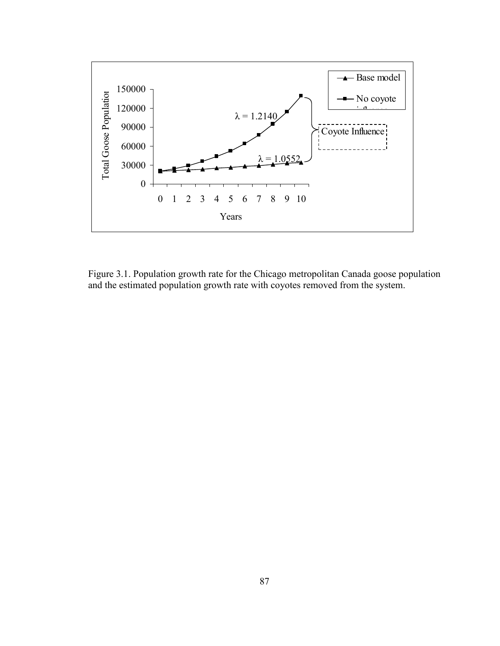

Figure 3.1. Population growth rate for the Chicago metropolitan Canada goose population and the estimated population growth rate with coyotes removed from the system.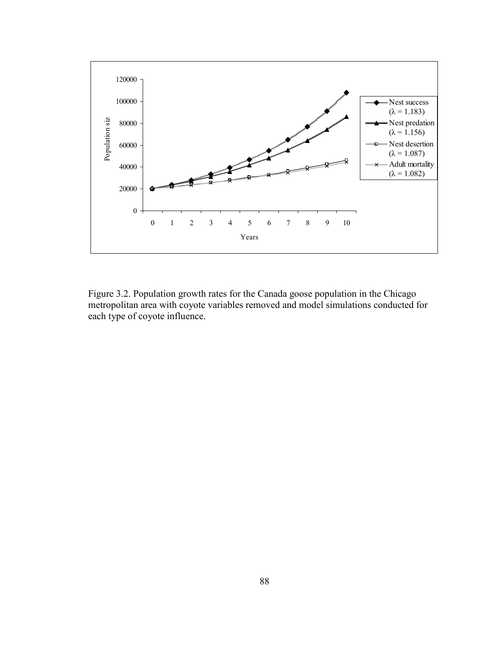

Figure 3.2. Population growth rates for the Canada goose population in the Chicago metropolitan area with coyote variables removed and model simulations conducted for each type of coyote influence.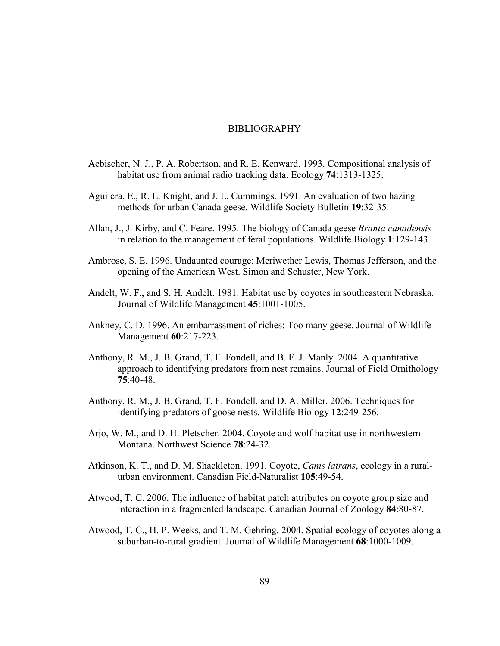#### BIBLIOGRAPHY

- Aebischer, N. J., P. A. Robertson, and R. E. Kenward. 1993. Compositional analysis of habitat use from animal radio tracking data. Ecology 74:1313-1325.
- Aguilera, E., R. L. Knight, and J. L. Cummings. 1991. An evaluation of two hazing methods for urban Canada geese. Wildlife Society Bulletin 19:32-35.
- Allan, J., J. Kirby, and C. Feare. 1995. The biology of Canada geese Branta canadensis in relation to the management of feral populations. Wildlife Biology 1:129-143.
- Ambrose, S. E. 1996. Undaunted courage: Meriwether Lewis, Thomas Jefferson, and the opening of the American West. Simon and Schuster, New York.
- Andelt, W. F., and S. H. Andelt. 1981. Habitat use by coyotes in southeastern Nebraska. Journal of Wildlife Management 45:1001-1005.
- Ankney, C. D. 1996. An embarrassment of riches: Too many geese. Journal of Wildlife Management 60:217-223.
- Anthony, R. M., J. B. Grand, T. F. Fondell, and B. F. J. Manly. 2004. A quantitative approach to identifying predators from nest remains. Journal of Field Ornithology 75:40-48.
- Anthony, R. M., J. B. Grand, T. F. Fondell, and D. A. Miller. 2006. Techniques for identifying predators of goose nests. Wildlife Biology 12:249-256.
- Arjo, W. M., and D. H. Pletscher. 2004. Coyote and wolf habitat use in northwestern Montana. Northwest Science 78:24-32.
- Atkinson, K. T., and D. M. Shackleton. 1991. Coyote, Canis latrans, ecology in a ruralurban environment. Canadian Field-Naturalist 105:49-54.
- Atwood, T. C. 2006. The influence of habitat patch attributes on coyote group size and interaction in a fragmented landscape. Canadian Journal of Zoology 84:80-87.
- Atwood, T. C., H. P. Weeks, and T. M. Gehring. 2004. Spatial ecology of coyotes along a suburban-to-rural gradient. Journal of Wildlife Management 68:1000-1009.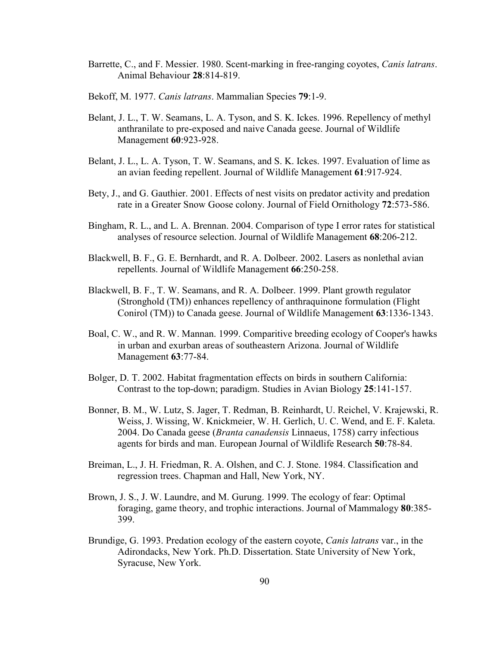- Barrette, C., and F. Messier. 1980. Scent-marking in free-ranging covotes, Canis latrans. Animal Behaviour 28:814-819.
- Bekoff, M. 1977. Canis latrans. Mammalian Species 79:1-9.
- Belant, J. L., T. W. Seamans, L. A. Tyson, and S. K. Ickes. 1996. Repellency of methyl anthranilate to pre-exposed and naive Canada geese. Journal of Wildlife Management 60:923-928.
- Belant, J. L., L. A. Tyson, T. W. Seamans, and S. K. Ickes. 1997. Evaluation of lime as an avian feeding repellent. Journal of Wildlife Management 61:917-924.
- Bety, J., and G. Gauthier. 2001. Effects of nest visits on predator activity and predation rate in a Greater Snow Goose colony. Journal of Field Ornithology 72:573-586.
- Bingham, R. L., and L. A. Brennan. 2004. Comparison of type I error rates for statistical analyses of resource selection. Journal of Wildlife Management 68:206-212.
- Blackwell, B. F., G. E. Bernhardt, and R. A. Dolbeer. 2002. Lasers as nonlethal avian repellents. Journal of Wildlife Management 66:250-258.
- Blackwell, B. F., T. W. Seamans, and R. A. Dolbeer. 1999. Plant growth regulator (Stronghold (TM)) enhances repellency of anthraquinone formulation (Flight Conirol (TM)) to Canada geese. Journal of Wildlife Management 63:1336-1343.
- Boal, C. W., and R. W. Mannan. 1999. Comparitive breeding ecology of Cooper's hawks in urban and exurban areas of southeastern Arizona. Journal of Wildlife Management 63:77-84.
- Bolger, D. T. 2002. Habitat fragmentation effects on birds in southern California: Contrast to the top-down; paradigm. Studies in Avian Biology 25:141-157.
- Bonner, B. M., W. Lutz, S. Jager, T. Redman, B. Reinhardt, U. Reichel, V. Krajewski, R. Weiss, J. Wissing, W. Knickmeier, W. H. Gerlich, U. C. Wend, and E. F. Kaleta. 2004. Do Canada geese (Branta canadensis Linnaeus, 1758) carry infectious agents for birds and man. European Journal of Wildlife Research 50:78-84.
- Breiman, L., J. H. Friedman, R. A. Olshen, and C. J. Stone. 1984. Classification and regression trees. Chapman and Hall, New York, NY.
- Brown, J. S., J. W. Laundre, and M. Gurung. 1999. The ecology of fear: Optimal foraging, game theory, and trophic interactions. Journal of Mammalogy 80:385- 399.
- Brundige, G. 1993. Predation ecology of the eastern coyote, Canis latrans var., in the Adirondacks, New York. Ph.D. Dissertation. State University of New York, Syracuse, New York.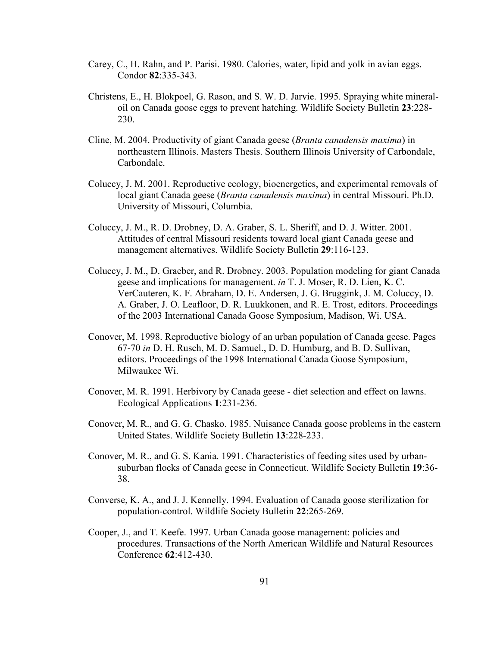- Carey, C., H. Rahn, and P. Parisi. 1980. Calories, water, lipid and yolk in avian eggs. Condor 82:335-343.
- Christens, E., H. Blokpoel, G. Rason, and S. W. D. Jarvie. 1995. Spraying white mineraloil on Canada goose eggs to prevent hatching. Wildlife Society Bulletin 23:228- 230.
- Cline, M. 2004. Productivity of giant Canada geese (Branta canadensis maxima) in northeastern Illinois. Masters Thesis. Southern Illinois University of Carbondale, Carbondale.
- Coluccy, J. M. 2001. Reproductive ecology, bioenergetics, and experimental removals of local giant Canada geese (Branta canadensis maxima) in central Missouri. Ph.D. University of Missouri, Columbia.
- Coluccy, J. M., R. D. Drobney, D. A. Graber, S. L. Sheriff, and D. J. Witter. 2001. Attitudes of central Missouri residents toward local giant Canada geese and management alternatives. Wildlife Society Bulletin 29:116-123.
- Coluccy, J. M., D. Graeber, and R. Drobney. 2003. Population modeling for giant Canada geese and implications for management. in T. J. Moser, R. D. Lien, K. C. VerCauteren, K. F. Abraham, D. E. Andersen, J. G. Bruggink, J. M. Coluccy, D. A. Graber, J. O. Leafloor, D. R. Luukkonen, and R. E. Trost, editors. Proceedings of the 2003 International Canada Goose Symposium, Madison, Wi. USA.
- Conover, M. 1998. Reproductive biology of an urban population of Canada geese. Pages 67-70 in D. H. Rusch, M. D. Samuel., D. D. Humburg, and B. D. Sullivan, editors. Proceedings of the 1998 International Canada Goose Symposium, Milwaukee Wi.
- Conover, M. R. 1991. Herbivory by Canada geese diet selection and effect on lawns. Ecological Applications 1:231-236.
- Conover, M. R., and G. G. Chasko. 1985. Nuisance Canada goose problems in the eastern United States. Wildlife Society Bulletin 13:228-233.
- Conover, M. R., and G. S. Kania. 1991. Characteristics of feeding sites used by urbansuburban flocks of Canada geese in Connecticut. Wildlife Society Bulletin 19:36- 38.
- Converse, K. A., and J. J. Kennelly. 1994. Evaluation of Canada goose sterilization for population-control. Wildlife Society Bulletin 22:265-269.
- Cooper, J., and T. Keefe. 1997. Urban Canada goose management: policies and procedures. Transactions of the North American Wildlife and Natural Resources Conference 62:412-430.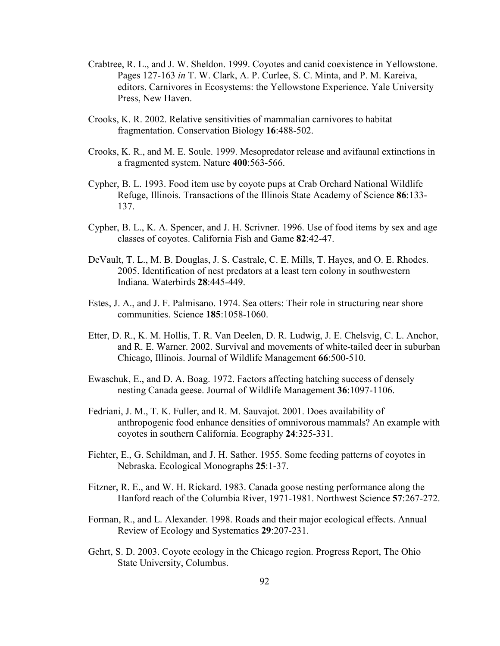- Crabtree, R. L., and J. W. Sheldon. 1999. Coyotes and canid coexistence in Yellowstone. Pages 127-163 in T. W. Clark, A. P. Curlee, S. C. Minta, and P. M. Kareiva, editors. Carnivores in Ecosystems: the Yellowstone Experience. Yale University Press, New Haven.
- Crooks, K. R. 2002. Relative sensitivities of mammalian carnivores to habitat fragmentation. Conservation Biology 16:488-502.
- Crooks, K. R., and M. E. Soule. 1999. Mesopredator release and avifaunal extinctions in a fragmented system. Nature 400:563-566.
- Cypher, B. L. 1993. Food item use by coyote pups at Crab Orchard National Wildlife Refuge, Illinois. Transactions of the Illinois State Academy of Science 86:133- 137.
- Cypher, B. L., K. A. Spencer, and J. H. Scrivner. 1996. Use of food items by sex and age classes of coyotes. California Fish and Game 82:42-47.
- DeVault, T. L., M. B. Douglas, J. S. Castrale, C. E. Mills, T. Hayes, and O. E. Rhodes. 2005. Identification of nest predators at a least tern colony in southwestern Indiana. Waterbirds 28:445-449.
- Estes, J. A., and J. F. Palmisano. 1974. Sea otters: Their role in structuring near shore communities. Science 185:1058-1060.
- Etter, D. R., K. M. Hollis, T. R. Van Deelen, D. R. Ludwig, J. E. Chelsvig, C. L. Anchor, and R. E. Warner. 2002. Survival and movements of white-tailed deer in suburban Chicago, Illinois. Journal of Wildlife Management 66:500-510.
- Ewaschuk, E., and D. A. Boag. 1972. Factors affecting hatching success of densely nesting Canada geese. Journal of Wildlife Management 36:1097-1106.
- Fedriani, J. M., T. K. Fuller, and R. M. Sauvajot. 2001. Does availability of anthropogenic food enhance densities of omnivorous mammals? An example with coyotes in southern California. Ecography 24:325-331.
- Fichter, E., G. Schildman, and J. H. Sather. 1955. Some feeding patterns of coyotes in Nebraska. Ecological Monographs 25:1-37.
- Fitzner, R. E., and W. H. Rickard. 1983. Canada goose nesting performance along the Hanford reach of the Columbia River, 1971-1981. Northwest Science 57:267-272.
- Forman, R., and L. Alexander. 1998. Roads and their major ecological effects. Annual Review of Ecology and Systematics 29:207-231.
- Gehrt, S. D. 2003. Coyote ecology in the Chicago region. Progress Report, The Ohio State University, Columbus.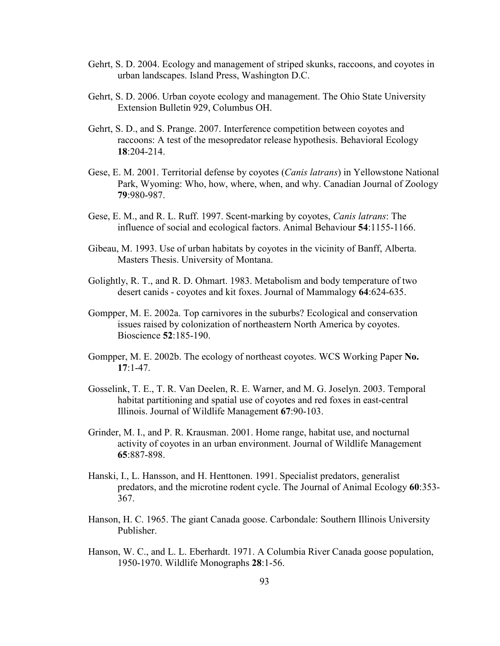- Gehrt, S. D. 2004. Ecology and management of striped skunks, raccoons, and coyotes in urban landscapes. Island Press, Washington D.C.
- Gehrt, S. D. 2006. Urban coyote ecology and management. The Ohio State University Extension Bulletin 929, Columbus OH.
- Gehrt, S. D., and S. Prange. 2007. Interference competition between coyotes and raccoons: A test of the mesopredator release hypothesis. Behavioral Ecology 18:204-214.
- Gese, E. M. 2001. Territorial defense by coyotes (Canis latrans) in Yellowstone National Park, Wyoming: Who, how, where, when, and why. Canadian Journal of Zoology 79:980-987.
- Gese, E. M., and R. L. Ruff. 1997. Scent-marking by coyotes, Canis latrans: The influence of social and ecological factors. Animal Behaviour 54:1155-1166.
- Gibeau, M. 1993. Use of urban habitats by coyotes in the vicinity of Banff, Alberta. Masters Thesis. University of Montana.
- Golightly, R. T., and R. D. Ohmart. 1983. Metabolism and body temperature of two desert canids - coyotes and kit foxes. Journal of Mammalogy 64:624-635.
- Gompper, M. E. 2002a. Top carnivores in the suburbs? Ecological and conservation issues raised by colonization of northeastern North America by coyotes. Bioscience 52:185-190.
- Gompper, M. E. 2002b. The ecology of northeast coyotes. WCS Working Paper No. 17:1-47.
- Gosselink, T. E., T. R. Van Deelen, R. E. Warner, and M. G. Joselyn. 2003. Temporal habitat partitioning and spatial use of coyotes and red foxes in east-central Illinois. Journal of Wildlife Management 67:90-103.
- Grinder, M. I., and P. R. Krausman. 2001. Home range, habitat use, and nocturnal activity of coyotes in an urban environment. Journal of Wildlife Management 65:887-898.
- Hanski, I., L. Hansson, and H. Henttonen. 1991. Specialist predators, generalist predators, and the microtine rodent cycle. The Journal of Animal Ecology 60:353-367.
- Hanson, H. C. 1965. The giant Canada goose. Carbondale: Southern Illinois University Publisher.
- Hanson, W. C., and L. L. Eberhardt. 1971. A Columbia River Canada goose population, 1950-1970. Wildlife Monographs 28:1-56.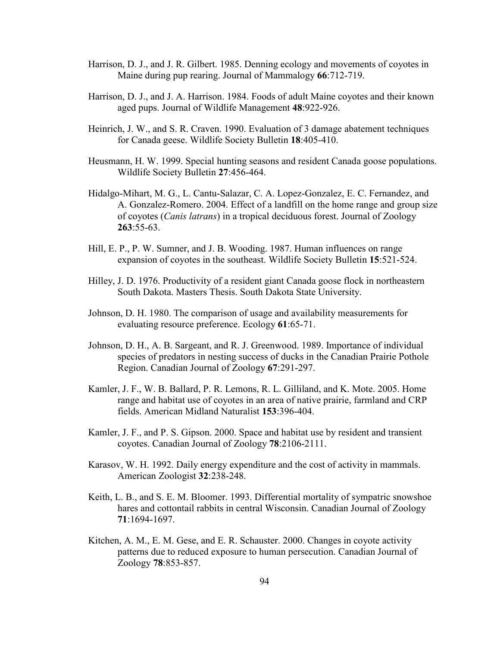- Harrison, D. J., and J. R. Gilbert. 1985. Denning ecology and movements of coyotes in Maine during pup rearing. Journal of Mammalogy 66:712-719.
- Harrison, D. J., and J. A. Harrison. 1984. Foods of adult Maine coyotes and their known aged pups. Journal of Wildlife Management 48:922-926.
- Heinrich, J. W., and S. R. Craven. 1990. Evaluation of 3 damage abatement techniques for Canada geese. Wildlife Society Bulletin 18:405-410.
- Heusmann, H. W. 1999. Special hunting seasons and resident Canada goose populations. Wildlife Society Bulletin 27:456-464.
- Hidalgo-Mihart, M. G., L. Cantu-Salazar, C. A. Lopez-Gonzalez, E. C. Fernandez, and A. Gonzalez-Romero. 2004. Effect of a landfill on the home range and group size of coyotes (Canis latrans) in a tropical deciduous forest. Journal of Zoology 263:55-63.
- Hill, E. P., P. W. Sumner, and J. B. Wooding. 1987. Human influences on range expansion of coyotes in the southeast. Wildlife Society Bulletin 15:521-524.
- Hilley, J. D. 1976. Productivity of a resident giant Canada goose flock in northeastern South Dakota. Masters Thesis. South Dakota State University.
- Johnson, D. H. 1980. The comparison of usage and availability measurements for evaluating resource preference. Ecology 61:65-71.
- Johnson, D. H., A. B. Sargeant, and R. J. Greenwood. 1989. Importance of individual species of predators in nesting success of ducks in the Canadian Prairie Pothole Region. Canadian Journal of Zoology 67:291-297.
- Kamler, J. F., W. B. Ballard, P. R. Lemons, R. L. Gilliland, and K. Mote. 2005. Home range and habitat use of coyotes in an area of native prairie, farmland and CRP fields. American Midland Naturalist 153:396-404.
- Kamler, J. F., and P. S. Gipson. 2000. Space and habitat use by resident and transient coyotes. Canadian Journal of Zoology 78:2106-2111.
- Karasov, W. H. 1992. Daily energy expenditure and the cost of activity in mammals. American Zoologist 32:238-248.
- Keith, L. B., and S. E. M. Bloomer. 1993. Differential mortality of sympatric snowshoe hares and cottontail rabbits in central Wisconsin. Canadian Journal of Zoology 71:1694-1697.
- Kitchen, A. M., E. M. Gese, and E. R. Schauster. 2000. Changes in coyote activity patterns due to reduced exposure to human persecution. Canadian Journal of Zoology 78:853-857.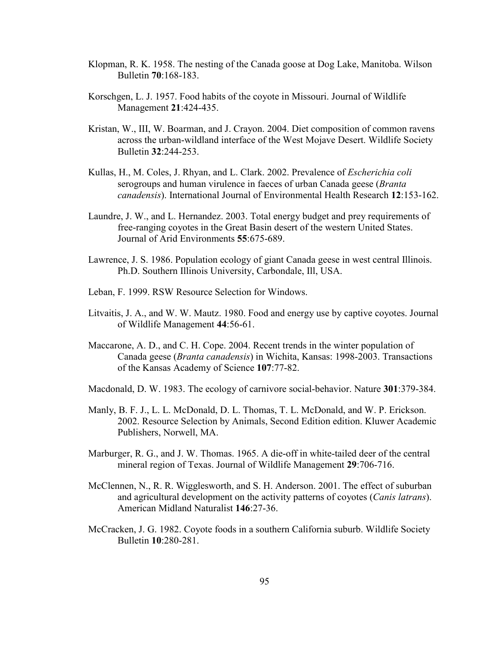- Klopman, R. K. 1958. The nesting of the Canada goose at Dog Lake, Manitoba. Wilson Bulletin 70:168-183.
- Korschgen, L. J. 1957. Food habits of the coyote in Missouri. Journal of Wildlife Management 21:424-435.
- Kristan, W., III, W. Boarman, and J. Crayon. 2004. Diet composition of common ravens across the urban-wildland interface of the West Mojave Desert. Wildlife Society Bulletin 32:244-253.
- Kullas, H., M. Coles, J. Rhyan, and L. Clark. 2002. Prevalence of Escherichia coli serogroups and human virulence in faeces of urban Canada geese (Branta canadensis). International Journal of Environmental Health Research 12:153-162.
- Laundre, J. W., and L. Hernandez. 2003. Total energy budget and prey requirements of free-ranging coyotes in the Great Basin desert of the western United States. Journal of Arid Environments 55:675-689.
- Lawrence, J. S. 1986. Population ecology of giant Canada geese in west central Illinois. Ph.D. Southern Illinois University, Carbondale, Ill, USA.
- Leban, F. 1999. RSW Resource Selection for Windows.
- Litvaitis, J. A., and W. W. Mautz. 1980. Food and energy use by captive coyotes. Journal of Wildlife Management 44:56-61.
- Maccarone, A. D., and C. H. Cope. 2004. Recent trends in the winter population of Canada geese (Branta canadensis) in Wichita, Kansas: 1998-2003. Transactions of the Kansas Academy of Science 107:77-82.
- Macdonald, D. W. 1983. The ecology of carnivore social-behavior. Nature 301:379-384.
- Manly, B. F. J., L. L. McDonald, D. L. Thomas, T. L. McDonald, and W. P. Erickson. 2002. Resource Selection by Animals, Second Edition edition. Kluwer Academic Publishers, Norwell, MA.
- Marburger, R. G., and J. W. Thomas. 1965. A die-off in white-tailed deer of the central mineral region of Texas. Journal of Wildlife Management 29:706-716.
- McClennen, N., R. R. Wigglesworth, and S. H. Anderson. 2001. The effect of suburban and agricultural development on the activity patterns of coyotes (*Canis latrans*). American Midland Naturalist 146:27-36.
- McCracken, J. G. 1982. Coyote foods in a southern California suburb. Wildlife Society Bulletin 10:280-281.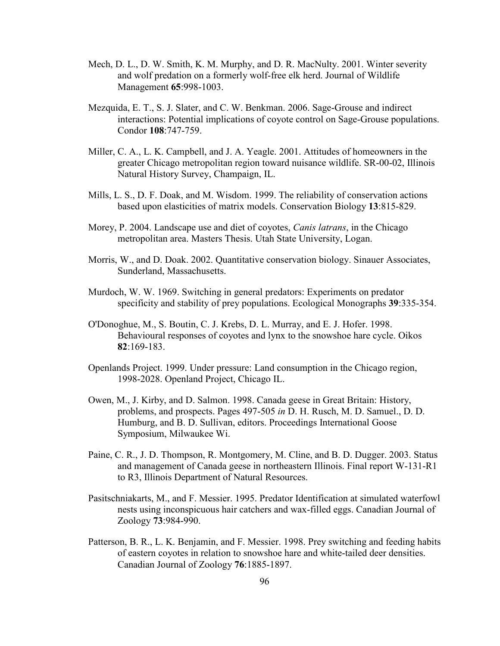- Mech, D. L., D. W. Smith, K. M. Murphy, and D. R. MacNulty. 2001. Winter severity and wolf predation on a formerly wolf-free elk herd. Journal of Wildlife Management 65:998-1003.
- Mezquida, E. T., S. J. Slater, and C. W. Benkman. 2006. Sage-Grouse and indirect interactions: Potential implications of coyote control on Sage-Grouse populations. Condor 108:747-759.
- Miller, C. A., L. K. Campbell, and J. A. Yeagle. 2001. Attitudes of homeowners in the greater Chicago metropolitan region toward nuisance wildlife. SR-00-02, Illinois Natural History Survey, Champaign, IL.
- Mills, L. S., D. F. Doak, and M. Wisdom. 1999. The reliability of conservation actions based upon elasticities of matrix models. Conservation Biology 13:815-829.
- Morey, P. 2004. Landscape use and diet of coyotes, *Canis latrans*, in the Chicago metropolitan area. Masters Thesis. Utah State University, Logan.
- Morris, W., and D. Doak. 2002. Quantitative conservation biology. Sinauer Associates, Sunderland, Massachusetts.
- Murdoch, W. W. 1969. Switching in general predators: Experiments on predator specificity and stability of prey populations. Ecological Monographs 39:335-354.
- O'Donoghue, M., S. Boutin, C. J. Krebs, D. L. Murray, and E. J. Hofer. 1998. Behavioural responses of coyotes and lynx to the snowshoe hare cycle. Oikos 82:169-183.
- Openlands Project. 1999. Under pressure: Land consumption in the Chicago region, 1998-2028. Openland Project, Chicago IL.
- Owen, M., J. Kirby, and D. Salmon. 1998. Canada geese in Great Britain: History, problems, and prospects. Pages 497-505 in D. H. Rusch, M. D. Samuel., D. D. Humburg, and B. D. Sullivan, editors. Proceedings International Goose Symposium, Milwaukee Wi.
- Paine, C. R., J. D. Thompson, R. Montgomery, M. Cline, and B. D. Dugger. 2003. Status and management of Canada geese in northeastern Illinois. Final report W-131-R1 to R3, Illinois Department of Natural Resources.
- Pasitschniakarts, M., and F. Messier. 1995. Predator Identification at simulated waterfowl nests using inconspicuous hair catchers and wax-filled eggs. Canadian Journal of Zoology 73:984-990.
- Patterson, B. R., L. K. Benjamin, and F. Messier. 1998. Prey switching and feeding habits of eastern coyotes in relation to snowshoe hare and white-tailed deer densities. Canadian Journal of Zoology 76:1885-1897.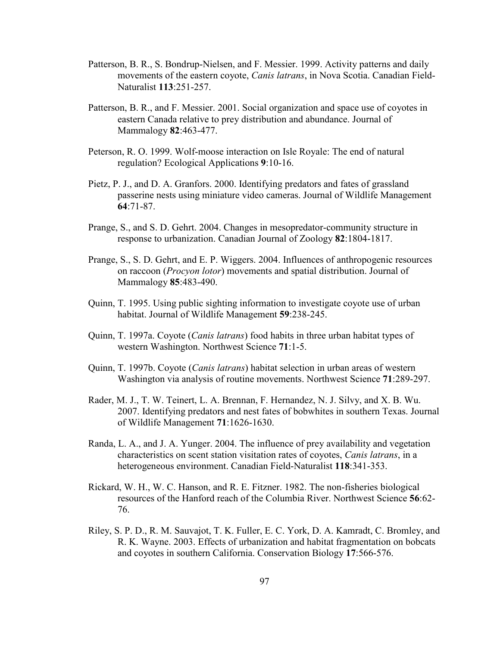- Patterson, B. R., S. Bondrup-Nielsen, and F. Messier. 1999. Activity patterns and daily movements of the eastern coyote, *Canis latrans*, in Nova Scotia. Canadian Field-Naturalist 113:251-257.
- Patterson, B. R., and F. Messier. 2001. Social organization and space use of coyotes in eastern Canada relative to prey distribution and abundance. Journal of Mammalogy 82:463-477.
- Peterson, R. O. 1999. Wolf-moose interaction on Isle Royale: The end of natural regulation? Ecological Applications 9:10-16.
- Pietz, P. J., and D. A. Granfors. 2000. Identifying predators and fates of grassland passerine nests using miniature video cameras. Journal of Wildlife Management 64:71-87.
- Prange, S., and S. D. Gehrt. 2004. Changes in mesopredator-community structure in response to urbanization. Canadian Journal of Zoology 82:1804-1817.
- Prange, S., S. D. Gehrt, and E. P. Wiggers. 2004. Influences of anthropogenic resources on raccoon (Procyon lotor) movements and spatial distribution. Journal of Mammalogy 85:483-490.
- Quinn, T. 1995. Using public sighting information to investigate coyote use of urban habitat. Journal of Wildlife Management 59:238-245.
- Quinn, T. 1997a. Coyote (*Canis latrans*) food habits in three urban habitat types of western Washington. Northwest Science 71:1-5.
- Quinn, T. 1997b. Coyote (Canis latrans) habitat selection in urban areas of western Washington via analysis of routine movements. Northwest Science 71:289-297.
- Rader, M. J., T. W. Teinert, L. A. Brennan, F. Hernandez, N. J. Silvy, and X. B. Wu. 2007. Identifying predators and nest fates of bobwhites in southern Texas. Journal of Wildlife Management 71:1626-1630.
- Randa, L. A., and J. A. Yunger. 2004. The influence of prey availability and vegetation characteristics on scent station visitation rates of coyotes, Canis latrans, in a heterogeneous environment. Canadian Field-Naturalist 118:341-353.
- Rickard, W. H., W. C. Hanson, and R. E. Fitzner. 1982. The non-fisheries biological resources of the Hanford reach of the Columbia River. Northwest Science 56:62- 76.
- Riley, S. P. D., R. M. Sauvajot, T. K. Fuller, E. C. York, D. A. Kamradt, C. Bromley, and R. K. Wayne. 2003. Effects of urbanization and habitat fragmentation on bobcats and coyotes in southern California. Conservation Biology 17:566-576.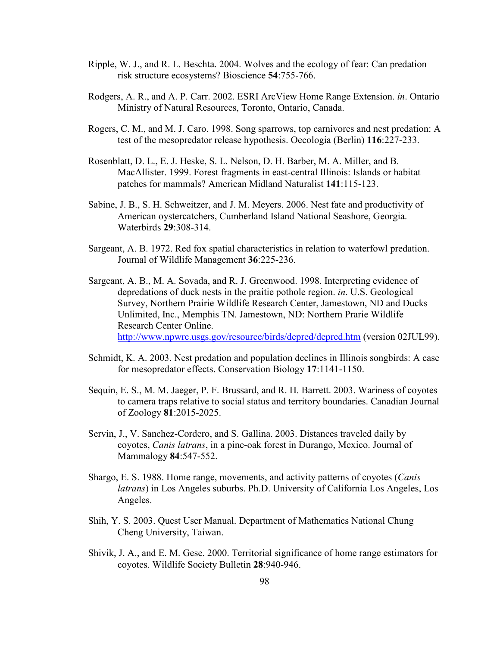- Ripple, W. J., and R. L. Beschta. 2004. Wolves and the ecology of fear: Can predation risk structure ecosystems? Bioscience 54:755-766.
- Rodgers, A. R., and A. P. Carr. 2002. ESRI ArcView Home Range Extension. in. Ontario Ministry of Natural Resources, Toronto, Ontario, Canada.
- Rogers, C. M., and M. J. Caro. 1998. Song sparrows, top carnivores and nest predation: A test of the mesopredator release hypothesis. Oecologia (Berlin) 116:227-233.
- Rosenblatt, D. L., E. J. Heske, S. L. Nelson, D. H. Barber, M. A. Miller, and B. MacAllister. 1999. Forest fragments in east-central Illinois: Islands or habitat patches for mammals? American Midland Naturalist 141:115-123.
- Sabine, J. B., S. H. Schweitzer, and J. M. Meyers. 2006. Nest fate and productivity of American oystercatchers, Cumberland Island National Seashore, Georgia. Waterbirds 29:308-314.
- Sargeant, A. B. 1972. Red fox spatial characteristics in relation to waterfowl predation. Journal of Wildlife Management 36:225-236.
- Sargeant, A. B., M. A. Sovada, and R. J. Greenwood. 1998. Interpreting evidence of depredations of duck nests in the praitie pothole region. in. U.S. Geological Survey, Northern Prairie Wildlife Research Center, Jamestown, ND and Ducks Unlimited, Inc., Memphis TN. Jamestown, ND: Northern Prarie Wildlife Research Center Online. http://www.npwrc.usgs.gov/resource/birds/depred/depred.htm (version 02JUL99).
- Schmidt, K. A. 2003. Nest predation and population declines in Illinois songbirds: A case for mesopredator effects. Conservation Biology 17:1141-1150.
- Sequin, E. S., M. M. Jaeger, P. F. Brussard, and R. H. Barrett. 2003. Wariness of coyotes to camera traps relative to social status and territory boundaries. Canadian Journal of Zoology 81:2015-2025.
- Servin, J., V. Sanchez-Cordero, and S. Gallina. 2003. Distances traveled daily by coyotes, Canis latrans, in a pine-oak forest in Durango, Mexico. Journal of Mammalogy 84:547-552.
- Shargo, E. S. 1988. Home range, movements, and activity patterns of coyotes (Canis latrans) in Los Angeles suburbs. Ph.D. University of California Los Angeles, Los Angeles.
- Shih, Y. S. 2003. Quest User Manual. Department of Mathematics National Chung Cheng University, Taiwan.
- Shivik, J. A., and E. M. Gese. 2000. Territorial significance of home range estimators for coyotes. Wildlife Society Bulletin 28:940-946.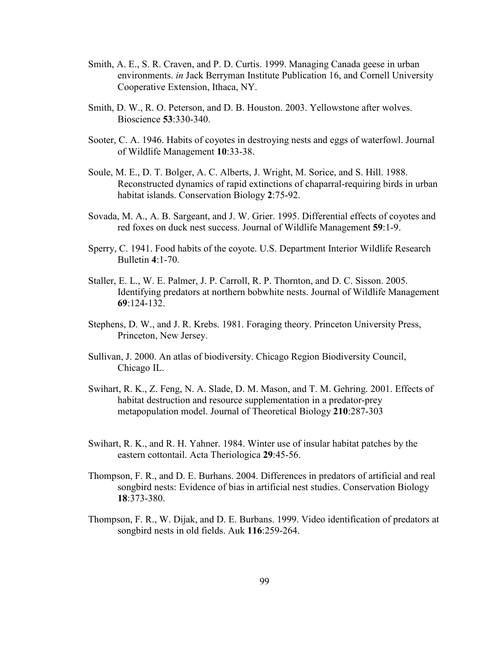- Smith, A. E., S. R. Craven, and P. D. Curtis. 1999. Managing Canada geese in urban environments. in Jack Berryman Institute Publication 16, and Cornell University Cooperative Extension, Ithaca, NY.
- Smith, D. W., R. O. Peterson, and D. B. Houston. 2003. Yellowstone after wolves. Bioscience 53:330-340.
- Sooter, C. A. 1946. Habits of coyotes in destroying nests and eggs of waterfowl. Journal of Wildlife Management 10:33-38.
- Soule, M. E., D. T. Bolger, A. C. Alberts, J. Wright, M. Sorice, and S. Hill. 1988. Reconstructed dynamics of rapid extinctions of chaparral-requiring birds in urban habitat islands. Conservation Biology 2:75-92.
- Sovada, M. A., A. B. Sargeant, and J. W. Grier. 1995. Differential effects of coyotes and red foxes on duck nest success. Journal of Wildlife Management 59:1-9.
- Sperry, C. 1941. Food habits of the coyote. U.S. Department Interior Wildlife Research Bulletin 4:1-70.
- Staller, E. L., W. E. Palmer, J. P. Carroll, R. P. Thornton, and D. C. Sisson. 2005. Identifying predators at northern bobwhite nests. Journal of Wildlife Management 69:124-132.
- Stephens, D. W., and J. R. Krebs. 1981. Foraging theory. Princeton University Press, Princeton, New Jersey.
- Sullivan, J. 2000. An atlas of biodiversity. Chicago Region Biodiversity Council, Chicago IL.
- Swihart, R. K., Z. Feng, N. A. Slade, D. M. Mason, and T. M. Gehring. 2001. Effects of habitat destruction and resource supplementation in a predator-prey metapopulation model. Journal of Theoretical Biology 210:287-303
- Swihart, R. K., and R. H. Yahner. 1984. Winter use of insular habitat patches by the eastern cottontail. Acta Theriologica 29:45-56.
- Thompson, F. R., and D. E. Burhans. 2004. Differences in predators of artificial and real songbird nests: Evidence of bias in artificial nest studies. Conservation Biology 18:373-380.
- Thompson, F. R., W. Dijak, and D. E. Burbans. 1999. Video identification of predators at songbird nests in old fields. Auk 116:259-264.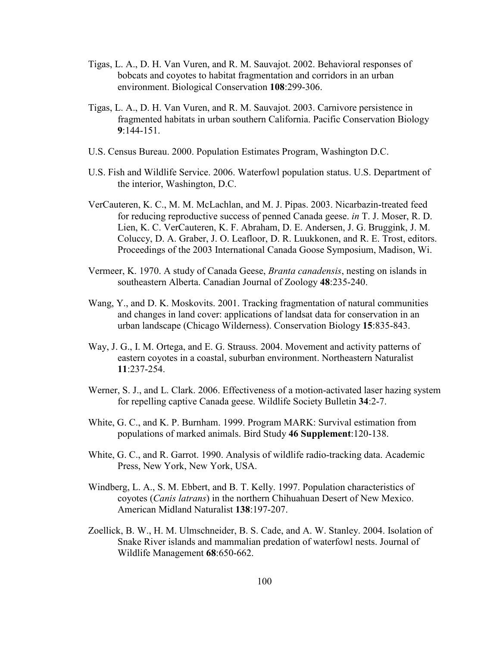- Tigas, L. A., D. H. Van Vuren, and R. M. Sauvajot. 2002. Behavioral responses of bobcats and coyotes to habitat fragmentation and corridors in an urban environment. Biological Conservation 108:299-306.
- Tigas, L. A., D. H. Van Vuren, and R. M. Sauvajot. 2003. Carnivore persistence in fragmented habitats in urban southern California. Pacific Conservation Biology 9:144-151.
- U.S. Census Bureau. 2000. Population Estimates Program, Washington D.C.
- U.S. Fish and Wildlife Service. 2006. Waterfowl population status. U.S. Department of the interior, Washington, D.C.
- VerCauteren, K. C., M. M. McLachlan, and M. J. Pipas. 2003. Nicarbazin-treated feed for reducing reproductive success of penned Canada geese. in T. J. Moser, R. D. Lien, K. C. VerCauteren, K. F. Abraham, D. E. Andersen, J. G. Bruggink, J. M. Coluccy, D. A. Graber, J. O. Leafloor, D. R. Luukkonen, and R. E. Trost, editors. Proceedings of the 2003 International Canada Goose Symposium, Madison, Wi.
- Vermeer, K. 1970. A study of Canada Geese, Branta canadensis, nesting on islands in southeastern Alberta. Canadian Journal of Zoology 48:235-240.
- Wang, Y., and D. K. Moskovits. 2001. Tracking fragmentation of natural communities and changes in land cover: applications of landsat data for conservation in an urban landscape (Chicago Wilderness). Conservation Biology 15:835-843.
- Way, J. G., I. M. Ortega, and E. G. Strauss. 2004. Movement and activity patterns of eastern coyotes in a coastal, suburban environment. Northeastern Naturalist 11:237-254.
- Werner, S. J., and L. Clark. 2006. Effectiveness of a motion-activated laser hazing system for repelling captive Canada geese. Wildlife Society Bulletin 34:2-7.
- White, G. C., and K. P. Burnham. 1999. Program MARK: Survival estimation from populations of marked animals. Bird Study 46 Supplement:120-138.
- White, G. C., and R. Garrot. 1990. Analysis of wildlife radio-tracking data. Academic Press, New York, New York, USA.
- Windberg, L. A., S. M. Ebbert, and B. T. Kelly. 1997. Population characteristics of coyotes (Canis latrans) in the northern Chihuahuan Desert of New Mexico. American Midland Naturalist 138:197-207.
- Zoellick, B. W., H. M. Ulmschneider, B. S. Cade, and A. W. Stanley. 2004. Isolation of Snake River islands and mammalian predation of waterfowl nests. Journal of Wildlife Management 68:650-662.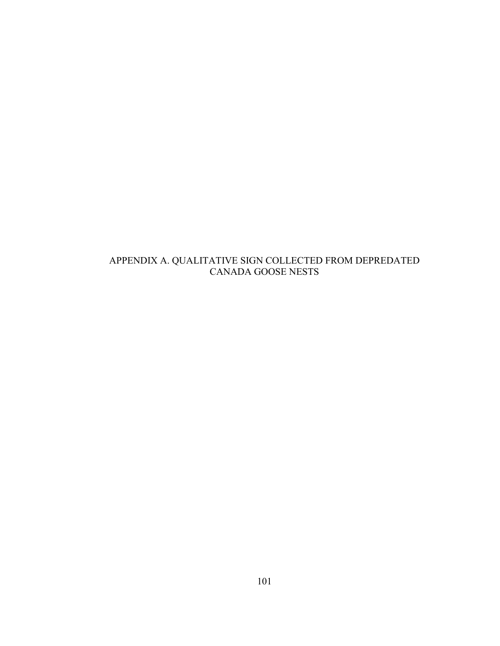## APPENDIX A. QUALITATIVE SIGN COLLECTED FROM DEPREDATED CANADA GOOSE NESTS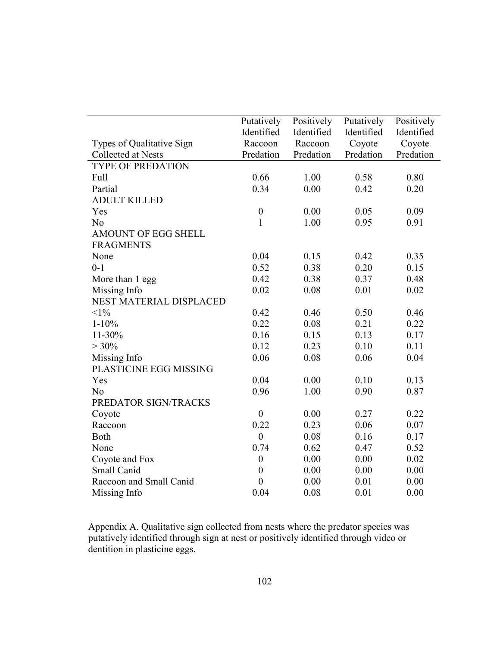|                           | Putatively       | Positively | Putatively | Positively |
|---------------------------|------------------|------------|------------|------------|
|                           | Identified       | Identified | Identified | Identified |
| Types of Qualitative Sign | Raccoon          | Raccoon    | Coyote     | Coyote     |
| Collected at Nests        | Predation        | Predation  | Predation  | Predation  |
| <b>TYPE OF PREDATION</b>  |                  |            |            |            |
| Full                      | 0.66             | 1.00       | 0.58       | 0.80       |
| Partial                   | 0.34             | 0.00       | 0.42       | 0.20       |
| <b>ADULT KILLED</b>       |                  |            |            |            |
| Yes                       | $\boldsymbol{0}$ | 0.00       | 0.05       | 0.09       |
| N <sub>0</sub>            | $\mathbf{1}$     | 1.00       | 0.95       | 0.91       |
| AMOUNT OF EGG SHELL       |                  |            |            |            |
| <b>FRAGMENTS</b>          |                  |            |            |            |
| None                      | 0.04             | 0.15       | 0.42       | 0.35       |
| $0 - 1$                   | 0.52             | 0.38       | 0.20       | 0.15       |
| More than 1 egg           | 0.42             | 0.38       | 0.37       | 0.48       |
| Missing Info              | 0.02             | 0.08       | 0.01       | 0.02       |
| NEST MATERIAL DISPLACED   |                  |            |            |            |
| $<1\%$                    | 0.42             | 0.46       | 0.50       | 0.46       |
| $1 - 10\%$                | 0.22             | 0.08       | 0.21       | 0.22       |
| 11-30%                    | 0.16             | 0.15       | 0.13       | 0.17       |
| $> 30\%$                  | 0.12             | 0.23       | 0.10       | 0.11       |
| Missing Info              | 0.06             | 0.08       | 0.06       | 0.04       |
| PLASTICINE EGG MISSING    |                  |            |            |            |
| Yes                       | 0.04             | 0.00       | 0.10       | 0.13       |
| N <sub>0</sub>            | 0.96             | 1.00       | 0.90       | 0.87       |
| PREDATOR SIGN/TRACKS      |                  |            |            |            |
|                           | $\boldsymbol{0}$ | 0.00       | 0.27       | 0.22       |
| Coyote<br>Raccoon         | 0.22             | 0.23       | 0.06       | 0.07       |
| Both                      | $\boldsymbol{0}$ | 0.08       | 0.16       | 0.17       |
| None                      | 0.74             | 0.62       | 0.47       |            |
|                           |                  |            |            | 0.52       |
| Coyote and Fox            | $\boldsymbol{0}$ | 0.00       | 0.00       | 0.02       |
| Small Canid               | $\boldsymbol{0}$ | 0.00       | 0.00       | 0.00       |
| Raccoon and Small Canid   | $\boldsymbol{0}$ | 0.00       | 0.01       | 0.00       |
| Missing Info              | 0.04             | 0.08       | 0.01       | 0.00       |

Appendix A. Qualitative sign collected from nests where the predator species was putatively identified through sign at nest or positively identified through video or dentition in plasticine eggs.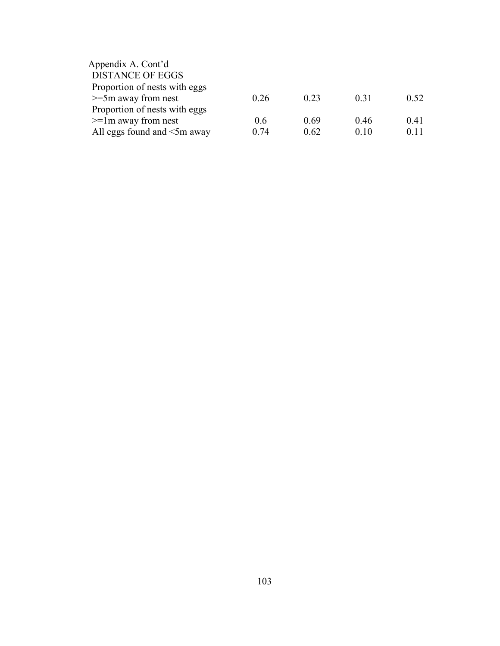| Appendix A. Cont'd                |      |      |      |      |
|-----------------------------------|------|------|------|------|
| <b>DISTANCE OF EGGS</b>           |      |      |      |      |
| Proportion of nests with eggs     |      |      |      |      |
| $>=5m$ away from nest             | 0.26 | 0.23 | 0.31 | 0.52 |
| Proportion of nests with eggs     |      |      |      |      |
| $>=$ 1m away from nest            | 0.6  | 0.69 | 046  | 0.41 |
| All eggs found and $\leq 5m$ away | 0.74 | 0.62 | 0.10 | 0.11 |
|                                   |      |      |      |      |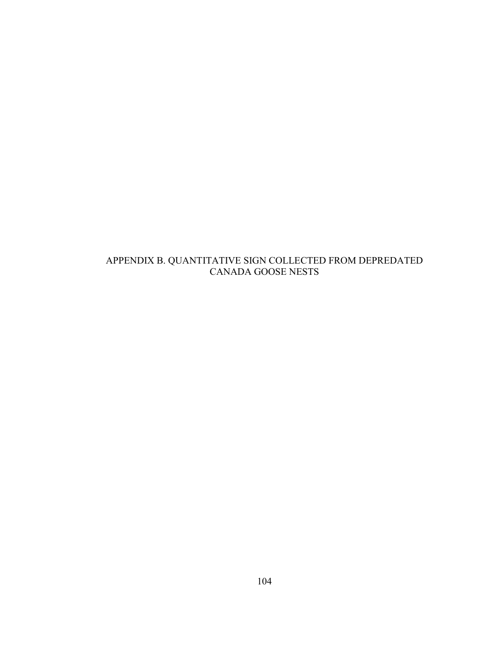## APPENDIX B. QUANTITATIVE SIGN COLLECTED FROM DEPREDATED CANADA GOOSE NESTS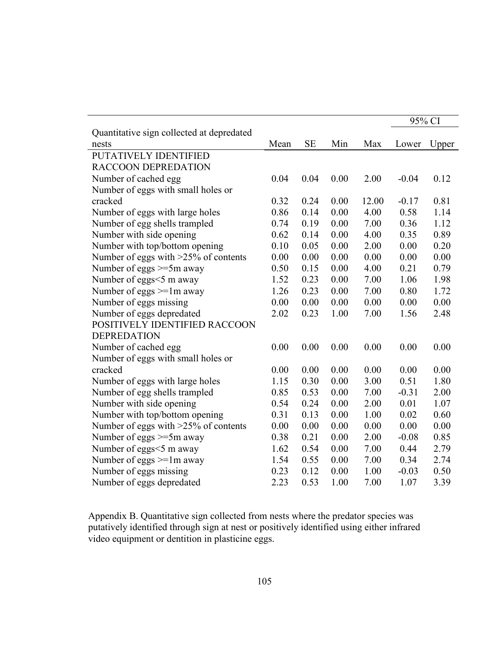|                                                    |      |           |      |       | 95% CI  |       |
|----------------------------------------------------|------|-----------|------|-------|---------|-------|
| Quantitative sign collected at depredated<br>nests | Mean | <b>SE</b> | Min  | Max   | Lower   | Upper |
| PUTATIVELY IDENTIFIED                              |      |           |      |       |         |       |
| RACCOON DEPREDATION                                |      |           |      |       |         |       |
| Number of cached egg                               | 0.04 | 0.04      | 0.00 | 2.00  | $-0.04$ | 0.12  |
| Number of eggs with small holes or                 |      |           |      |       |         |       |
| cracked                                            | 0.32 | 0.24      | 0.00 | 12.00 | $-0.17$ | 0.81  |
| Number of eggs with large holes                    | 0.86 | 0.14      | 0.00 | 4.00  | 0.58    | 1.14  |
| Number of egg shells trampled                      | 0.74 | 0.19      | 0.00 | 7.00  | 0.36    | 1.12  |
| Number with side opening                           | 0.62 | 0.14      | 0.00 | 4.00  | 0.35    | 0.89  |
| Number with top/bottom opening                     | 0.10 | 0.05      | 0.00 | 2.00  | 0.00    | 0.20  |
| Number of eggs with >25% of contents               | 0.00 | 0.00      | 0.00 | 0.00  | 0.00    | 0.00  |
| Number of eggs $>=5m$ away                         | 0.50 | 0.15      | 0.00 | 4.00  | 0.21    | 0.79  |
| Number of eggs <5 m away                           | 1.52 | 0.23      | 0.00 | 7.00  | 1.06    | 1.98  |
| Number of eggs $>=1m$ away                         | 1.26 | 0.23      | 0.00 | 7.00  | 0.80    | 1.72  |
| Number of eggs missing                             | 0.00 | 0.00      | 0.00 | 0.00  | 0.00    | 0.00  |
| Number of eggs depredated                          | 2.02 | 0.23      | 1.00 | 7.00  | 1.56    | 2.48  |
| POSITIVELY IDENTIFIED RACCOON                      |      |           |      |       |         |       |
| <b>DEPREDATION</b>                                 |      |           |      |       |         |       |
| Number of cached egg                               | 0.00 | 0.00      | 0.00 | 0.00  | 0.00    | 0.00  |
| Number of eggs with small holes or                 |      |           |      |       |         |       |
| cracked                                            | 0.00 | 0.00      | 0.00 | 0.00  | 0.00    | 0.00  |
| Number of eggs with large holes                    | 1.15 | 0.30      | 0.00 | 3.00  | 0.51    | 1.80  |
| Number of egg shells trampled                      | 0.85 | 0.53      | 0.00 | 7.00  | $-0.31$ | 2.00  |
| Number with side opening                           | 0.54 | 0.24      | 0.00 | 2.00  | 0.01    | 1.07  |
| Number with top/bottom opening                     | 0.31 | 0.13      | 0.00 | 1.00  | 0.02    | 0.60  |
| Number of eggs with >25% of contents               | 0.00 | 0.00      | 0.00 | 0.00  | 0.00    | 0.00  |
| Number of eggs >=5m away                           | 0.38 | 0.21      | 0.00 | 2.00  | $-0.08$ | 0.85  |
| Number of eggs <5 m away                           | 1.62 | 0.54      | 0.00 | 7.00  | 0.44    | 2.79  |
| Number of eggs >=1m away                           | 1.54 | 0.55      | 0.00 | 7.00  | 0.34    | 2.74  |
| Number of eggs missing                             | 0.23 | 0.12      | 0.00 | 1.00  | $-0.03$ | 0.50  |
| Number of eggs depredated                          | 2.23 | 0.53      | 1.00 | 7.00  | 1.07    | 3.39  |

Appendix B. Quantitative sign collected from nests where the predator species was putatively identified through sign at nest or positively identified using either infrared video equipment or dentition in plasticine eggs.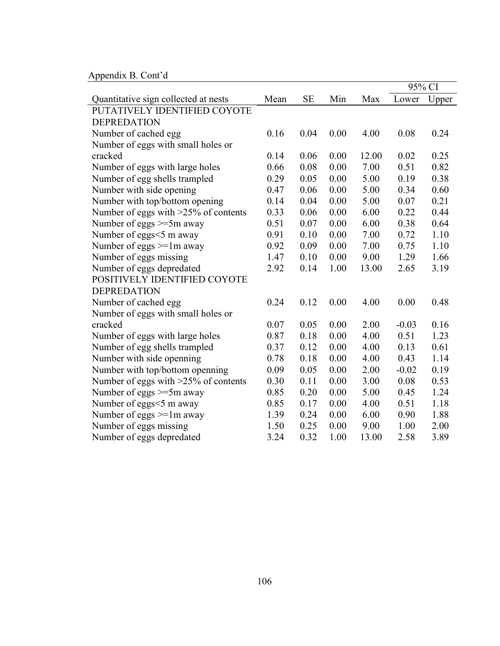Appendix B. Cont'd

|                                         |      |           |      |       | 95% CI  |       |
|-----------------------------------------|------|-----------|------|-------|---------|-------|
| Quantitative sign collected at nests    | Mean | <b>SE</b> | Min  | Max   | Lower   | Upper |
| PUTATIVELY IDENTIFIED COYOTE            |      |           |      |       |         |       |
| <b>DEPREDATION</b>                      |      |           |      |       |         |       |
| Number of cached egg                    | 0.16 | 0.04      | 0.00 | 4.00  | 0.08    | 0.24  |
| Number of eggs with small holes or      |      |           |      |       |         |       |
| cracked                                 | 0.14 | 0.06      | 0.00 | 12.00 | 0.02    | 0.25  |
| Number of eggs with large holes         | 0.66 | 0.08      | 0.00 | 7.00  | 0.51    | 0.82  |
| Number of egg shells trampled           | 0.29 | 0.05      | 0.00 | 5.00  | 0.19    | 0.38  |
| Number with side opening                | 0.47 | 0.06      | 0.00 | 5.00  | 0.34    | 0.60  |
| Number with top/bottom opening          | 0.14 | 0.04      | 0.00 | 5.00  | 0.07    | 0.21  |
| Number of eggs with $>25\%$ of contents | 0.33 | 0.06      | 0.00 | 6.00  | 0.22    | 0.44  |
| Number of eggs $>=5m$ away              | 0.51 | 0.07      | 0.00 | 6.00  | 0.38    | 0.64  |
| Number of eggs <5 m away                | 0.91 | 0.10      | 0.00 | 7.00  | 0.72    | 1.10  |
| Number of eggs $>=1m$ away              | 0.92 | 0.09      | 0.00 | 7.00  | 0.75    | 1.10  |
| Number of eggs missing                  | 1.47 | 0.10      | 0.00 | 9.00  | 1.29    | 1.66  |
| Number of eggs depredated               | 2.92 | 0.14      | 1.00 | 13.00 | 2.65    | 3.19  |
| POSITIVELY IDENTIFIED COYOTE            |      |           |      |       |         |       |
| <b>DEPREDATION</b>                      |      |           |      |       |         |       |
| Number of cached egg                    | 0.24 | 0.12      | 0.00 | 4.00  | 0.00    | 0.48  |
| Number of eggs with small holes or      |      |           |      |       |         |       |
| cracked                                 | 0.07 | 0.05      | 0.00 | 2.00  | $-0.03$ | 0.16  |
| Number of eggs with large holes         | 0.87 | 0.18      | 0.00 | 4.00  | 0.51    | 1.23  |
| Number of egg shells trampled           | 0.37 | 0.12      | 0.00 | 4.00  | 0.13    | 0.61  |
| Number with side openning               | 0.78 | 0.18      | 0.00 | 4.00  | 0.43    | 1.14  |
| Number with top/bottom openning         | 0.09 | 0.05      | 0.00 | 2.00  | $-0.02$ | 0.19  |
| Number of eggs with >25% of contents    | 0.30 | 0.11      | 0.00 | 3.00  | 0.08    | 0.53  |
| Number of eggs $>=5m$ away              | 0.85 | 0.20      | 0.00 | 5.00  | 0.45    | 1.24  |
| Number of eggs <5 m away                | 0.85 | 0.17      | 0.00 | 4.00  | 0.51    | 1.18  |
| Number of eggs $>=1$ m away             | 1.39 | 0.24      | 0.00 | 6.00  | 0.90    | 1.88  |
| Number of eggs missing                  | 1.50 | 0.25      | 0.00 | 9.00  | 1.00    | 2.00  |
| Number of eggs depredated               | 3.24 | 0.32      | 1.00 | 13.00 | 2.58    | 3.89  |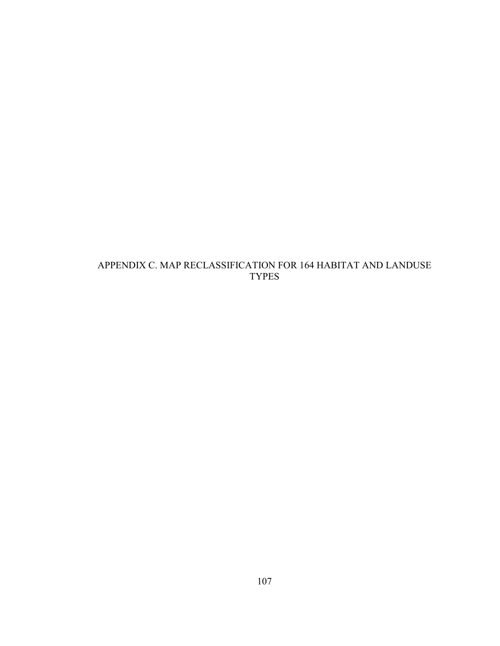## APPENDIX C. MAP RECLASSIFICATION FOR 164 HABITAT AND LANDUSE TYPES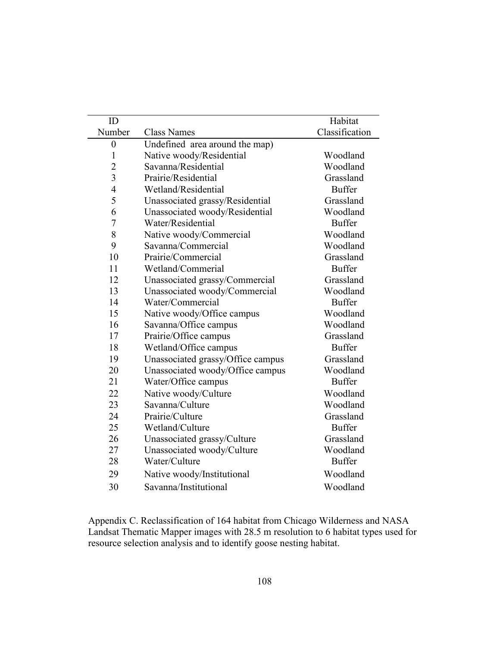| ID               |                                   | Habitat        |
|------------------|-----------------------------------|----------------|
| Number           | <b>Class Names</b>                | Classification |
| $\boldsymbol{0}$ | Undefined area around the map)    |                |
| $\mathbf{1}$     | Native woody/Residential          | Woodland       |
| $\overline{2}$   | Savanna/Residential               | Woodland       |
| $\overline{3}$   | Prairie/Residential               | Grassland      |
| $\overline{4}$   | Wetland/Residential               | <b>Buffer</b>  |
| 5                | Unassociated grassy/Residential   | Grassland      |
| 6                | Unassociated woody/Residential    | Woodland       |
| $\overline{7}$   | Water/Residential                 | <b>Buffer</b>  |
| 8                | Native woody/Commercial           | Woodland       |
| 9                | Savanna/Commercial                | Woodland       |
| 10               | Prairie/Commercial                | Grassland      |
| 11               | Wetland/Commerial                 | <b>Buffer</b>  |
| 12               | Unassociated grassy/Commercial    | Grassland      |
| 13               | Unassociated woody/Commercial     | Woodland       |
| 14               | Water/Commercial                  | <b>Buffer</b>  |
| 15               | Native woody/Office campus        | Woodland       |
| 16               | Savanna/Office campus             | Woodland       |
| 17               | Prairie/Office campus             | Grassland      |
| 18               | Wetland/Office campus             | <b>Buffer</b>  |
| 19               | Unassociated grassy/Office campus | Grassland      |
| 20               | Unassociated woody/Office campus  | Woodland       |
| 21               | Water/Office campus               | <b>Buffer</b>  |
| 22               | Native woody/Culture              | Woodland       |
| 23               | Savanna/Culture                   | Woodland       |
| 24               | Prairie/Culture                   | Grassland      |
| 25               | Wetland/Culture                   | <b>Buffer</b>  |
| 26               | Unassociated grassy/Culture       | Grassland      |
| 27               | Unassociated woody/Culture        | Woodland       |
| 28               | Water/Culture                     | <b>Buffer</b>  |
| 29               | Native woody/Institutional        | Woodland       |
| 30               | Savanna/Institutional             | Woodland       |

Appendix C. Reclassification of 164 habitat from Chicago Wilderness and NASA Landsat Thematic Mapper images with 28.5 m resolution to 6 habitat types used for resource selection analysis and to identify goose nesting habitat.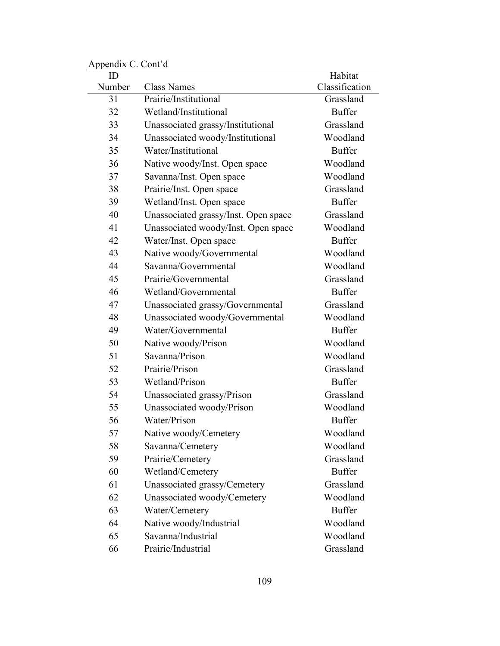| Tippendix C. Com d |                                             |                |
|--------------------|---------------------------------------------|----------------|
| ID                 |                                             | Habitat        |
| Number             | <b>Class Names</b><br>Prairie/Institutional | Classification |
| 31                 |                                             | Grassland      |
| 32                 | Wetland/Institutional                       | <b>Buffer</b>  |
| 33                 | Unassociated grassy/Institutional           | Grassland      |
| 34                 | Unassociated woody/Institutional            | Woodland       |
| 35                 | Water/Institutional                         | <b>Buffer</b>  |
| 36                 | Native woody/Inst. Open space               | Woodland       |
| 37                 | Savanna/Inst. Open space                    | Woodland       |
| 38                 | Prairie/Inst. Open space                    | Grassland      |
| 39                 | Wetland/Inst. Open space                    | <b>Buffer</b>  |
| 40                 | Unassociated grassy/Inst. Open space        | Grassland      |
| 41                 | Unassociated woody/Inst. Open space         | Woodland       |
| 42                 | Water/Inst. Open space                      | <b>Buffer</b>  |
| 43                 | Native woody/Governmental                   | Woodland       |
| 44                 | Savanna/Governmental                        | Woodland       |
| 45                 | Prairie/Governmental                        | Grassland      |
| 46                 | Wetland/Governmental                        | <b>Buffer</b>  |
| 47                 | Unassociated grassy/Governmental            | Grassland      |
| 48                 | Unassociated woody/Governmental             | Woodland       |
| 49                 | Water/Governmental                          | <b>Buffer</b>  |
| 50                 | Native woody/Prison                         | Woodland       |
| 51                 | Savanna/Prison                              | Woodland       |
| 52                 | Prairie/Prison                              | Grassland      |
| 53                 | Wetland/Prison                              | <b>Buffer</b>  |
| 54                 | Unassociated grassy/Prison                  | Grassland      |
| 55                 | Unassociated woody/Prison                   | Woodland       |
| 56                 | Water/Prison                                | <b>Buffer</b>  |
| 57                 | Native woody/Cemetery                       | Woodland       |
| 58                 | Savanna/Cemetery                            | Woodland       |
| 59                 | Prairie/Cemetery                            | Grassland      |
| 60                 | Wetland/Cemetery                            | <b>Buffer</b>  |
| 61                 | Unassociated grassy/Cemetery                | Grassland      |
| 62                 | Unassociated woody/Cemetery                 | Woodland       |
| 63                 | Water/Cemetery                              | <b>Buffer</b>  |
| 64                 | Native woody/Industrial                     | Woodland       |
| 65                 | Savanna/Industrial                          | Woodland       |
| 66                 | Prairie/Industrial                          | Grassland      |
|                    |                                             |                |

Appendix C. Cont'd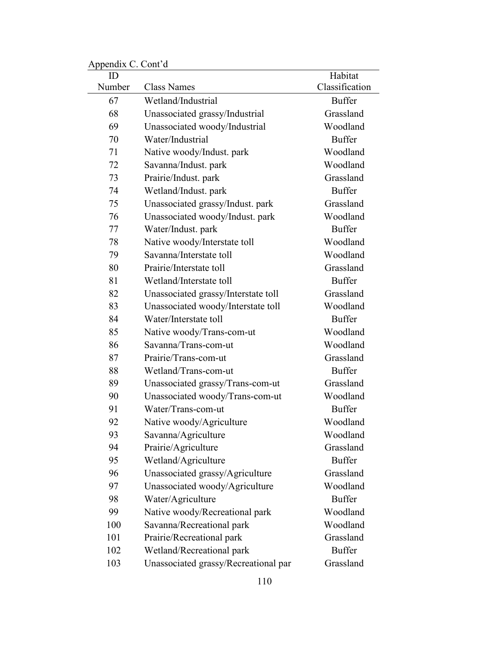| $\mu$ reponder $\sigma$ . Com $\mu$ |                                      |                           |
|-------------------------------------|--------------------------------------|---------------------------|
| ID<br>Number                        | <b>Class Names</b>                   | Habitat<br>Classification |
| 67                                  | Wetland/Industrial                   | <b>Buffer</b>             |
| 68                                  | Unassociated grassy/Industrial       | Grassland                 |
| 69                                  | Unassociated woody/Industrial        | Woodland                  |
| 70                                  | Water/Industrial                     | <b>Buffer</b>             |
| 71                                  | Native woody/Indust. park            | Woodland                  |
| 72                                  | Savanna/Indust. park                 | Woodland                  |
| 73                                  | Prairie/Indust. park                 | Grassland                 |
| 74                                  | Wetland/Indust. park                 | <b>Buffer</b>             |
| 75                                  | Unassociated grassy/Indust. park     | Grassland                 |
| 76                                  | Unassociated woody/Indust. park      | Woodland                  |
| 77                                  | Water/Indust. park                   | <b>Buffer</b>             |
| 78                                  | Native woody/Interstate toll         | Woodland                  |
| 79                                  | Savanna/Interstate toll              | Woodland                  |
| 80                                  | Prairie/Interstate toll              | Grassland                 |
| 81                                  | Wetland/Interstate toll              | <b>Buffer</b>             |
| 82                                  | Unassociated grassy/Interstate toll  | Grassland                 |
| 83                                  | Unassociated woody/Interstate toll   | Woodland                  |
| 84                                  | Water/Interstate toll                | <b>Buffer</b>             |
| 85                                  | Native woody/Trans-com-ut            | Woodland                  |
| 86                                  | Savanna/Trans-com-ut                 | Woodland                  |
| 87                                  | Prairie/Trans-com-ut                 | Grassland                 |
| 88                                  | Wetland/Trans-com-ut                 | <b>Buffer</b>             |
| 89                                  | Unassociated grassy/Trans-com-ut     | Grassland                 |
| 90                                  | Unassociated woody/Trans-com-ut      | Woodland                  |
| 91                                  | Water/Trans-com-ut                   | <b>Buffer</b>             |
| 92                                  | Native woody/Agriculture             | Woodland                  |
| 93                                  | Savanna/Agriculture                  | Woodland                  |
| 94                                  | Prairie/Agriculture                  | Grassland                 |
| 95                                  | Wetland/Agriculture                  | <b>Buffer</b>             |
| 96                                  | Unassociated grassy/Agriculture      | Grassland                 |
| 97                                  | Unassociated woody/Agriculture       | Woodland                  |
| 98                                  | Water/Agriculture                    | <b>Buffer</b>             |
| 99                                  | Native woody/Recreational park       | Woodland                  |
| 100                                 | Savanna/Recreational park            | Woodland                  |
| 101                                 | Prairie/Recreational park            | Grassland                 |
| 102                                 | Wetland/Recreational park            | <b>Buffer</b>             |
| 103                                 | Unassociated grassy/Recreational par | Grassland                 |

Appendix C. Cont'd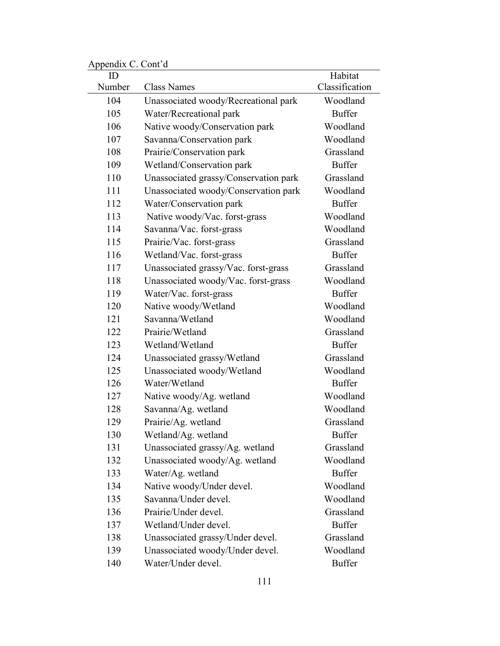| ID     |                                       | Habitat        |
|--------|---------------------------------------|----------------|
| Number | <b>Class Names</b>                    | Classification |
| 104    | Unassociated woody/Recreational park  | Woodland       |
| 105    | Water/Recreational park               | <b>Buffer</b>  |
| 106    | Native woody/Conservation park        | Woodland       |
| 107    | Savanna/Conservation park             | Woodland       |
| 108    | Prairie/Conservation park             | Grassland      |
| 109    | Wetland/Conservation park             | <b>Buffer</b>  |
| 110    | Unassociated grassy/Conservation park | Grassland      |
| 111    | Unassociated woody/Conservation park  | Woodland       |
| 112    | Water/Conservation park               | <b>Buffer</b>  |
| 113    | Native woody/Vac. forst-grass         | Woodland       |
| 114    | Savanna/Vac. forst-grass              | Woodland       |
| 115    | Prairie/Vac. forst-grass              | Grassland      |
| 116    | Wetland/Vac. forst-grass              | <b>Buffer</b>  |
| 117    | Unassociated grassy/Vac. forst-grass  | Grassland      |
| 118    | Unassociated woody/Vac. forst-grass   | Woodland       |
| 119    | Water/Vac. forst-grass                | <b>Buffer</b>  |
| 120    | Native woody/Wetland                  | Woodland       |
| 121    | Savanna/Wetland                       | Woodland       |
| 122    | Prairie/Wetland                       | Grassland      |
| 123    | Wetland/Wetland                       | <b>Buffer</b>  |
| 124    | Unassociated grassy/Wetland           | Grassland      |
| 125    | Unassociated woody/Wetland            | Woodland       |
| 126    | Water/Wetland                         | <b>Buffer</b>  |
| 127    | Native woody/Ag. wetland              | Woodland       |
| 128    | Savanna/Ag. wetland                   | Woodland       |
| 129    | Prairie/Ag. wetland                   | Grassland      |
| 130    | Wetland/Ag. wetland                   | <b>Buffer</b>  |
| 131    | Unassociated grassy/Ag. wetland       | Grassland      |
| 132    | Unassociated woody/Ag. wetland        | Woodland       |
| 133    | Water/Ag. wetland                     | <b>Buffer</b>  |
| 134    | Native woody/Under devel.             | Woodland       |
| 135    | Savanna/Under devel.                  | Woodland       |
| 136    | Prairie/Under devel.                  | Grassland      |
| 137    | Wetland/Under devel.                  | <b>Buffer</b>  |
| 138    | Unassociated grassy/Under devel.      | Grassland      |
| 139    | Unassociated woody/Under devel.       | Woodland       |
| 140    | Water/Under devel.                    | <b>Buffer</b>  |

Appendix C. Cont'd